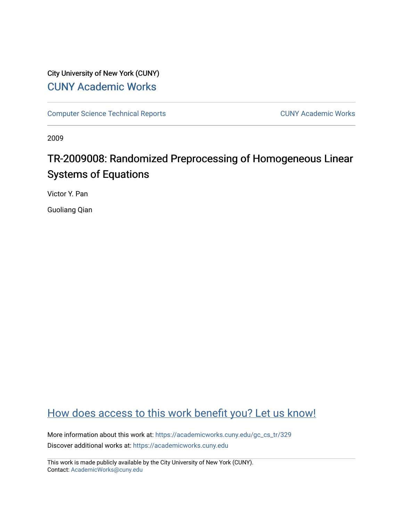# City University of New York (CUNY) [CUNY Academic Works](https://academicworks.cuny.edu/)

[Computer Science Technical Reports](https://academicworks.cuny.edu/gc_cs_tr) **CUNY Academic Works** CUNY Academic Works

2009

# TR-2009008: Randomized Preprocessing of Homogeneous Linear Systems of Equations

Victor Y. Pan

Guoliang Qian

# [How does access to this work benefit you? Let us know!](http://ols.cuny.edu/academicworks/?ref=https://academicworks.cuny.edu/gc_cs_tr/329)

More information about this work at: [https://academicworks.cuny.edu/gc\\_cs\\_tr/329](https://academicworks.cuny.edu/gc_cs_tr/329)  Discover additional works at: [https://academicworks.cuny.edu](https://academicworks.cuny.edu/?)

This work is made publicly available by the City University of New York (CUNY). Contact: [AcademicWorks@cuny.edu](mailto:AcademicWorks@cuny.edu)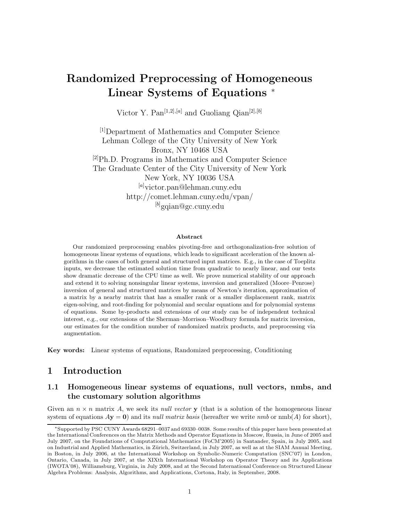# **Randomized Preprocessing of Homogeneous Linear Systems of Equations** <sup>∗</sup>

Victor Y. Pan[1*,*2]*,*[*a*] and Guoliang Qian[2]*,*[*b*]

[1]Department of Mathematics and Computer Science Lehman College of the City University of New York Bronx, NY 10468 USA  $^{[2]}Ph.D.$  Programs in Mathematics and Computer Science The Graduate Center of the City University of New York New York, NY 10036 USA [*a*] victor.pan@lehman.cuny.edu http://comet.lehman.cuny.edu/vpan/ [*b*] gqian@gc.cuny.edu

#### **Abstract**

Our randomized preprocessing enables pivoting-free and orthogonalization-free solution of homogeneous linear systems of equations, which leads to significant acceleration of the known algorithms in the cases of both general and structured input matrices. E.g., in the case of Toeplitz inputs, we decrease the estimated solution time from quadratic to nearly linear, and our tests show dramatic decrease of the CPU time as well. We prove numerical stability of our approach and extend it to solving nonsingular linear systems, inversion and generalized (Moore–Penrose) inversion of general and structured matrices by means of Newton's iteration, approximation of a matrix by a nearby matrix that has a smaller rank or a smaller displacement rank, matrix eigen-solving, and root-finding for polynomial and secular equations and for polynomial systems of equations. Some by-products and extensions of our study can be of independent technical interest, e.g., our extensions of the Sherman–Morrison–Woodbury formula for matrix inversion, our estimates for the condition number of randomized matrix products, and preprocessing via augmentation.

**Key words:** Linear systems of equations, Randomized preprocessing, Conditioning

# **1 Introduction**

# **1.1 Homogeneous linear systems of equations, null vectors, nmbs, and the customary solution algorithms**

Given an  $n \times n$  matrix A, we seek its *null vector* **y** (that is a solution of the homogeneous linear system of equations  $A$ **y** = **0**) and its *null matrix basis* (hereafter we write *nmb* or nmb(A) for short),

<sup>∗</sup>Supported by PSC CUNY Awards 68291–0037 and 69330–0038. Some results of this paper have been presented at the International Conferences on the Matrix Methods and Operator Equations in Moscow, Russia, in June of 2005 and July 2007, on the Foundations of Computational Mathematics (FoCM'2005) in Santander, Spain, in July 2005, and on Industrial and Applied Mathematics, in Zürich, Switzerland, in July 2007, as well as at the SIAM Annual Meeting, in Boston, in July 2006, at the International Workshop on Symbolic-Numeric Computation (SNC'07) in London, Ontario, Canada, in July 2007, at the XIXth International Workshop on Operator Theory and its Applications (IWOTA'08), Williamsburg, Virginia, in July 2008, and at the Second International Conference on Structured Linear Algebra Problems: Analysis, Algorithms, and Applications, Cortona, Italy, in September, 2008.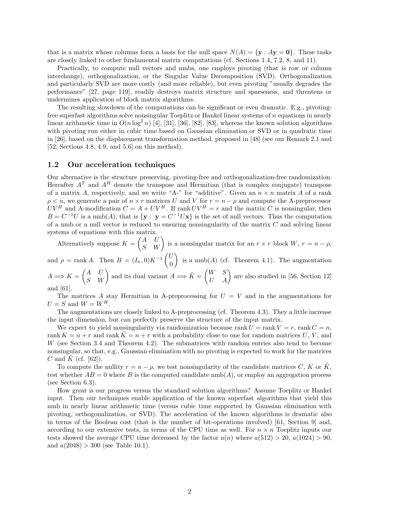that is a matrix whose columns form a basis for the null space  $N(A) = \{y : Ay = 0\}$ . These tasks are closely linked to other fundamental matrix computations (cf. Sections 1.4, 7.2, 8, and 11).

Practically, to compute null vectors and nmbs, one employs pivoting (that is row or column interchange), orthogonalization, or the Singular Value Decomposition (SVD). Orthogonalization and particularly SVD are more costly (and more reliable), but even pivoting "usually degrades the performance" [27, page 119], readily destroys matrix structure and sparseness, and threatens or undermines application of block matrix algorithms.

The resulting slowdown of the computations can be significant or even dramatic. E.g., pivotingfree superfast algorithms solve nonsingular Toeplitz or Hankel linear systems of  $n$  equations in nearly linear arithmetic time in  $O(n \log^2 n)$  [4], [31], [36], [82], [83], whereas the known solution algorithms with pivoting run either in cubic time based on Gaussian elimination or SVD or in quadratic time in [26], based on the displacement transformation method, proposed in [48] (see our Remark 2.1 and [52, Sections 4.8, 4.9, and 5.6] on this method).

### **1.2 Our acceleration techniques**

Our alternative is the structure preserving, pivoting-free and orthogonalization-free randomization. Hereafter  $A<sup>T</sup>$  and  $A<sup>H</sup>$  denote the transpose and Hermitian (that is complex conjugate) transpose of a matrix A, respectively, and we write "A-" for "additive". Given an  $n \times n$  matrix A of a rank  $\rho < n$ , we generate a pair of  $n \times r$  matrices U and V for  $r = n - \rho$  and compute the A-preprocessor  $UV^H$  and A-modification  $C = A + UV^H$ . If rank  $UV^H = r$  and the matrix C is nonsingular, then  $B = C^{-1}U$  is a nmb(A), that is  $\{y : y = C^{-1}Ux\}$  is the set of null vectors. Thus the computation of a nmb or a null vector is reduced to ensuring nonsingularity of the matrix  $C$  and solving linear systems of equations with this matrix.

Alternatively suppose  $K = \begin{pmatrix} A & U \\ S & W \end{pmatrix}$  is a nonsingular matrix for an  $r \times r$  block  $W, r = n - \rho$ ,

and  $\rho = \text{rank } A$ . Then  $B = (I_n, 0)K^{-1}\begin{pmatrix} U & 0 \\ 0 & \cdots \end{pmatrix}$  $\overline{0}$ is a  $\text{nmb}(A)$  (cf. Theorem 4.1). The augmentation

 $A \Longrightarrow K = \begin{pmatrix} A & U \ S & W \end{pmatrix}$  and its dual variant  $A \Longrightarrow \tilde{K} = \begin{pmatrix} W & S \ U & A \end{pmatrix}$  are also studied in [56, Section 12] and [61].

The matrices A stay Hermitian in A-preprocessing for  $U = V$  and in the augmentations for  $U = S$  and  $W = W^H$ .

The augmentations are closely linked to A-preprocessing (cf. Theorem 4.3). They a little increase the input dimension, but can perfectly preserve the structure of the input matrix.

We expect to yield nonsingularity via randomization because rank  $U = \text{rank } V = r$ , rank  $C = n$ , rank  $K = n + r$  and rank  $K = n + r$  with a probability close to one for random matrices U, V, and W (see Section 3.4 and Theorem 4.2). The submatrices with random entries also tend to become nonsingular, so that, e.g., Gaussian elimination with no pivoting is expected to work for the matrices C and K (cf.  $[62]$ ).

To compute the nullity  $r = n - \rho$ , we test nonsingularity of the candidate matrices C, K or  $\tilde{K}$ , test whether  $AB = 0$  where B is the computed candidate nmb(A), or employ an aggregation process (see Section 6.3).

How great is our progress versus the standard solution algorithms? Assume Toeplitz or Hankel input. Then our techniques enable application of the known superfast algorithms that yield this nmb in nearly linear arithmetic time (versus cubic time supported by Gaussian elimination with pivoting, orthogonalization, or SVD). The acceleration of the known algorithms is dramatic also in terms of the Boolean cost (that is the number of bit-operations involved) [61, Section 9] and, according to our extensive tests, in terms of the CPU time as well. For  $n \times n$  Toeplitz inputs our tests showed the average CPU time decreased by the factor  $a(n)$  where  $a(512) > 20$ ,  $a(1024) > 90$ , and  $a(2048) > 300$  (see Table 10.1).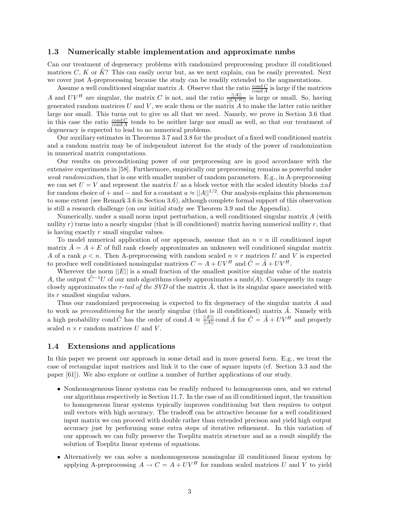### **1.3 Numerically stable implementation and approximate nmbs**

Can our treatment of degeneracy problems with randomized preprocessing produce ill conditioned matrices  $C, K$  or  $K$ ? This can easily occur but, as we next explain, can be easily prevented. Next we cover just A-preprocessing because the study can be readily extended to the augmentations.

Assume a well conditioned singular matrix A. Observe that the ratio  $\frac{\text{cond } C}{\text{cond } A}$  is large if the matrices A and  $UV^H$  are singular, the matrix C is not, and the ratio  $\frac{||A||}{||UV^H||}$  is large or small. So, having generated random matrices  $U$  and  $V$ , we scale them or the matrix  $A$  to make the latter ratio neither large nor small. This turns out to give us all that we need. Namely, we prove in Section 3.6 that in this case the ratio  $\frac{\text{cond }C}{\text{cond }A}$  tends to be neither large nor small as well, so that our treatment of degeneracy is expected to lead to no numerical problems.

Our auxiliary estimates in Theorems 3.7 and 3.8 for the product of a fixed well conditioned matrix and a random matrix may be of independent interest for the study of the power of randomization in numerical matrix computations.

Our results on preconditioning power of our preprocessing are in good accordance with the extensive experiments in [58]. Furthermore, empirically our preprocessing remains as powerful under *weak randomization*, that is one with smaller number of random parameters. E.g., in A-preprocessing we can set  $U = V$  and represent the matrix U as a block vector with the scaled identity blocks  $\pm aI$ for random choice of + and – and for a constant  $a \approx ||A||^{1/2}$ . Our analysis explains this phenomenon to some extent (see Remark 3.6 in Section 3.6), although complete formal support of this observation is still a research challenge (on our initial study see Theorem 3.9 and the Appendix).

Numerically, under a small norm input perturbation, a well conditioned singular matrix A (with nullity r) turns into a nearly singular (that is ill conditioned) matrix having numerical nullity r, that is having exactly r small singular values.

To model numerical application of our approach, assume that an  $n \times n$  ill conditioned input matrix  $A = A + E$  of full rank closely approximates an unknown well conditioned singular matrix A of a rank  $\rho < n$ . Then A-preprocessing with random scaled  $n \times r$  matrices U and V is expected to produce well conditioned nonsingular matrices  $C = A + UV^H$  and  $\tilde{C} = \tilde{A} + UV^H$ .

Wherever the norm  $||E||$  is a small fraction of the smallest positive singular value of the matrix A, the output  $\tilde{C}^{-1}U$  of our nmb algorithms closely approximates a nmb(A). Consequently its range closely approximates the *r-tail of the SVD* of the matrix  $\vec{A}$ , that is its singular space associated with its r smallest singular values.

Thus our randomized preprocessing is expected to fix degeneracy of the singular matrix A and to work as *preconditioning* for the nearly singular (that is ill conditioned) matrix  $\hat{A}$ . Namely with a high probability cond  $\tilde{C}$  has the order of cond  $A \approx \frac{||E||}{||A||}$  cond  $\tilde{A}$  for  $\tilde{C} = \tilde{A} + UV^H$  and properly scaled  $n \times r$  random matrices U and V.

### **1.4 Extensions and applications**

In this paper we present our approach in some detail and in more general form. E.g., we treat the case of rectangular input matrices and link it to the case of square inputs (cf. Section 3.3 and the paper [61]). We also explore or outline a number of further applications of our study.

- Nonhomogeneous linear systems can be readily reduced to homogeneous ones, and we extend our algorithms respectively in Section 11.7. In the case of an ill conditioned input, the transition to homogeneous linear systems typically improves conditioning but then requires to output null vectors with high accuracy. The tradeoff can be attractive because for a well conditioned input matrix we can proceed with double rather than extended precison and yield high output accuracy just by performing some extra steps of iterative refinement. In this variation of our approach we can fully preserve the Toeplitz matrix structure and as a result simplify the solution of Toeplitz linear systems of equations.
- Alternatively we can solve a nonhomogeneous nonsingular ill conditioned linear system by applying A-preprocessing  $A \to C = A + UV^H$  for random scaled matrices U and V to yield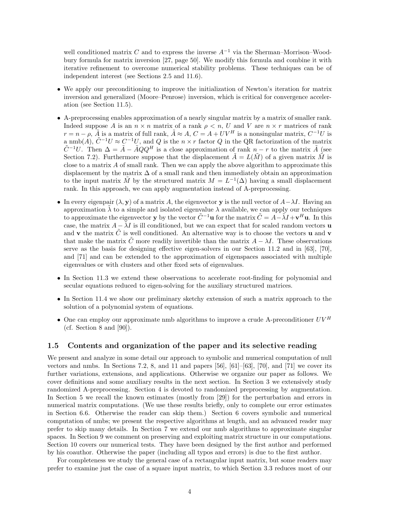well conditioned matrix C and to express the inverse  $A^{-1}$  via the Sherman–Morrison–Woodbury formula for matrix inversion [27, page 50]. We modify this formula and combine it with iterative refinement to overcome numerical stability problems. These techniques can be of independent interest (see Sections 2.5 and 11.6).

- We apply our preconditioning to improve the initialization of Newton's iteration for matrix inversion and generalized (Moore–Penrose) inversion, which is critical for convergence acceleration (see Section 11.5).
- A-preprocessing enables approximation of a nearly singular matrix by a matrix of smaller rank. Indeed suppose A is an  $n \times n$  matrix of a rank  $\rho \leq n$ , U and V are  $n \times r$  matrices of rank  $r = n - \rho$ ,  $\tilde{A}$  is a matrix of full rank,  $\tilde{A} \approx A$ ,  $C = A + UV^H$  is a nonsingular matrix,  $C^{-1}U$  is a nmb(A),  $\tilde{C}^{-1}U \approx C^{-1}U$ , and Q is the  $n \times r$  factor Q in the QR factorization of the matrix  $\tilde{C}^{-1}U$ . Then  $\Delta = \tilde{A} - \tilde{A}QQ^H$  is a close approximation of rank  $n-r$  to the matrix  $\tilde{A}$  (see Section 7.2). Furthermore suppose that the displacement  $\tilde{A} = L(\tilde{M})$  of a given matrix  $\tilde{M}$  is close to a matrix  $A$  of small rank. Then we can apply the above algorithm to approximate this displacement by the matrix  $\Delta$  of a small rank and then immediately obtain an approximation to the input matrix  $\tilde{M}$  by the structured matrix  $M = L^{-1}(\Delta)$  having a small displacement rank. In this approach, we can apply augmentation instead of A-preprocessing.
- In every eigenpair  $(\lambda, \mathbf{y})$  of a matrix A, the eigenvector **y** is the null vector of  $A \lambda I$ . Having an approximation  $\tilde{\lambda}$  to a simple and isolated eigenvalue  $\lambda$  available, we can apply our techniques to approximate the eigenvector **y** by the vector  $\tilde{C}^{-1}$ **u** for the matrix  $\tilde{C} = A - \tilde{\lambda}I + \mathbf{v}^H\mathbf{u}$ . In this case, the matrix  $A - \tilde{\lambda}I$  is ill conditioned, but we can expect that for scaled random vectors **u** and **v** the matrix  $\tilde{C}$  is well conditioned. An alternative way is to choose the vectors **u** and **v** that make the matrix C more readily invertible than the matrix  $A - \lambda I$ . These observations serve as the basis for designing effective eigen-solvers in our Section 11.2 and in [63], [70], and [71] and can be extended to the approximation of eigenspaces associated with multiple eigenvalues or with clusters and other fixed sets of eigenvalues.
- In Section 11.3 we extend these observations to accelerate root-finding for polynomial and secular equations reduced to eigen-solving for the auxiliary structured matrices.
- In Section 11.4 we show our preliminary sketchy extension of such a matrix approach to the solution of a polynomial system of equations.
- One can employ our approximate nmb algorithms to improve a crude A-preconditioner  $UV^H$ (cf. Section 8 and  $[90]$ ).

### **1.5 Contents and organization of the paper and its selective reading**

We present and analyze in some detail our approach to symbolic and numerical computation of null vectors and nmbs. In Sections 7.2, 8, and 11 and papers  $[56]$ ,  $[61]$ – $[63]$ ,  $[70]$ , and  $[71]$  we cover its further variations, extensions, and applications. Otherwise we organize our paper as follows. We cover definitions and some auxiliary results in the next section. In Section 3 we extensively study randomized A-preprocessing. Section 4 is devoted to randomized preprocessing by augmentation. In Section 5 we recall the known estimates (mostly from [29]) for the perturbation and errors in numerical matrix computations. (We use these results briefly, only to complete our error estimates in Section 6.6. Otherwise the reader can skip them.) Section 6 covers symbolic and numerical computation of nmbs; we present the respective algorithms at length, and an advanced reader may prefer to skip many details. In Section 7 we extend our nmb algorithms to approximate singular spaces. In Section 9 we comment on preserving and exploiting matrix structure in our computations. Section 10 covers our numerical tests. They have been designed by the first author and performed by his coauthor. Otherwise the paper (including all typos and errors) is due to the first author.

For completeness we study the general case of a rectangular input matrix, but some readers may prefer to examine just the case of a square input matrix, to which Section 3.3 reduces most of our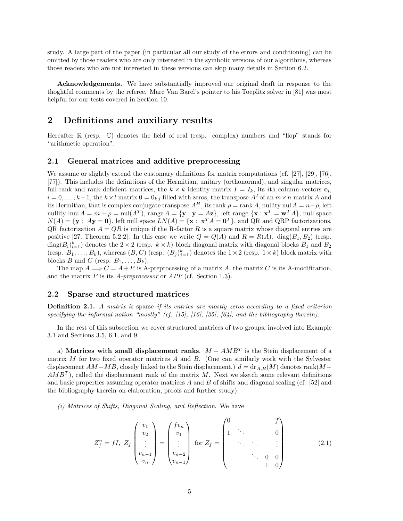study. A large part of the paper (in particular all our study of the errors and conditioning) can be omitted by those readers who are only interested in the symbolic versions of our algorithms, whereas those readers who are not interested in these versions can skip many details in Section 6.2.

**Acknowledgements.** We have substantially improved our original draft in response to the thoghtful comments by the referee. Marc Van Barel's pointer to his Toeplitz solver in [81] was most helpful for our tests covered in Section 10.

# **2 Definitions and auxiliary results**

Hereafter  $\mathbb R$  (resp.  $\mathbb C$ ) denotes the field of real (resp. complex) numbers and "flop" stands for "arithmetic operation".

## **2.1 General matrices and additive preprocessing**

We assume or slightly extend the customary definitions for matrix computations (cf. [27], [29], [76], [77]). This includes the definitions of the Hermitian, unitary (orthonormal), and singular matrices, full-rank and rank deficient matrices, the  $k \times k$  identity matrix  $I = I_k$ , its *i*th column vectors  $e_i$ ,  $i = 0, \ldots, k-1$ , the  $k \times l$  matrix  $0 = 0_{k,l}$  filled with zeros, the transpose  $A<sup>T</sup>$  of an  $m \times n$  matrix A and its Hermitian, that is complex conjugate transpose  $A^H$ , its rank  $\rho = \text{rank } A$ , nullity nul  $A = n - \rho$ , left nullity lnul  $A = m - \rho = \text{null}(A^T)$ , range  $A = \{ \mathbf{y} : \mathbf{y} = A\mathbf{z} \}$ , left range  $\{ \mathbf{x} : \mathbf{x}^T = \mathbf{w}^T A \}$ , null space  $N(A) = {\mathbf{y}: A\mathbf{y} = \mathbf{0}}$ , left null space  $LN(A) = {\mathbf{x}: \mathbf{x}^T A = \mathbf{0}^T}$ , and QR and QRP factorizations. QR factorization  $A = QR$  is unique if the R-factor R is a square matrix whose diagonal entries are positive [27, Theorem 5.2.2]. In this case we write  $Q = Q(A)$  and  $R = R(A)$ . diag( $B_1, B_2$ ) (resp.  $diag(B_i)_{i=1}^k$ ) denotes the  $2 \times 2$  (resp.  $k \times k$ ) block diagonal matrix with diagonal blocks  $B_1$  and  $B_2$ (resp.  $B_1, \ldots, B_k$ ), whereas  $(B, C)$  (resp.  $(B_j)_{j=1}^k$ ) denotes the  $1 \times 2$  (resp.  $1 \times k$ ) block matrix with blocks B and C (resp.  $B_1, \ldots, B_k$ ).

The map  $A \Longrightarrow C = A + P$  is A-preprocessing of a matrix A, the matrix C is its A-modification, and the matrix P is its *A-preprocessor* or *APP* (cf. Section 1.3).

### **2.2 Sparse and structured matrices**

**Definition 2.1.** *A matrix is* sparse *if its entries are mostly zeros according to a fixed criterion specifying the informal notion "mostly" (cf. [15], [16], [35], [64], and the bibliography therein).*

In the rest of this subsection we cover structured matrices of two groups, involved into Example 3.1 and Sections 3.5, 6.1, and 9.

a) **Matrices with small displacement ranks**.  $M - AMB<sup>T</sup>$  is the Stein displacement of a matrix  $M$  for two fixed operator matrices  $A$  and  $B$ . (One can similarly work with the Sylvester displacement  $AM - MB$ , closely linked to the Stein displacement.)  $d = \text{dr}_{A,B}(M)$  denotes rank(M –  $AMB<sup>T</sup>$ , called the displacement rank of the matrix M. Next we sketch some relevant definitions and basic properties assuming operator matrices A and B of shifts and diagonal scaling (cf. [52] and the bibliography therein on elaboration, proofs and further study).

*(i) Matrices of Shifts, Diagonal Scaling, and Reflection*. We have

$$
Z_{f}^{n} = fI, \ Z_{f} \begin{pmatrix} v_{1} \\ v_{2} \\ \vdots \\ v_{n-1} \\ v_{n} \end{pmatrix} = \begin{pmatrix} f v_{n} \\ v_{1} \\ \vdots \\ v_{n-2} \\ v_{n-1} \end{pmatrix} \text{ for } Z_{f} = \begin{pmatrix} 0 & f \\ 1 & \cdot & \cdot & \cdot \\ & \cdot & \cdot & \cdot & \vdots \\ & \cdot & \cdot & \cdot & \vdots \\ & \cdot & \cdot & \cdot & \cdot \\ & & \cdot & \cdot & \cdot & \cdot \\ & & & 0 & 0 \\ & & & 1 & 0 \end{pmatrix}
$$
(2.1)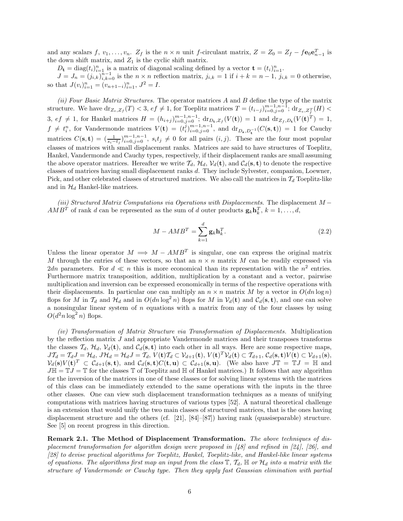and any scalars  $f, v_1, \ldots, v_n$ .  $Z_f$  is the  $n \times n$  unit f-circulant matrix,  $Z = Z_0 = Z_f - f \mathbf{e}_0 \mathbf{e}_{n-1}^T$  is the down shift matrix, and  $Z_1$  is the cyclic shift matrix.

 $D_{\mathbf{t}} = \text{diag}(t_i)_{i=1}^n$  is a matrix of diagonal scaling defined by a vector  $\mathbf{t} = (t_i)_{i=1}^n$ .

 $J = J_n = (j_{i,k})_{i,k=0}^{n-1}$  is the  $n \times n$  reflection matrix,  $j_{i,k} = 1$  if  $i + k = n-1$ ,  $j_{i,k} = 0$  otherwise, so that  $J(v_i)_{i=1}^n = (v_{n+1-i})_{i=1}^n$ ,  $J^2 = I$ .

*(ii) Four Basic Matrix Structures.* The operator matrices A and B define the type of the matrix structure. We have  $\text{dr}_{Z_e, Z_f}(T) < 3$ ,  $ef \neq 1$ , for Toeplitz matrices  $T = (t_{i-j})_{i=0, j=0}^{m-1, n-1}$ ;  $\text{dr}_{Z_e, Z_f^T}(H) <$  $3, ef \neq 1$ , for Hankel matrices  $H = (h_{i+j})_{i=0,j=0}^{m-1,n-1}$ ;  $dr_{D_{\mathbf{t}},Z_f}(V(\mathbf{t})) = 1$  and  $dr_{Z_f,D_{\mathbf{t}}}(V(\mathbf{t})^T) = 1$ ,  $f \neq t_i^n$ , for Vandermonde matrices  $V(\mathbf{t}) = (t_i^j)_{i=0,j=0}^{m-1,n-1}$ , and  $dr_{D_{\mathbf{s}},D_{\mathbf{t}}^{-1}}(C(\mathbf{s},\mathbf{t})) = 1$  for Cauchy matrices  $C(\mathbf{s}, \mathbf{t}) = \left( \frac{1}{s_i - t_j} \right)_{i=0, j=0}^{m-1, n-1}, s_i t_j \neq 0$  for all pairs  $(i, j)$ . These are the four most popular classes of matrices with small displacement ranks. Matrices are said to have structures of Toeplitz, Hankel, Vandermonde and Cauchy types, respectively, if their displacement ranks are small assuming the above operator matrices. Hereafter we write  $\mathcal{T}_d$ ,  $\mathcal{H}_d$ ,  $\mathcal{V}_d(\mathbf{t})$ , and  $\mathcal{C}_d(\mathbf{s}, \mathbf{t})$  to denote the respective classes of matrices having small displacement ranks d. They include Sylvester, companion, Loewner, Pick, and other celebrated classes of structured matrices. We also call the matrices in  $\mathcal{T}_d$  Toeplitz-like and in  $\mathcal{H}_d$  Hankel-like matrices.

*(iii) Structured Matrix Computations via Operations with Displacements*. The displacement M −  $AMB<sup>T</sup>$  of rank d can be represented as the sum of d outer products  $\mathbf{g}_k \mathbf{h}_k^T$ ,  $k = 1, \ldots, d$ ,

$$
M - AMBT = \sum_{k=1}^{d} \mathbf{g}_k \mathbf{h}_k^T.
$$
 (2.2)

Unless the linear operator  $M \implies M - AMB^{T}$  is singular, one can express the original matrix M through the entries of these vectors, so that an  $n \times n$  matrix M can be readily expressed via 2dn parameters. For  $d \ll n$  this is more economical than its representation with the  $n^2$  entries. Furthermore matrix transposition, addition, multiplication by a constant and a vector, pairwise multiplication and inversion can be expressed economically in terms of the respective operations with their displacements. In particular one can multiply an  $n \times n$  matrix M by a vector in  $O(dn \log n)$ flops for M in  $\mathcal{T}_d$  and  $\mathcal{H}_d$  and in  $O(dn \log^2 n)$  flops for M in  $\mathcal{V}_d(\mathbf{t})$  and  $\mathcal{C}_d(\mathbf{s}, \mathbf{t})$ , and one can solve a nonsingular linear system of  $n$  equations with a matrix from any of the four classes by using  $O(d^2n\log^2 n)$  flops.

*(iv) Transformation of Matrix Structure via Transformation of Displacements.* Multiplication by the reflection matrix  $J$  and appropriate Vandermonde matrices and their transposes transforms the classes  $\mathcal{T}_d$ ,  $\mathcal{H}_d$ ,  $\mathcal{V}_d(\mathbf{t})$ , and  $\mathcal{C}_d(\mathbf{s}, \mathbf{t})$  into each other in all ways. Here are some respective maps,  $J\mathcal{T}_d = \mathcal{T}_d J = \mathcal{H}_d$ ,  $J\mathcal{H}_d = \mathcal{H}_d J = \mathcal{T}_d$ ,  $V(\mathbf{t})\mathcal{T}_d \subset \mathcal{V}_{d+1}(\mathbf{t}), V(\mathbf{t})^T \mathcal{V}_d(\mathbf{t}) \subset \mathcal{T}_{d+1}, \mathcal{C}_d(\mathbf{s}, \mathbf{t}) V(\mathbf{t}) \subset \mathcal{V}_{d+1}(\mathbf{s}),$  $V_d(\mathbf{s})V(\mathbf{t})^T \subset C_{d+1}(\mathbf{s}, \mathbf{t}),$  and  $C_d(\mathbf{s}, \mathbf{t})C(\mathbf{t}, \mathbf{u}) \subset C_{d+1}(\mathbf{s}, \mathbf{u}).$  (We also have  $J\mathbb{T} = \mathbb{T}J = \mathbb{H}$  and  $J\mathbb{H} = \mathbb{T}J = \mathbb{T}$  for the classes  $\mathbb{T}$  of Toeplitz and  $\mathbb{H}$  of Hankel matrices.) It follows that any algorithm for the inversion of the matrices in one of these classes or for solving linear systems with the matrices of this class can be immediately extended to the same operations with the inputs in the three other classes. One can view such displacement transformation techniques as a means of unifying computations with matrices having structures of various types [52]. A natural theoretical challenge is an extension that would unify the two main classes of structured matrices, that is the ones having displacement structure and the others (cf. [21], [84]–[87]) having rank (quasiseparable) structure. See [5] on recent progress in this direction.

**Remark 2.1. The Method of Displacement Transformation.** *The above techniques of displacement transformation for algorithm design were proposed in [48] and refined in [24], [26], and [28] to devise practical algorithms for Toeplitz, Hankel, Toeplitz-like, and Hankel-like linear systems of equations. The algorithms first map an input from the class*  $\mathbb{T}$ ,  $\mathcal{T}_d$ ,  $\mathbb{H}$  *or*  $\mathcal{H}_d$  *into a matrix with the structure of Vandermonde or Cauchy type. Then they apply fast Gaussian elimination with partial*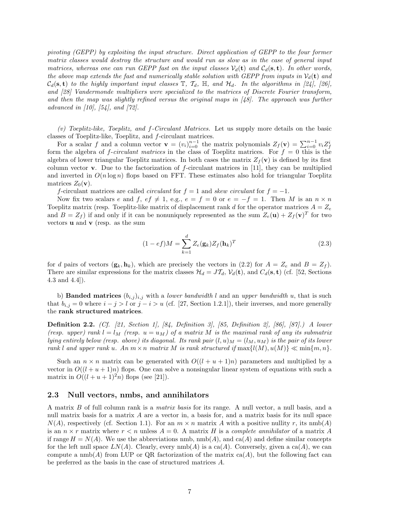*pivoting (GEPP) by exploiting the input structure. Direct application of GEPP to the four former matrix classes would destroy the structure and would run as slow as in the case of general input matrices, whereas one can run GEPP fast on the input classes*  $V_d(t)$  *and*  $C_d(s,t)$ *. In other words, the above map extends the fast and numerically stable solution with GEPP from inputs in*  $V_d(\mathbf{t})$  *and*  $C_d(\mathbf{s}, \mathbf{t})$  to the highly important input classes  $\mathbb{T}$ ,  $\mathcal{T}_d$ ,  $\mathbb{H}$ , and  $\mathcal{H}_d$ . In the algorithms in [24], [26], *and [28] Vandermonde multipliers were specialized to the matrices of Discrete Fourier transform, and then the map was slightly refined versus the original maps in [48]. The approach was further advanced in [10], [54], and [72].*

*(v) Toeplitz-like, Toeplitz, and* f*-Circulant Matrices.* Let us supply more details on the basic classes of Toeplitz-like, Toeplitz, and f-circulant matrices.

For a scalar f and a column vector  $\mathbf{v} = (v_i)_{i=0}^{n-1}$  the matrix polynomials  $Z_f(\mathbf{v}) = \sum_{i=0}^{n-1} v_i Z_f^i$ form the algebra of *f-circulant matrices* in the class of Toeplitz matrices. For  $f = 0$  this is the algebra of lower triangular Toeplitz matrices. In both cases the matrix  $Z_f(\mathbf{v})$  is defined by its first column vector **v**. Due to the factorization of f-circulant matrices in [11], they can be multiplied and inverted in  $O(n \log n)$  flops based on FFT. These estimates also hold for triangular Toeplitz matrices  $Z_0(\mathbf{v})$ .

f-circulant matrices are called *circulant* for  $f = 1$  and *skew circulant* for  $f = -1$ .

Now fix two scalars e and f, ef  $\neq 1$ , e.g.,  $e = f = 0$  or  $e = -f = 1$ . Then M is an  $n \times n$ Toeplitz matrix (resp. Toeplitz-like matrix of displacement rank d for the operator matrices  $A = Z_e$ and  $B = Z_f$ ) if and only if it can be nonuniquely represented as the sum  $Z_e(\mathbf{u}) + Z_f(\mathbf{v})^T$  for two vectors **u** and **v** (resp. as the sum

$$
(1 - e f)M = \sum_{k=1}^{d} Z_e(\mathbf{g}_k) Z_f(\mathbf{h}_k)^T
$$
\n(2.3)

for d pairs of vectors  $(\mathbf{g}_k, \mathbf{h}_k)$ , which are precisely the vectors in (2.2) for  $A = Z_e$  and  $B = Z_f$ ). There are similar expressions for the matrix classes  $\mathcal{H}_d = J\mathcal{T}_d$ ,  $\mathcal{V}_d(\mathbf{t})$ , and  $C_d(\mathbf{s}, \mathbf{t})$  (cf. [52, Sections 4.3 and 4.4]).

b) **Banded matrices**  $(b_{i,j})_{i,j}$  with a *lower bandwidth* l and an *upper bandwidth* u, that is such that  $b_{i,j} = 0$  where  $i - j > l$  or  $j - i > u$  (cf. [27, Section 1.2.1]), their inverses, and more generally the **rank structured matrices**.

**Definition 2.2.** *(Cf. [21, Section 1], [84, Definition 3], [85, Definition 2], [86], [87].) A lower (resp. upper) rank*  $l = l_M$  *(resp.*  $u = u_M$ *) of a matrix* M *is the maximal rank of any its submatrix lying entirely below (resp. above) its diagonal. Its rank pair*  $(l, u)_M = (l_M, u_M)$  *is the pair of its lower rank* l and upper rank u. An  $m \times n$  *matrix* M is rank structured if  $\max\{l(M), u(M)\} \ll \min\{m, n\}$ .

Such an  $n \times n$  matrix can be generated with  $O((l + u + 1)n)$  parameters and multiplied by a vector in  $O((l + u + 1)n)$  flops. One can solve a nonsingular linear system of equations with such a matrix in  $O((l+u+1)^2n)$  flops (see [21]).

### **2.3 Null vectors, nmbs, and annihilators**

A matrix B of full column rank is a *matrix basis* for its range. A null vector, a null basis, and a null matrix basis for a matrix  $A$  are a vector in, a basis for, and a matrix basis for its null space  $N(A)$ , respectively (cf. Section 1.1). For an  $m \times n$  matrix A with a positive nullity r, its nmb(A) is an  $n \times r$  matrix where  $r < n$  unless  $A = 0$ . A matrix H is a *complete annihilator* of a matrix A if range  $H = N(A)$ . We use the abbreviations nmb,  $nmb(A)$ , and ca(A) and define similar concepts for the left null space  $LN(A)$ . Clearly, every  $\text{nmb}(A)$  is a ca(A). Conversely, given a ca(A), we can compute a  $\text{nmb}(A)$  from LUP or QR factorization of the matrix  $ca(A)$ , but the following fact can be preferred as the basis in the case of structured matrices A.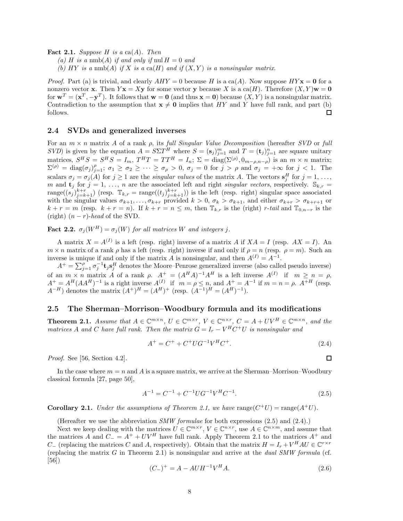**Fact 2.1.** *Suppose* H *is a* ca(A)*. Then*

(a) H is a nmb(A) if and only if nul  $H = 0$  and

(b)  $HY$  *is a* nmb(A) *if* X *is a* ca(H) *and if*  $(X, Y)$  *is a nonsingular matrix.* 

*Proof.* Part (a) is trivial, and clearly  $AHY = 0$  because H is a ca(A). Now suppose  $HY\mathbf{x} = \mathbf{0}$  for a nonzero vector **x**. Then  $Y$ **x** = X**y** for some vector **y** because X is a ca(H). Therefore  $(X, Y)$ **w** = 0 for  $\mathbf{w}^T = (\mathbf{x}^T, -\mathbf{y}^T)$ . It follows that  $\mathbf{w} = \mathbf{0}$  (and thus  $\mathbf{x} = \mathbf{0}$ ) because  $(X, Y)$  is a nonsingular matrix. Contradiction to the assumption that  $\mathbf{x} \neq \mathbf{0}$  implies that HY and Y have full rank, and part (b) follows. 口

# **2.4 SVDs and generalized inverses**

For an m × n matrix A of a rank ρ, its *full Singular Value Decomposition* (hereafter *SVD* or *full SVD*) is given by the equation  $A = S\Sigma T^H$  where  $S = (\mathbf{s}_j)_{j=1}^m$  and  $T = (\mathbf{t}_j)_{j=1}^n$  are square unitary matrices,  $S^H S = S^H S = I_m$ ,  $T^H T = TT^H = I_n$ ;  $\Sigma = \text{diag}(\Sigma^{(\rho)}, 0_{m-\rho,n-\rho})$  is an  $m \times n$  matrix;  $\Sigma^{(\rho)} = \text{diag}(\sigma_j)_{j=1}^{\rho}; \ \sigma_1 \geq \sigma_2 \geq \cdots \geq \sigma_\rho > 0, \ \sigma_j = 0 \text{ for } j > \rho \text{ and } \sigma_j = +\infty \text{ for } j < 1.$  The scalars  $\sigma_j = \sigma_j(A)$  for  $j \ge 1$  are the *singular values* of the matrix A. The vectors  $\mathbf{s}_j^H$  for  $j = 1, \ldots,$ m and  $\mathbf{t}_j$  for  $j = 1, \ldots, n$  are the associated left and right *singular vectors*, respectively.  $\mathbb{S}_{k,r} =$  $\text{range}((s_i)_{i=k+1}^{k+r})$  (resp.  $\mathbb{T}_{k,r} = \text{range}((t_i)_{i=k+1}^{k+r})$ ) is the left (resp. right) singular space associated with the singular values  $\sigma_{k+1},...,\sigma_{k+r}$  provided  $k > 0$ ,  $\sigma_k > \sigma_{k+1}$ , and either  $\sigma_{k+r} > \sigma_{k+r+1}$  or  $k + r = m$  (resp.  $k + r = n$ ). If  $k + r = n \leq m$ , then  $\mathbb{T}_{k,r}$  is the (right) r-tail and  $\mathbb{T}_{0,n-r}$  is the (right)  $(n - r)$ -*head* of the SVD.

**Fact 2.2.**  $\sigma_i(W^H) = \sigma_i(W)$  for all matrices W and integers j.

A matrix  $X = A^{(I)}$  is a left (resp. right) inverse of a matrix A if  $XA = I$  (resp.  $AX = I$ ). An  $m \times n$  matrix of a rank  $\rho$  has a left (resp. right) inverse if and only if  $\rho = n$  (resp.  $\rho = m$ ). Such an inverse is unique if and only if the matrix A is nonsingular, and then  $A^{(I)} = A^{-1}$ .

 $A^+ = \sum_{j=1}^{\rho} \sigma_j^{-1}$ **t**<sub>j</sub>**s**<sup>H</sup></sup> denotes the Moore–Penrose generalized inverse (also called pseudo inverse) of an  $m \times n$  matrix A of a rank  $\rho$ .  $A^+ = (A^H A)^{-1} A^H$  is a left inverse  $A^{(I)}$  if  $m \ge n = \rho$ ,  $A^+ = A^H (AA^H)^{-1}$  is a right inverse  $A^{(I)}$  if  $m = \rho \leq n$ , and  $A^+ = A^{-1}$  if  $m = n = \rho$ .  $A^{+H}$  (resp.  $A^{-H}$ ) denotes the matrix  $(A^{+})^{H} = (A^{H})^{+}$  (resp.  $(A^{-1})^{H} = (A^{H})^{-1}$ ).

## **2.5 The Sherman–Morrison–Woodbury formula and its modifications**

**Theorem 2.1.** *Assume that*  $A \in \mathbb{C}^{m \times n}$ ,  $U \in \mathbb{C}^{m \times r}$ ,  $V \in \mathbb{C}^{n \times r}$ ,  $C = A + UV^H \in \mathbb{C}^{m \times n}$ , and the *matrices* A and C have full rank. Then the matrix  $G = I_r - V^H C^+ U$  is nonsingular and

$$
A^{+} = C^{+} + C^{+} U G^{-1} V^{H} C^{+}.
$$
\n(2.4)

 $\Box$ 

*Proof.* See [56, Section 4.2].

In the case where  $m = n$  and A is a square matrix, we arrive at the Sherman–Morrison–Woodbury classical formula [27, page 50],

$$
A^{-1} = C^{-1} + C^{-1} U G^{-1} V^H C^{-1}.
$$
\n(2.5)

**Corollary 2.1.** *Under the assumptions of Theorem 2.1, we have* range( $C^+U$ ) = range( $A^+U$ ).

(Hereafter we use the abbreviation *SMW formulae* for both expressions (2.5) and (2.4).)

Next we keep dealing with the matrices  $U \in \mathbb{C}^{m \times r}$ ,  $V \in \mathbb{C}^{n \times r}$ , use  $A \in \mathbb{C}^{n \times m}$ , and assume that the matrices A and  $C_ = A^+ + UV^H$  have full rank. Apply Theorem 2.1 to the matrices  $A^+$  and  $C_{-}$  (replacing the matrices C and A, respectively). Obtain that the matrix  $H = I_r + V^H A U \in \mathbb{C}^{r \times r}$ (replacing the matrix G in Theorem 2.1) is nonsingular and arrive at the *dual SMW formula* (cf. [56])

$$
(C_{-})^{+} = A - A U H^{-1} V^{H} A.
$$
\n(2.6)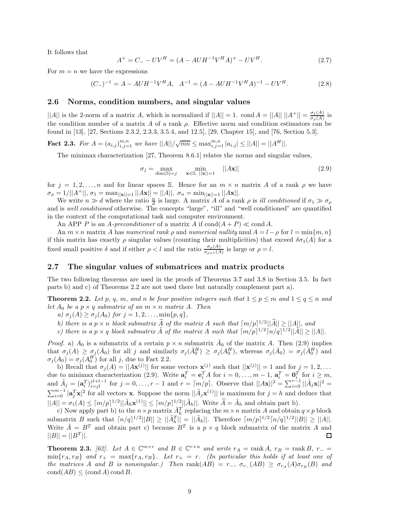It follows that

$$
A^{+} = C_{-} - UV^{H} = (A - A U H^{-1} V^{H} A)^{+} - UV^{H}.
$$
\n(2.7)

For  $m = n$  we have the expressions

$$
(C_{-})^{-1} = A - A U H^{-1} V^{H} A, \quad A^{-1} = (A - A U H^{-1} V^{H} A)^{-1} - U V^{H}.
$$
 (2.8)

# **2.6 Norms, condition numbers, and singular values**

 $||A||$  is the 2-norm of a matrix A, which is normalized if  $||A|| = 1$ . cond  $A = ||A|| ||A^+|| = \frac{\sigma_1(A)}{\sigma_\rho(A)}$  is the condition number of a matrix A of a rank  $\rho$ . Effective norm and condition estimators can be found in [13], [27, Sections 2.3.2, 2.3.3, 3.5.4, and 12.5], [29, Chapter 15], and [76, Section 5.3].

**Fact 2.3.** For  $A = (a_{i,j})_{i,j=1}^{m,n}$  we have  $||A||/\sqrt{mn} \leq \max_{i,j=1}^{m,n} |a_{i,j}| \leq ||A|| = ||A^H||$ .

The minimax characterization [27, Theorem 8.6.1] relates the norms and singular values,

$$
\sigma_j = \max_{\dim(\mathbb{S}) = j} \min_{\mathbf{x} \in \mathbb{S}, \ ||\mathbf{x}|| = 1} \quad ||A\mathbf{x}|| \tag{2.9}
$$

for  $j = 1, 2, \ldots, n$  and for linear spaces S. Hence for an  $m \times n$  matrix A of a rank  $\rho$  we have  $\sigma_{\rho} = 1/||A^+||$ ,  $\sigma_1 = \max_{\|\mathbf{x}\| = 1} ||A\mathbf{x}|| = ||A||$ ,  $\sigma_n = \min_{\|\mathbf{x}\| = 1} ||A\mathbf{x}||$ .

We write  $n \gg d$  where the ratio  $\frac{n}{d}$  is large. A matrix A of a rank  $\rho$  is *ill conditioned* if  $\sigma_1 \gg \sigma_\rho$ and is *well conditioned* otherwise. The concepts "large", "ill" and "well conditioned" are quantified in the context of the computational task and computer environment.

An APP P is an A-preconditioner of a matrix A if  $\text{cond}(A + P) \ll \text{cond}(A)$ .

An  $m \times n$  matrix A has *numerical rank*  $\rho$  and *numerical nullity* nnul  $A = l - \rho$  for  $l = \min\{m, n\}$ if this matrix has exactly  $\rho$  singular values (counting their multiplicities) that exceed  $\delta\sigma_1(A)$  for a fixed small positive  $\delta$  and if either  $\rho < l$  and the ratio  $\frac{\sigma_{\rho}(A)}{\sigma_{\rho+1}(A)}$  is large or  $\rho = l$ .

# **2.7 The singular values of submatrices and matrix products**

The two following theorems are used in the proofs of Theorems 3.7 and 3.8 in Section 3.5. In fact parts b) and c) of Theorems 2.2 are not used there but naturally complement part a).

**Theorem 2.2.** *Let* p, q, m, and n be four positive integers such that  $1 \leq p \leq m$  and  $1 \leq q \leq n$  and *let*  $A_0$  *be a*  $p \times q$  *submatrix of an*  $m \times n$  *matrix* A. *Then* 

*a)*  $\sigma_j(A) \geq \sigma_j(A_0)$  *for*  $j = 1, 2, ..., \min\{p, q\},$ 

*b)* there is a  $p \times n$  block submatrix  $\widehat{A}$  of the matrix  $A$  such that  $\lfloor m/p \rfloor^{1/2} ||\widehat{A}|| \ge ||A||$ , and

*c*) there is a  $p \times q$  block submatrix  $\tilde{A}$  of the matrix  $A$  such that  $\lceil m/p \rceil^{1/2} \lceil n/q \rceil^{1/2} ||\tilde{A}|| > ||A||$ .

*Proof.* a)  $A_0$  is a submatrix of a certain  $p \times n$  submatrix  $\overline{A}_0$  of the matrix A. Then (2.9) implies that  $\sigma_j(A) \geq \sigma_j(\bar{A}_0)$  for all j and similarly  $\sigma_j(\bar{A}_0^H) \geq \sigma_j(A_0^H)$ , whereas  $\sigma_j(\bar{A}_0) = \sigma_j(\bar{A}_0^H)$  and  $\sigma_j(A_0) = \sigma_j(A_0^H)$  for all j, due to Fact 2.2.

b) Recall that  $\sigma_j(A) = ||A\mathbf{x}^{(j)}||$  for some vectors  $\mathbf{x}^{(j)}$  such that  $||\mathbf{x}^{(j)}|| = 1$  and for  $j = 1, 2, ...$ due to minimax characterization (2.9). Write  $\mathbf{a}_i^T = \mathbf{e}_i^T A$  for  $i = 0, \ldots, m-1$ ,  $\mathbf{a}_i^T = \mathbf{0}_i^T$  for  $i \geq m$ , and  $\tilde{A}_j = (\mathbf{a}_i^T)_{i=jl}^{j_l+l-1}$  for  $j = 0, \ldots, r-1$  and  $r = \lceil m/p \rceil$ . Observe that  $||A\mathbf{x}||^2 = \sum_{i=0}^{r-1} ||\tilde{A}_j\mathbf{x}||^2 =$  $\sum_{i=0}^{m-1} |\mathbf{a}_j^T \mathbf{x}|^2$  for all vectors **x**. Suppose the norm  $||\tilde{A}_j \mathbf{x}^{(1)}||$  is maximum for  $j = h$  and deduce that  $||A|| = \sigma_1(A) \leq \lceil m/p \rceil^{1/2} ||\tilde{A}_h \mathbf{x}^{(1)}|| \leq \lceil m/p \rceil^{1/2} ||\tilde{A}_h||$ . Write  $\hat{A} = \tilde{A}_h$  and obtain part b).

c) Now apply part b) to the  $n \times p$  matrix  $\tilde{A}_h^T$  replacing the  $m \times n$  matrix A and obtain  $q \times p$  block submatrix B such that  $\lceil n/q \rceil^{1/2} ||B|| \ge ||\tilde{A}_h^T|| = ||\tilde{A}_h||$ . Therefore  $\lceil m/p \rceil^{1/2} \lceil n/q \rceil^{1/2} ||B|| \ge ||A||$ . Write  $\tilde{A} = B^T$  and obtain part c) because  $B^T$  is a  $p \times q$  block submatrix of the matrix A and  $||B|| = ||B<sup>T</sup>||.$ ◻

**Theorem 2.3.** *[62].* Let  $A \in \mathbb{C}^{m \times r}$  and  $B \in \mathbb{C}^{r \times n}$  and write  $r_A = \text{rank } A$ ,  $r_B = \text{rank } B$ ,  $r_- =$  $\min\{r_A, r_B\}$  and  $r_+ = \max\{r_A, r_B\}$ . Let  $r_+ = r$ . (In particular this holds if at least one of *the matrices* A *and* B *is nonsingular.*) Then  $\text{rank}(AB) = r_-, \ \sigma_{r_-}(AB) \geq \sigma_{r_A}(A)\sigma_{r_B}(B)$  and  $\text{cond}(AB) \leq (\text{cond }A) \text{ cond }B.$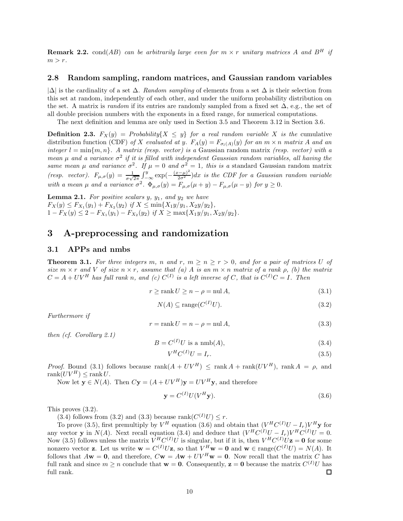**Remark 2.2.** cond(AB) can be arbitrarily large even for  $m \times r$  unitary matrices A and  $B<sup>H</sup>$  if  $m>r$ .

#### **2.8 Random sampling, random matrices, and Gaussian random variables**

|∆| is the cardinality of a set ∆. *Random sampling* of elements from a set ∆ is their selection from this set at random, independently of each other, and under the uniform probability distribution on the set. A matrix is *random* if its entries are randomly sampled from a fixed set ∆, e.g., the set of all double precision numbers with the exponents in a fixed range, for numerical computations.

The next definition and lemma are only used in Section 3.5 and Theorem 3.12 in Section 3.6.

**Definition 2.3.**  $F_X(y) =$  *Probability*{ $X \leq y$ } *for a real random variable* X *is the* cumulative distribution function (CDF) of X evaluated at y.  $F_A(y) = F_{\sigma_l(A)}(y)$  for an  $m \times n$  matrix A and an *integer*  $l = \min\{m, n\}$ . A matrix (resp. vector) is a Gaussian random matrix (resp. vector) with a *mean*  $\mu$  *and a variance*  $\sigma^2$  *if it is filled with independent Gaussian random variables, all having the same mean*  $\mu$  *and variance*  $\sigma^2$ *. If*  $\mu = 0$  *and*  $\sigma^2 = 1$ *, this is a* standard Gaussian random matrix *(resp. vector).*  $F_{\mu,\sigma}(y) = \frac{1}{\sigma\sqrt{2\pi}} \int_{-\infty}^{y} \exp(-\frac{(x-\mu)^2}{2\sigma^2})dx$  is the CDF for a Gaussian random variable *with a mean*  $\mu$  *and a variance*  $\sigma^2$ .  $\Phi_{\mu,\sigma}(y) = F_{\mu,\sigma}(\mu + y) - F_{\mu,\sigma}(\mu - y)$  *for*  $y \ge 0$ *.* 

**Lemma 2.1.** For positive scalars  $y$ ,  $y_1$ , and  $y_2$  we have  $F_X(y) \leq F_{X_1}(y_1) + F_{X_2}(y_2)$  *if*  $X \leq \min\{X_1y/y_1, X_2y/y_2\}$ ,  $1 - F_X(y) \leq 2 - F_{X_1}(y_1) - F_{X_2}(y_2)$  *if*  $X \geq \max\{X_1y/y_1, X_2y/y_2\}.$ 

# **3 A-preprocessing and randomization**

### **3.1 APPs and nmbs**

**Theorem 3.1.** For three integers m, n and r,  $m > n > r > 0$ , and for a pair of matrices U of *size*  $m \times r$  *and* V *of size*  $n \times r$ *, assume that* (a) A *is an*  $m \times n$  *matrix of a rank*  $\rho$ *, (b) the matrix*  $C = A + UV^H$  has full rank n, and (c)  $C^{(I)}$  is a left inverse of C, that is  $C^{(I)}C = I$ . Then

$$
r \ge \operatorname{rank} U \ge n - \rho = \operatorname{nil} A,\tag{3.1}
$$

$$
N(A) \subseteq \text{range}(C^{(I)}U). \tag{3.2}
$$

*Furthermore if*

$$
r = \text{rank } U = n - \rho = \text{null } A,\tag{3.3}
$$

*then (cf. Corollary 2.1)*

$$
B = C^{(I)}U \text{ is a nmb}(A),\tag{3.4}
$$

$$
V^H C^{(I)} U = I_r. \tag{3.5}
$$

*Proof.* Bound (3.1) follows because  $\text{rank}(A + UV^H) < \text{rank }A + \text{rank}(UV^H)$ ,  $\text{rank }A = \rho$ , and rank $(UV^H)$  < rank U.

Now let  $\mathbf{y} \in N(A)$ . Then  $C\mathbf{y} = (A + UV^H)\mathbf{y} = UV^H\mathbf{y}$ , and therefore

$$
\mathbf{y} = C^{(I)} U (V^H \mathbf{y}). \tag{3.6}
$$

This proves (3.2).

(3.4) follows from (3.2) and (3.3) because rank( $C^{(I)}U$ )  $\leq r$ .

To prove (3.5), first premultiply by  $V^H$  equation (3.6) and obtain that  $(V^H C^{(I)}U - I_r)V^H$ **y** for any vector **y** in  $N(A)$ . Next recall equation (3.4) and deduce that  $(V^HC^{(I)}U - I_r)V^HC^{(I)}U = 0$ . Now (3.5) follows unless the matrix  $V^H C^{(I)} U$  is singular, but if it is, then  $V^H C^{(I)} U \mathbf{z} = \mathbf{0}$  for some nonzero vector **z**. Let us write  $\mathbf{w} = C^{(I)}U\mathbf{z}$ , so that  $V^H\mathbf{w} = \mathbf{0}$  and  $\mathbf{w} \in \text{range}(C^{(I)}U) = N(A)$ . It follows that  $A\mathbf{w} = \mathbf{0}$ , and therefore,  $C\mathbf{w} = A\mathbf{w} + UV^H\mathbf{w} = \mathbf{0}$ . Now recall that the matrix C has full rank and since  $m \geq n$  conclude that  $\mathbf{w} = \mathbf{0}$ . Consequently,  $\mathbf{z} = \mathbf{0}$  because the matrix  $C^{(I)}U$  has full rank. 口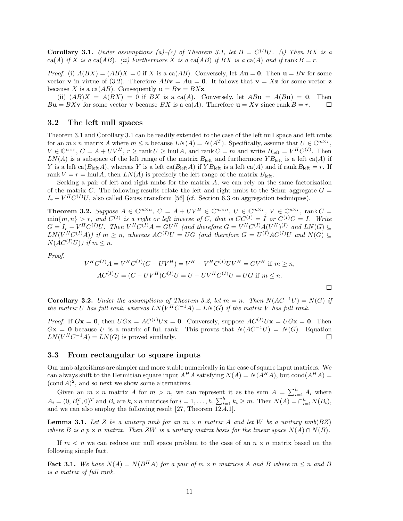**Corollary 3.1.** *Under assumptions*  $(a)$ – $(c)$  of Theorem 3.1, let  $B = C^{(I)}U$ . (i) Then BX is a ca(A) *if* X *is a* ca(AB). (*ii*) Furthermore X *is a* ca(AB) *if* BX *is a* ca(A) and *if* rank  $B = r$ .

*Proof.* (i)  $A(BX) = (AB)X = 0$  if X is a ca(AB). Conversely, let  $A$ **u** = **0**. Then **u** = B**v** for some vector **v** in virtue of (3.2). Therefore  $ABv = Au = 0$ . It follows that  $v = Xz$  for some vector **z** because X is a ca( $AB$ ). Consequently  $\mathbf{u} = B\mathbf{v} = B\mathbf{X}\mathbf{z}$ .

(ii)  $(AB)X = A(BX) = 0$  if  $BX$  is a ca(A). Conversely, let  $AB\mathbf{u} = A(B\mathbf{u}) = \mathbf{0}$ . Then  $B**u** = BX**v**$  for some vector **v** because BX is a ca(A). Therefore  **since rank**  $B = r$ **.** П

# **3.2 The left null spaces**

Theorem 3.1 and Corollary 3.1 can be readily extended to the case of the left null space and left nmbs for an  $m \times n$  matrix A where  $m \leq n$  because  $LN(A) = N(A^T)$ . Specifically, assume that  $U \in \mathbb{C}^{m \times r}$ ,  $V \in \mathbb{C}^{n \times r}$ ,  $C = A + UV^H$ ,  $r \ge \text{rank } U \ge \text{lnul } A$ , and  $\text{rank } C = m$  and write  $B_{\text{left}} = V^H C^{(I)}$ . Then  $LN(A)$  is a subspace of the left range of the matrix  $B_{\text{left}}$  and furthermore  $YB_{\text{left}}$  is a left ca(A) if Y is a left ca( $B_{\text{left}}A$ ), whereas Y is a left ca( $B_{\text{left}}A$ ) if  $YB_{\text{left}}$  is a left ca(A) and if rank  $B_{\text{left}} = r$ . If rank  $V = r = \text{lnul } A$ , then  $LN(A)$  is precisely the left range of the matrix  $B_{\text{left}}$ .

Seeking a pair of left and right nmbs for the matrix  $A$ , we can rely on the same factorization of the matrix C. The following results relate the left and right nmbs to the Schur aggregate  $G =$  $I_r - V^H C^{(I)} U$ , also called Gauss transform [56] (cf. Section 6.3 on aggregation techniques).

**Theorem 3.2.** Suppose  $A \in \mathbb{C}^{m \times n}$ ,  $C = A + UV^H \in \mathbb{C}^{m \times n}$ ,  $U \in \mathbb{C}^{m \times r}$ ,  $V \in \mathbb{C}^{n \times r}$ , rank  $C =$  $\min\{m, n\} > r$ , and  $C^{(I)}$  is a right or left inverse of C, that is  $CC^{(I)} = I$  or  $C^{(I)}C = I$ . Write  $G = I_r - V^H C^{(I)} U$ . Then  $V^H C^{(I)} A = G V^H$  (and therefore  $G = V^H C^{(I)} A (V^H)^{(I)}$  and  $LN(G) \subseteq$  $LN(V^HC^{(I)}A))$  if  $m \geq n$ , whereas  $AC^{(I)}U = UG$  (and therefore  $G = U^{(I)}AC^{(I)}U$  and  $N(G) \subseteq$  $N(\hat{A}C^{(I)}U)$ *)* if  $m \leq n$ .

*Proof.*

$$
V^H C^{(I)} A = V^H C^{(I)} (C - UV^H) = V^H - V^H C^{(I)} UV^H = G V^H \text{ if } m \ge n,
$$
  

$$
AC^{(I)} U = (C - UV^H) C^{(I)} U = U - UV^H C^{(I)} U = U G \text{ if } m \le n.
$$

П

**Corollary 3.2.** *Under the assumptions of Theorem 3.2, let*  $m = n$ . *Then*  $N(AC^{-1}U) = N(G)$  *if the matrix* U *has full rank, whereas*  $LN(V^HC^{-1}A) = LN(G)$  *if the matrix* V *has full rank.* 

*Proof.* If  $G\mathbf{x} = \mathbf{0}$ , then  $UG\mathbf{x} = AC^{(I)}U\mathbf{x} = \mathbf{0}$ . Conversely, suppose  $AC^{(I)}U\mathbf{x} = UG\mathbf{x} = \mathbf{0}$ . Then  $G$ **x** = **0** because U is a matrix of full rank. This proves that  $N(AC^{-1}U) = N(G)$ . Equation  $LN(V^H C^{-1} A) = LN(G)$  is proved similarly.  $\Box$ 

#### **3.3 From rectangular to square inputs**

Our nmb algorithms are simpler and more stable numerically in the case of square input matrices. We can always shift to the Hermitian square input  $A^H A$  satisfying  $N(A) = N(A^H A)$ , but cond $(A^H A) =$  $(\text{cond } A)^2$ , and so next we show some alternatives.

Given an  $m \times n$  matrix A for  $m > n$ , we can represent it as the sum  $A = \sum_{i=1}^{h} A_i$  where  $A_i = (0, B_i^T, 0)^T$  and  $B_i$  are  $k_i \times n$  matrices for  $i = 1, \ldots, h, \sum_{i=1}^h k_i \ge m$ . Then  $N(A) = \bigcap_{i=1}^h N(B_i)$ , and we can also employ the following result [27, Theorem 12.4.1].

**Lemma 3.1.** Let Z be a unitary nmb for an  $m \times n$  matrix A and let W be a unitary  $nmb(BZ)$ *where* B *is a*  $p \times n$  *matrix. Then* ZW *is a unitary matrix basis for the linear space*  $N(A) \cap N(B)$ *.* 

If  $m < n$  we can reduce our null space problem to the case of an  $n \times n$  matrix based on the following simple fact.

**Fact 3.1.** We have  $N(A) = N(B^H A)$  for a pair of  $m \times n$  matrices A and B where  $m \leq n$  and B *is a matrix of full rank.*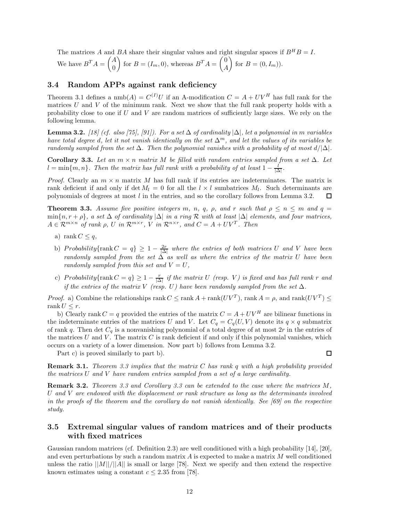The matrices A and BA share their singular values and right singular spaces if  $B^H B = I$ .

We have 
$$
B^T A = \begin{pmatrix} A \\ 0 \end{pmatrix}
$$
 for  $B = (I_m, 0)$ , whereas  $B^T A = \begin{pmatrix} 0 \\ A \end{pmatrix}$  for  $B = (0, I_m)$ ).

# **3.4 Random APPs against rank deficiency**

Theorem 3.1 defines a  $\text{nmb}(A) = C^{(I)}U$  if an A-modification  $C = A + UV^H$  has full rank for the matrices  $U$  and  $V$  of the minimum rank. Next we show that the full rank property holds with a probability close to one if  $U$  and  $V$  are random matrices of sufficiently large sizes. We rely on the following lemma.

**Lemma 3.2.** *[18] (cf. also [75], [91]). For a set* ∆ *of cardinality* |∆|*, let a polynomial in* m *variables have total degree* d*, let it not vanish identically on the set* ∆m*, and let the values of its variables be randomly sampled from the set*  $\Delta$ *. Then the polynomial vanishes with a probability of at most*  $d/|\Delta|$ *.* 

**Corollary 3.3.** *Let an*  $m \times n$  *matrix* M *be filled with random entries sampled from a set*  $\Delta$ *. Let*  $l = \min\{m, n\}$ . Then the matrix has full rank with a probability of at least  $1 - \frac{l}{|\Delta|}$ .

*Proof.* Clearly an  $m \times n$  matrix M has full rank if its entries are indeterminates. The matrix is rank deficient if and only if det  $M_l = 0$  for all the  $l \times l$  sumbatrices  $M_l$ . Such determinants are polynomials of degrees at most l in the entries, and so the corollary follows from Lemma 3.2. ◻

**Theorem 3.3.** *Assume five positive integers* m, n, q,  $\rho$ , and r such that  $\rho \leq n \leq m$  and  $q =$  $\min\{n, r + \rho\}$ , a set  $\Delta$  of cardinality  $|\Delta|$  in a ring R with at least  $|\Delta|$  *elements, and four matrices,*  $A \in \mathcal{R}^{m \times n}$  *of rank*  $\rho$ *, U in*  $\mathcal{R}^{m \times r}$ *, V in*  $\mathcal{R}^{n \times r}$ *, and*  $C = A + UV^T$ *. Then* 

- a) rank  $C \leq q$ ,
- b) Probability{rank  $C = q$ }  $\geq 1 \frac{2r}{|\Delta|}$  where the entries of both matrices U and V have been *randomly sampled from the set* ∆ *as well as where the entries of the matrix* U *have been randomly sampled from this set and*  $V = U$ ,
- c) Probability{rank  $C = q$ }  $\geq 1 \frac{r}{|\Delta|}$  if the matrix U *(resp. V)* is fixed and has full rank r and *if the entries of the matrix* V *(resp. U)* have been randomly sampled from the set  $\Delta$ .

*Proof.* a) Combine the relationships rank  $C \leq \text{rank } A + \text{rank}(UV^T)$ , rank  $A = \rho$ , and rank $(UV^T) \leq$ rank  $U \leq r$ .

b) Clearly rank  $C = q$  provided the entries of the matrix  $C = A + UV^H$  are bilinear functions in the indeterminate entries of the matrices U and V. Let  $C_q = C_q(U, V)$  denote its  $q \times q$  submatrix of rank q. Then det  $C_q$  is a nonvanishing polynomial of a total degree of at most 2r in the entries of the matrices  $U$  and  $V$ . The matrix  $C$  is rank deficient if and only if this polynomial vanishes, which occurs on a variety of a lower dimension. Now part b) follows from Lemma 3.2.

Part c) is proved similarly to part b).

口

**Remark 3.1.** *Theorem 3.3 implies that the matrix* C *has rank* q *with a high probability provided the matrices* U *and* V *have random entries sampled from a set of a large cardinality.*

**Remark 3.2.** *Theorem 3.3 and Corollary 3.3 can be extended to the case where the matrices* M*,* U *and* V *are endowed with the displacement or rank structure as long as the determinants involved in the proofs of the theorem and the corollary do not vanish identically. See [69] on the respective study.*

# **3.5 Extremal singular values of random matrices and of their products with fixed matrices**

Gaussian random matrices (cf. Definition 2.3) are well conditioned with a high probability [14], [20], and even perturbations by such a random matrix  $A$  is expected to make a matrix  $M$  well conditioned unless the ratio  $||M||/||A||$  is small or large [78]. Next we specify and then extend the respective known estimates using a constant  $c \leq 2.35$  from [78].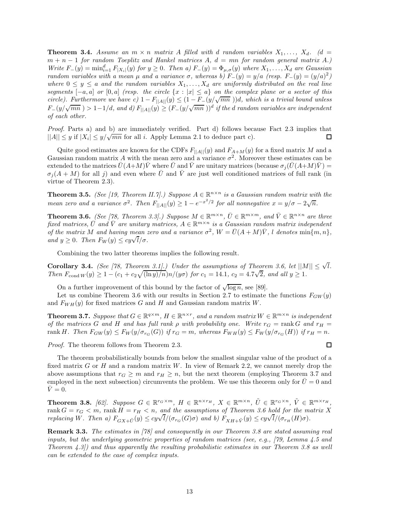**Theorem 3.4.** Assume an  $m \times n$  matrix A filled with d random variables  $X_1, \ldots, X_d$ . (d = m + n − 1 *for random Toeplitz and Hankel matrices* A*,* d = mn *for random general matrix* A*.)*  $Write\ F_{-}(y) = \min_{i=1}^d F_{|X_i|}(y)$  *for*  $y \ge 0$ *. Then a)*  $F_{-}(y) = \Phi_{\mu,\sigma}(y)$  *where*  $X_1, \ldots, X_d$  *are Gaussian random variables with a mean*  $\mu$  *and a variance*  $\sigma$ *, whereas b)*  $F_-(y) = y/a$  *(resp.*  $F_-(y) = (y/a)^2$ *)* where  $0 \leq y \leq a$  and the random variables  $X_1, \ldots, X_d$  are uniformly distributed on the real line *segments*  $[-a, a]$  *or*  $[0, a]$  *(resp. the circle*  $\{x : |x| \le a\}$  *on the complex plane or a sector of this circle). Furthermore we have c)*  $1 - F_{\vert A \vert} (y) \leq (1 - F_{-}(y/\sqrt{mn})))d$ , which is a trivial bound unless  $F_-(y/\sqrt{mn}) > 1-1/d$ , and d)  $F_{\vert A \vert \vert}(y) \geq (F_-(y/\sqrt{mn}))^d$  *if the d random variables are independent of each other.*

*Proof.* Parts a) and b) are immediately verified. Part d) follows because Fact 2.3 implies that  $||A|| \leq y$  if  $|X_i| \leq y/\sqrt{mn}$  for all *i*. Apply Lemma 2.1 to deduce part c). ◻

Quite good estimates are known for the CDFs  $F_{||A||}(y)$  and  $F_{A+M}(y)$  for a fixed matrix M and a Gaussian random matrix A with the mean zero and a variance  $\sigma^2$ . Moreover these estimates can be extended to the matrices  $\bar{U}(A+M)\bar{V}$  where  $\bar{U}$  and  $\bar{V}$  are unitary matrices (because  $\sigma_i(\bar{U}(A+M)\bar{V}) =$  $\sigma_i(A + M)$  for all j) and even where  $\bar{U}$  and  $\bar{V}$  are just well conditioned matrices of full rank (in virtue of Theorem 2.3).

**Theorem 3.5.** *(See [19, Theorem II.7].) Suppose*  $A \in \mathbb{R}^{n \times n}$  *is a Gaussian random matrix with the mean zero and a variance*  $\sigma^2$ . Then  $F_{\vert A \vert \vert}(y) \geq 1 - e^{-x^2/2}$  *for all nonnegative*  $x = y/\sigma - 2\sqrt{n}$ .

**Theorem 3.6.** *(See [78, Theorem 3.3].) Suppose*  $M \in \mathbb{R}^{m \times n}$ ,  $\overline{U} \in \mathbb{R}^{m \times m}$ , and  $\overline{V} \in \mathbb{R}^{n \times n}$  are three *fixed matrices,*  $\overline{U}$  *and*  $\overline{V}$  *are unitary matrices,*  $A \in \mathbb{R}^{m \times n}$  *is a Gaussian random matrix independent of the matrix* M *and having mean zero and a variance*  $\sigma^2$ ,  $W = \overline{U}(A + M)\overline{V}$ , *l denotes* min{m, n}, *and*  $y \geq 0$ *. Then*  $F_W(y) \leq cy\sqrt{l}/\sigma$ *.* 

Combining the two latter theorems implies the following result.

**Corollary 3.4.** *(See [78, Theorem 3.1].) Under the assumptions of Theorem 3.6, let*  $||M|| \leq \sqrt{l}$ . *Then*  $F_{\text{cond }W}(y) \ge 1 - (c_1 + c_2 \sqrt{\frac{\ln y}{n}})n/(y\sigma)$  *for*  $c_1 = 14.1$ ,  $c_2 = 4.7\sqrt{2}$ , and all  $y \ge 1$ .

On a further improvement of this bound by the factor of  $\sqrt{\log n}$ , see [89].

Let us combine Theorem 3.6 with our results in Section 2.7 to estimate the functions  $F_{GW}(y)$ and  $F_{WH}(y)$  for fixed matrices G and H and Gaussian random matrix W.

**Theorem 3.7.** Suppose that  $G \in \mathbb{R}^{q \times m}$ ,  $H \in \mathbb{R}^{n \times r}$ , and a random matrix  $W \in \mathbb{R}^{m \times n}$  is independent *of the matrices* G and H and has full rank  $\rho$  with probability one. Write  $r_G = \text{rank } G$  and  $r_H =$ rank H. Then  $F_{GW}(y) \leq F_W(y/\sigma_{r_G}(G))$  *if*  $r_G = m$ , whereas  $F_{WH}(y) \leq F_W(y/\sigma_{r_G}(H))$  *if*  $r_H = n$ .

*Proof.* The theorem follows from Theorem 2.3.

The theorem probabilistically bounds from below the smallest singular value of the product of a fixed matrix G or H and a random matrix W. In view of Remark 2.2, we cannot merely drop the above assumptions that  $r_G \geq m$  and  $r_H \geq n$ , but the next theorem (employing Theorem 3.7 and employed in the next subsection) circumvents the problem. We use this theorem only for  $U=0$  and  $\overline{V} = 0.$ 

**Theorem 3.8.** [62]. Suppose  $G \in \mathbb{R}^{r_G \times m}$ ,  $H \in \mathbb{R}^{n \times r_H}$ ,  $X \in \mathbb{R}^{m \times n}$ ,  $\tilde{U} \in \mathbb{R}^{r_G \times n}$ ,  $\tilde{V} \in \mathbb{R}^{m \times r_H}$ , rank  $G = r_G < m$ , rank  $H = r_H < n$ , and the assumptions of Theorem 3.6 hold for the matrix X replacing W. Then a)  $F_{GX+\tilde{U}}(y) \leq cy\sqrt{l}/(\sigma_{r_G}(G)\sigma)$  and b)  $F_{XH+\tilde{V}}(y) \leq cy\sqrt{l}/(\sigma_{r_H}(H)\sigma)$ .

**Remark 3.3.** *The estimates in [78] and consequently in our Theorem 3.8 are stated assuming real inputs, but the underlying geometric properties of random matrices (see, e.g., [79, Lemma 4.5 and Theorem 4.3]) and thus apparently the resulting probabilistic estimates in our Theorem 3.8 as well can be extended to the case of complex inputs.*

口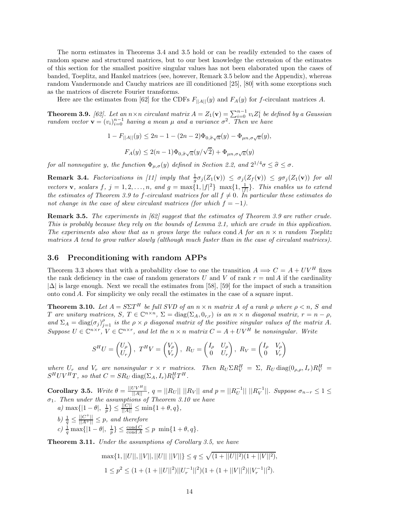The norm estimates in Theorems 3.4 and 3.5 hold or can be readily extended to the cases of random sparse and structured matrices, but to our best knowledge the extension of the estimates of this section for the smallest positive singular values has not been elaborated upon the cases of banded, Toeplitz, and Hankel matrices (see, however, Remark 3.5 below and the Appendix), whereas random Vandermonde and Cauchy matrices are ill conditioned [25], [80] with some exceptions such as the matrices of discrete Fourier transforms.

Here are the estimates from [62] for the CDFs  $F_{\parallel A\parallel}(y)$  and  $F_A(y)$  for f-circulant matrices A.

**Theorem 3.9.** [62]. Let an  $n \times n$  circulant matrix  $A = Z_1(\mathbf{v}) = \sum_{i=0}^{n-1} v_i Z_1^i$  be defined by a Gaussian *random vector*  $\mathbf{v} = (v_i)_{i=0}^{n-1}$  *having a mean*  $\mu$  *and a variance*  $\sigma^2$ . Then we have

 $1 - F_{\vert A \vert \vert}(y) \leq 2n - 1 - (2n - 2)\Phi_{0,\hat{\sigma}\sqrt{n}}(y) - \Phi_{\mu n,\sigma\sqrt{n}}(y),$ 

$$
F_A(y) \le 2(n-1)\Phi_{0,\widehat{\sigma}\sqrt{n}}(y/\sqrt{2}) + \Phi_{\mu n,\sigma\sqrt{n}}(y)
$$

*for all nonnegative* y, the function  $\Phi_{\mu,\sigma}(y)$  *defined in Section 2.2, and*  $2^{1/4}\sigma \leq \hat{\sigma} \leq \sigma$ .

**Remark 3.4.** *Factorizations in [11] imply that*  $\frac{1}{g}\sigma_j(Z_1(\mathbf{v})) \leq \sigma_j(Z_f(\mathbf{v})) \leq g\sigma_j(Z_1(\mathbf{v}))$  *for all vectors* **v***, scalars* f*,*  $j = 1, 2, ..., n$ *, and*  $g = \max\{1, |f|^2\} \max\{1, \frac{1}{|f|}\}\$ *. This enables us to extend the estimates of Theorem 3.9 to f-circulant matrices for all*  $f \neq 0$ *. In particular these estimates do not change in the case of skew circulant matrices (for which*  $f = -1$ ).

**Remark 3.5.** *The experiments in [62] suggest that the estimates of Theorem 3.9 are rather crude. This is probably because they rely on the bounds of Lemma 2.1, which are crude in this application. The experiments also show that as n grows large the values* cond A *for an*  $n \times n$  *random Toeplitz matrices* A *tend to grow rather slowly (although much faster than in the case of circulant matrices).*

### **3.6 Preconditioning with random APPs**

Theorem 3.3 shows that with a probability close to one the transition  $A \implies C = A + UV^H$  fixes the rank deficiency in the case of random generators U and V of rank  $r = \text{null } A$  if the cardinality  $|\Delta|$  is large enough. Next we recall the estimates from [58], [59] for the impact of such a transition onto cond A. For simplicity we only recall the estimates in the case of a square input.

**Theorem 3.10.** Let  $A = S\Sigma T^H$  be full SVD of an  $n \times n$  matrix A of a rank  $\rho$  where  $\rho \leq n$ , S and T are unitary matrices,  $S, T \in \mathbb{C}^{n \times n}, \Sigma = \text{diag}(\Sigma_A, 0_{r,r})$  *is an*  $n \times n$  *diagonal matrix,*  $r = n - \rho$ *,* and  $\Sigma_A = \text{diag}(\sigma_j)_{j=1}^{\rho}$  *is the*  $\rho \times \rho$  *diagonal matrix of the positive singular values of the matrix* A. *Suppose*  $U \in \mathbb{C}^{n \times r}$ ,  $V \in \mathbb{C}^{n \times r}$ , and let the  $n \times n$  *matrix*  $C = A + UV^H$  *be nonsingular. Write* 

$$
S^{H}U = \begin{pmatrix} U_{\rho} \\ U_{r} \end{pmatrix}, T^{H}V = \begin{pmatrix} V_{\rho} \\ V_{r} \end{pmatrix}, R_{U} = \begin{pmatrix} I_{\rho} & U_{\rho} \\ 0 & U_{r} \end{pmatrix}, R_{V} = \begin{pmatrix} I_{\rho} & V_{\rho} \\ 0 & V_{r} \end{pmatrix}
$$

where  $U_r$  and  $V_r$  are nonsingular  $r \times r$  matrices. Then  $R_U \Sigma R_V^H = \Sigma$ ,  $R_U \text{diag}(0_{\rho,\rho},I_r)R_V^H =$  $S^H UV^H T$ , so that  $C = SR_U \text{ diag}(\Sigma_A, I_r) R_V^H T^H$ .

**Corollary 3.5.** *Write*  $\theta = \frac{||UV^H||}{||A||}$ ,  $q = ||R_U|| ||R_V||$  and  $p = ||R_U^{-1}|| ||R_V^{-1}||$ . Suppose  $\sigma_{n-r} \leq 1 \leq$ σ1*. Then under the assumptions of Theorem 3.10 we have*

*a)*  $\max\{|1-\theta|, \frac{1}{p}\}\leq \frac{||C||}{||A||}\leq \min\{1+\theta, q\},\$ *b*)  $\frac{1}{q} \leq \frac{||C^+||}{||A^+||} \leq p$ , and therefore  $c) \frac{1}{q} \max\{|1-\theta|, \frac{1}{p}\}\leq \frac{\text{cond } C}{\text{cond } A}\leq p \min\{1+\theta, q\}.$ 

**Theorem 3.11.** *Under the assumptions of Corollary 3.5, we have*

$$
\max\{1,||U||,||V||,||U|| ||V||\} \le q \le \sqrt{(1+||U||^2)(1+||V||^2)},
$$
  

$$
1 \le p^2 \le (1+(1+||U||^2)||U_r^{-1}||^2)(1+(1+||V||^2)||V_r^{-1}||^2).
$$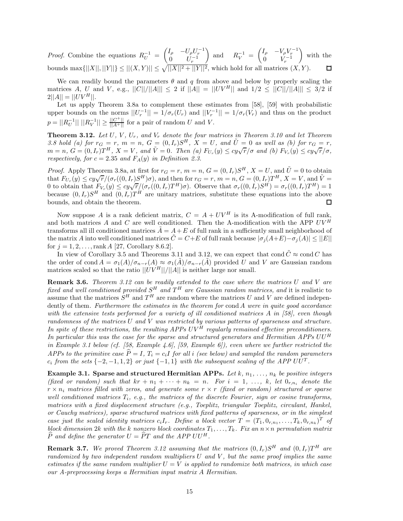*Proof.* Combine the equations  $R_U^{-1} = \begin{pmatrix} I_\rho & -U_\rho U_r^{-1} \\ 0 & U_r^{-1} \end{pmatrix}$ 0  $U_r^{-1}$ ) and  $R_V^{-1} = \begin{pmatrix} I_\rho & -V_\rho V_r^{-1} \\ 0 & V^{-1} \end{pmatrix}$ 0  $V_r^{-1}$ - with the bounds  $\max\{||X||, ||Y||\} \le ||(X, Y)|| \le \sqrt{||X||^2 + ||Y||^2}$ , which hold for all matrices  $(X, Y)$ .

We can readily bound the parameters  $\theta$  and q from above and below by properly scaling the matrices A, U and V, e.g.,  $||C||/||A||| \le 2$  if  $||A|| = ||UV^H||$  and  $1/2 \le ||C||/||A||| \le 3/2$  if  $2||A|| = ||UV^H||.$ 

Let us apply Theorem 3.8a to complement these estimates from [58], [59] with probabilistic upper bounds on the norms  $||U_r^{-1}|| = 1/\sigma_r(U_r)$  and  $||V_r^{-1}|| = 1/\sigma_r(V_r)$  and thus on the product  $p = ||R_U^{-1}|| \, ||R_V^{-1}|| \ge \frac{||C^+||}{||A^+||}$  for a pair of random U and V.

**Theorem 3.12.** Let  $U, V, U_r$ , and  $V_r$  denote the four matrices in Theorem 3.10 and let Theorem **3.8** hold (a) for  $r_G = r$ ,  $m = n$ ,  $G = (0, I_r)S^H$ ,  $X = U$ , and  $\tilde{U} = 0$  as well as (b) for  $r_G = r$ ,  $m = n$ ,  $G = (0, I_r)T^H$ ,  $X = V$ , and  $\tilde{V} = 0$ . Then (a)  $F_{U_r}(y) \leq cy\sqrt{r}/\sigma$  and (b)  $F_{V_r}(y) \leq cy\sqrt{r}/\sigma$ , *respectively, for*  $c = 2.35$  *and*  $F_A(y)$  *in Definition 2.3.* 

*Proof.* Apply Theorem 3.8a, at first for  $r_G = r$ ,  $m = n$ ,  $G = (0, I_r)S^H$ ,  $X = U$ , and  $\tilde{U} = 0$  to obtain that  $F_{U_r}(y) \leq cy\sqrt{r}/(\sigma_r((0, I_r)S^H)\sigma)$ , and then for  $r_G = r$ ,  $m = n$ ,  $G = (0, I_r)T^H$ ,  $X = V$ , and  $\tilde{V} =$ of the obtain that  $F_{V_r}(y) \leq c y \sqrt{r}/(\sigma_r((0, I_r)D^{-1})\sigma)$ , and then for  $l_G = r$ ,  $m = n$ ,  $\sigma = (0, I_r)T^T$ ,  $X = V$ , and  $V = 0$  to obtain that  $F_{V_r}(y) \leq c y \sqrt{r}/(\sigma_r((0, I_r)T^H)\sigma)$ . Observe that  $\sigma_r((0, I_r)S^H) = \sigma_r((0, I_r)T^H) = 1$ because  $(0, I_r)S^H$  and  $(0, I_r)T^H$  are unitary matrices, substitute these equations into the above bounds, and obtain the theorem. П

Now suppose A is a rank deficient matrix,  $C = A + UV^H$  is its A-modification of full rank, and both matrices A and C are well conditioned. Then the A-modification with the APP  $UV^H$ transforms all ill conditioned matrices  $A = A + E$  of full rank in a sufficiently small neighborhood of the matrix A into well conditioned matrices  $\tilde{C} = C + E$  of full rank because  $|\sigma_j(A+E) - \sigma_j(A)| \leq ||E||$ for  $j = 1, 2, ..., rank A$  [27, Corollary 8.6.2].

In view of Corollary 3.5 and Theorems 3.11 and 3.12, we can expect that cond  $\tilde{C} \approx$  cond C has the order of cond  $A = \sigma_1(A)/\sigma_{n-r}(A) \approx \sigma_1(A)/\sigma_{n-r}(A)$  provided U and V are Gaussian random matrices scaled so that the ratio  $||UV^H||/||A||$  is neither large nor small.

**Remark 3.6.** *Theorem 3.12 can be readily extended to the case where the matrices* U *and* V *are fixed and well conditioned provided*  $S^H$  *and*  $T^H$  *are Gaussian random matrices, and* it is realistic to assume that the matrices  $S^H$  and  $T^H$  are random where the matrices U and V are defined independently of them*. Furthermore the estimates in the theorem for* cond A *were in quite good accordance with the extensive tests performed for a variety of ill conditioned matrices* A *in [58], even though randomness of the matrices* U *and* V *was restricted by various patterns of sparseness and structure. In spite of these restrictions, the resulting APPs* UV <sup>H</sup> *regularly remained effective preconditioners. In particular this was the case for the sparse and structured generators and Hermitian APPs* UU <sup>H</sup> *in Example 3.1 below (cf. [58, Example 4.6], [59, Example 6]), even where we further restricted the APPs to the primitive case*  $\hat{P} = I$ ,  $T_i = c_i I$  *for all i (see below) and sampled the random parameters*  $c_i$  *from the sets*  $\{-2, -1, 1, 2\}$  *or just*  $\{-1, 1\}$  *with the subsequent scaling of the APP UU<sup>T</sup>.* 

**Example 3.1. Sparse and structured Hermitian APPs.** Let  $k$ ,  $n_1$ , ...,  $n_k$  be positive integers *(fixed or random) such that*  $kr + n_1 + \cdots + n_k = n$ . For  $i = 1, \ldots, k$ , let  $0_{r,n_i}$  denote the  $r \times n_i$  *matrices filled with zeros, and generate some*  $r \times r$  *(fixed or random) structured or sparse well conditioned matrices*  $T_i$ *, e.g., the matrices of the discrete Fourier, sign or cosine transforms, matrices with a fixed displacement structure (e.g., Toeplitz, triangular Toeplitz, circulant, Hankel, or Cauchy matrices), sparse structured matrices with fixed patterns of sparseness, or in the simplest case just the scaled identity matrices*  $c_iI_r$ *. Define a block vector*  $T = (T_1, 0_{r,n_1}, \ldots, T_k, 0_{r,n_k})^T$  of *block dimension* 2k with the k nonzero block coordinates  $T_1, \ldots, T_k$ . Fix an  $n \times n$  permutation matrix  $\hat{P}$  *and define the generator*  $U = \hat{P}T$  *and the APP UU*<sup>H</sup>.

**Remark 3.7.** We proved Theorem 3.12 assuming that the matrices  $(0, I_r)S^H$  and  $(0, I_r)T^H$  are *randomized by two independent random multipliers* U *and* V *, but the same proof implies the same estimates if the same random multiplier*  $U = V$  *is applied to randomize both matrices, in which case our A-preprocessing keeps a Hermitian input matrix* A *Hermitian.*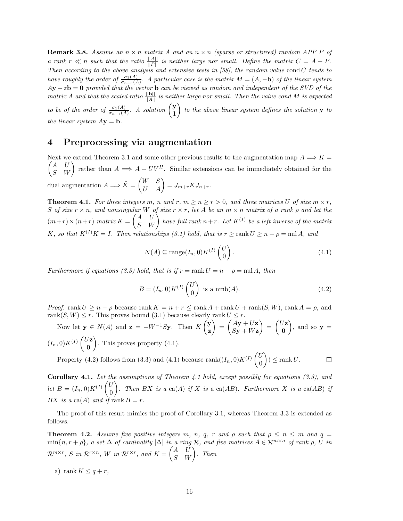**Remark 3.8.** Assume an  $n \times n$  *matrix* A and an  $n \times n$  *(sparse or structured) random APP P of a* rank  $r \ll n$  such that the ratio  $\frac{||A||}{||P||}$  is neither large nor small. Define the matrix  $C = A + P$ . *Then according to the above analysis and extensive tests in [58], the random value* cond C *tends to have roughly the order of*  $\frac{\sigma_1(A)}{\sigma_{n-r}(A)}$ . A particular case is the matrix  $M = (A, -\mathbf{b})$  *of the linear system* A**y** − z**b** = **0** *provided that the vector* **b** *can be viewed as random and independent of the SVD of the matrix* A and that the scaled ratio  $\frac{||\mathbf{b}||}{||A||}$  is neither large nor small. Then the value cond M is expected *to be of the order of*  $\frac{\sigma_1(A)}{\sigma_{n-1}(A)}$ *. A solution*  $\begin{pmatrix} \mathbf{y} \\ 1 \end{pmatrix}$ 1 -*to the above linear system defines the solution* **y** *to the linear system*  $A$ **v** = **b**.

# **4 Preprocessing via augmentation**

Next we extend Theorem 3.1 and some other previous results to the augmentation map  $A \Longrightarrow K =$  $\binom{A}{S}$  $\begin{pmatrix} A & U \\ S & W \end{pmatrix}$  rather than  $A \Longrightarrow A + UV^H$ . Similar extensions can be immediately obtained for the dual augmentation  $A \Longrightarrow \tilde{K} = \begin{pmatrix} W & S \ U & A \end{pmatrix} = J_{m+r} K J_{n+r}.$ 

**Theorem 4.1.** For three integers m, n and r,  $m \ge n \ge r > 0$ , and three matrices U of size  $m \times r$ , S *of size*  $r \times n$ , and nonsingular W *of size*  $r \times r$ , let A *be an*  $m \times n$  *matrix of a rank*  $\rho$  *and let the*  $(m+r) \times (n+r)$  matrix  $K = \begin{pmatrix} A & U \ S & W \end{pmatrix}$  have full rank  $n+r$ . Let  $K^{(I)}$  be a left inverse of the matrix K, so that  $K^{(I)}K = I$ . Then relationships (3.1) hold, that is  $r \geq \text{rank } U \geq n - \rho = \text{null } A$ , and

$$
N(A) \subseteq \text{range}(I_n, 0)K^{(I)}\begin{pmatrix} U \\ 0 \end{pmatrix}.
$$
\n(4.1)

*Furthermore if equations (3.3) hold, that is if*  $r = \text{rank } U = n - \rho = \text{null } A$ , then

$$
B = (I_n, 0)K^{(I)}\begin{pmatrix} U \\ 0 \end{pmatrix}
$$
 is a  $\text{nmb}(A)$ . (4.2)

*Proof.* rank  $U \geq n - \rho$  because rank  $K = n + r \leq \text{rank }A + \text{rank }U + \text{rank}(S, W)$ , rank  $A = \rho$ , and rank $(S, W) \leq r$ . This proves bound (3.1) because clearly rank  $U \leq r$ .

Now let  $\mathbf{y} \in N(A)$  and  $\mathbf{z} = -W^{-1}S\mathbf{y}$ . Then  $K\begin{pmatrix} \mathbf{y} \\ R \end{pmatrix}$ **z**  $= \left( \frac{Ay + Uz}{Cx + Wz} \right)$  $S$ **y** +  $W$ **z**  $= \begin{pmatrix} U\mathbf{z} \\ 0 \end{pmatrix}$ **0**  $\Big)$ , and so  $\mathbf{y} =$  $(I_n,0)K^{(I)}\begin{pmatrix} U\mathbf{z} & 0\\ 0 & \mathbf{z} \end{pmatrix}$ **0** - . This proves property (4.1).

Property (4.2) follows from (3.3) and (4.1) because rank $((I_n, 0)K^{(I)}\begin{pmatrix}U\\0\end{pmatrix})$  $\Big) \leq \operatorname{rank} U.$  $\square$ 0

**Corollary 4.1.** *Let the assumptions of Theorem 4.1 hold, except possibly for equations (3.3), and let*  $B = (I_n, 0)K^{(I)}\begin{pmatrix} U \\ 0 \end{pmatrix}$ 0 ). Then BX is a ca(A) if X is a ca(AB). Furthermore X is a ca(AB) if BX is a ca(A) and if rank  $B = r$ .

The proof of this result mimics the proof of Corollary 3.1, whereas Theorem 3.3 is extended as follows.

**Theorem 4.2.** *Assume five positive integers* m, n, q, r and  $\rho$  such that  $\rho \leq n \leq m$  and  $q =$  $\min\{n, r + \rho\}$ , a set  $\Delta$  *of cardinality*  $|\Delta|$  *in a ring*  $\mathcal{R}$ *, and five matrices*  $A \in \mathcal{R}^{m \times n}$  *of rank*  $\rho$ *, U in*  $\mathcal{R}^{m \times r}, \ S \ \textit{in} \ \mathcal{R}^{r \times n}, \ W \ \textit{in} \ \mathcal{R}^{r \times r}, \ \textit{and} \ \textit{K} = \begin{pmatrix} A & U \ S & W \end{pmatrix}. \ \ \textit{Then}$ 

a) rank  $K \leq q + r$ ,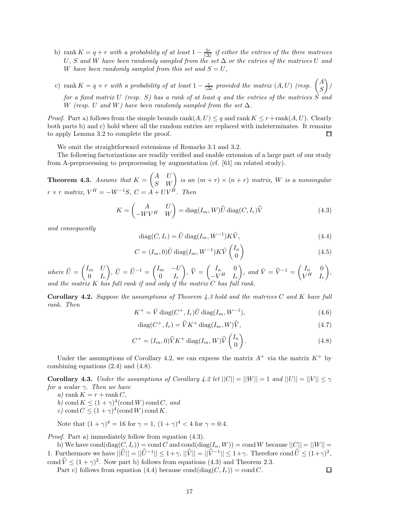- b) rank  $K = q + r$  *with a probability of at least*  $1 \frac{2r}{|\Delta|}$  *if either the entries of the three matrices* U*,* S *and* W *have been randomly sampled from the set* ∆ *or the entries of the matrices* U *and* W have been randomly sampled from this set and  $S = U$ ,
- c) rank  $K = q + r$  with a probability of at least  $1 \frac{r}{|\Delta|}$  provided the matrix  $(A, U)$  (resp.  $\begin{pmatrix} A \\ S \end{pmatrix}$ S - *) for a fixed matrix* U *(resp.* S*) has a rank of at least* q *and the entries of the matrices* S *and* W *(resp.* U and W) have been randomly sampled from the set  $\Delta$ *.*

*Proof.* Part a) follows from the simple bounds  $rank(A, U) \leq q$  and  $rank K \leq r + rank(A, U)$ . Clearly both parts b) and c) hold where all the random entries are replaced with indeterminates. It remains to apply Lemma 3.2 to complete the proof.  $\Box$ 

We omit the straightforward extensions of Remarks 3.1 and 3.2.

The following factorizations are readily verified and enable extension of a large part of our study from A-preprocessing to preprocessing by augmentation (cf. [61] on related study).

**Theorem 4.3.** *Assume that*  $K = \begin{pmatrix} A & U \\ S & W \end{pmatrix}$  is an  $(m + r) \times (n + r)$  matrix, W is a nonsingular  $r \times r$  *matrix,*  $V^H = -W^{-1}S$ ,  $C = \overrightarrow{A} + UV^{\overrightarrow{H}}$ . Then

$$
K = \begin{pmatrix} A & U \\ -WV^H & W \end{pmatrix} = \text{diag}(I_m, W)\widehat{U} \text{diag}(C, I_r)\widehat{V}
$$
(4.3)

*and consequently*

$$
diag(C, I_r) = \tilde{U} \operatorname{diag}(I_m, W^{-1}) K \tilde{V}, \qquad (4.4)
$$

$$
C = (I_m, 0)\tilde{U}\operatorname{diag}(I_m, W^{-1})K\tilde{V}\begin{pmatrix}I_n\\0\end{pmatrix}
$$
\n(4.5)

 $where \ \widehat{U} = \begin{pmatrix} I_m & U \ 0 & I_r \end{pmatrix}$  $0 \t I_r$  $\left( \begin{matrix} \tilde{U} \end{matrix} \right)$ ,  $\tilde{U} = \widehat{U}^{-1} = \begin{pmatrix} I_m & -U_m & \tilde{U} \ 0 & I_r & \tilde{U} \end{pmatrix}$  $0 \t I_r$  $\bigg), \ \widehat{V} = \begin{pmatrix} I_n & 0 \\ -V^H & I_n \end{pmatrix}$  $-V^H$  I<sub>r</sub>  $\begin{pmatrix} \cdot & \cdot & \cdot \\ \cdot & \cdot & \cdot \\ \cdot & \cdot & \cdot \\ \cdot & \cdot & \cdot \end{pmatrix}$ , and  $\tilde{V} = \hat{V}^{-1} = \begin{pmatrix} I_n & 0 \\ V^H & I_n \end{pmatrix}$  $V^H$  I<sub>r</sub> - *, and the matrix* K has full rank if and only if the matrix

**Corollary 4.2.** *Suppose the assumptions of Theorem 4.3 hold and the matrices* C *and* K *have full rank. Then*

$$
K^{+} = \tilde{V} \operatorname{diag}(C^{+}, I_{r}) \tilde{U} \operatorname{diag}(I_{m}, W^{-1}), \qquad (4.6)
$$

$$
\text{diag}(C^+, I_r) = \widehat{V} K^+ \text{diag}(I_m, W)\widehat{V},\tag{4.7}
$$

$$
C^{+} = (I_m, 0)\widehat{V}K^{+} \operatorname{diag}(I_m, W)\widehat{V}\begin{pmatrix} I_n \\ 0 \end{pmatrix}.
$$
 (4.8)

 $\Box$ 

Under the assumptions of Corollary 4.2, we can express the matrix  $A^+$  via the matrix  $K^+$  by combining equations (2.4) and (4.8).

**Corollary 4.3.** *Under the assumptions of Corollary 4.2 let*  $||C|| = ||W|| = 1$  *and*  $||U|| = ||V|| \le \gamma$ *for a scalar* γ*. Then we have*

 $a)$  rank  $K = r + \text{rank } C$ ,

*b*) cond  $K \leq (1 + \gamma)^4$  (cond *W*) cond *C*, and

*c*) cond  $C \leq (1 + \gamma)^4$  (cond W) cond K.

Note that  $(1 + \gamma)^4 = 16$  for  $\gamma = 1$ ,  $(1 + \gamma)^4 < 4$  for  $\gamma = 0.4$ .

*Proof.* Part a) immediately follow from equation (4.3).

b) We have cond $(\text{diag}(C, I_r)) = \text{cond } C$  and  $\text{cond}(\text{diag}(I_n, W)) = \text{cond } W$  because  $||C|| = ||W|| =$ 1. Furthermore we have  $||\hat{U}|| = ||\hat{U}^{-1}|| \leq 1+\gamma$ ,  $||\hat{V}|| = ||\hat{V}^{-1}|| \leq 1+\gamma$ . Therefore cond  $\hat{U} \leq (1+\gamma)^2$ , cond  $\hat{V} \leq (1+\gamma)^2$ . Now part b) follows from equations (4.3) and Theorem 2.3.

Part c) follows from equation (4.4) because cond(diag( $C, I_r$ )) = cond C.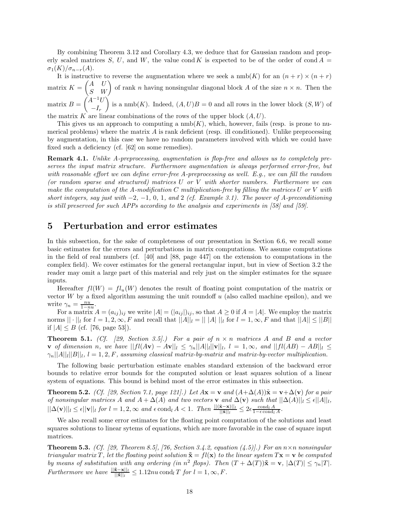By combining Theorem 3.12 and Corollary 4.3, we deduce that for Gaussian random and properly scaled matrices S, U, and W, the value cond K is expected to be of the order of cond  $A =$  $\sigma_1(K)/\sigma_{n-r}(A)$ .

It is instructive to reverse the augmentation where we seek a  $\text{nmb}(K)$  for an  $(n + r) \times (n + r)$ matrix  $K = \begin{pmatrix} A & U \\ S & W \end{pmatrix}$  of rank n having nonsingular diagonal block A of the size  $n \times n$ . Then the matrix  $B = \int_{0}^{1} A^{-1}U$  $-I_r$ is a nmb(K). Indeed,  $(A, U)B = 0$  and all rows in the lower block  $(S, W)$  of

the matrix K are linear combinations of the rows of the upper block  $(A, U)$ .

This gives us an approach to computing a  $\text{nmb}(K)$ , which, however, fails (resp. is prone to numerical problems) where the matrix  $A$  is rank deficient (resp. ill conditioned). Unlike preprocessing by augmentation, in this case we have no random parameters involved with which we could have fixed such a deficiency (cf. [62] on some remedies).

**Remark 4.1.** *Unlike A-preprocessing, augmentation is flop-free and allows us to completely preserves the input matrix structure. Furthermore augmentation is always performed error-free, but with reasonable effort we can define error-free A-preprocessing as well. E.g., we can fill the random (or random sparse and structured) matrices* U *or* V *with shorter numbers. Furthermore we can make the computation of the A-modification* C *multiplication-free by filling the matrices* U *or* V *with short integers, say just with* −2*,* −1*,* 0*,* 1*, and* 2 *(cf. Example 3.1). The power of A-preconditioning is still preserved for such APPs according to the analysis and experiments in [58] and [59].*

# **5 Perturbation and error estimates**

In this subsection, for the sake of completeness of our presentation in Section 6.6, we recall some basic estimates for the errors and perturbations in matrix computations. We assume computations in the field of real numbers (cf. [40] and [88, page 447] on the extension to computations in the complex field). We cover estimates for the general rectangular input, but in view of Section 3.2 the reader may omit a large part of this material and rely just on the simpler estimates for the square inputs.

Hereafter  $fl(W) = fl_u(W)$  denotes the result of floating point computation of the matrix or vector  $W$  by a fixed algorithm assuming the unit roundoff  $u$  (also called machine epsilon), and we write  $\gamma_n = \frac{nu}{1 - nu}$ .

For a matrix  $A = (a_{ij})_{ij}$  we write  $|A| = (|a_{ij}|)_{ij}$ , so that  $A \ge 0$  if  $A = |A|$ . We employ the matrix norms  $|| \cdot ||_l$  for  $l = 1, 2, \infty, F$  and recall that  $||A||_l = || |A|| ||_l$  for  $l = 1, \infty, F$  and that  $||A|| \le ||B||$ if  $|A| \leq B$  (cf. [76, page 53]).

**Theorem 5.1.** *(Cf. [29, Section 3.5].) For a pair of* n × n *matrices* A *and* B *and a vector* **v** *of dimension n*, we have  $||fl(A**v**) − A**v**||<sub>l</sub> ≤ γ<sub>n</sub>||A||<sub>l</sub>||**v**||<sub>l</sub>,$  l = 1, ∞, and  $||fl(AB) − AB||<sub>l</sub> ≤$  $\gamma_n||A||_l||B||_l$ ,  $l = 1, 2, F$ , assuming classical matrix-by-matrix and matrix-by-vector multiplication.

The following basic perturbation estimate enables standard extension of the backward error bounds to relative error bounds for the computed solution or least squares solution of a linear system of equations. This bound is behind most of the error estimates in this subsection.

**Theorem 5.2.** *(Cf. [29, Section 7.1, page 121].) Let*  $A\mathbf{x} = \mathbf{v}$  and  $(A+\Delta(A))\tilde{\mathbf{x}} = \mathbf{v}+\Delta(\mathbf{v})$  *for a pair of nonsingular matrices* A *and*  $A + \Delta(A)$  *and two vectors* **v** *and*  $\Delta(\mathbf{v})$  *such that*  $||\Delta(A)||_l \leq \epsilon ||A||_l$ ,  $||\Delta(\mathbf{v})||_l \leq \epsilon ||\mathbf{v}||_l$  *for*  $l = 1, 2, \infty$  *and*  $\epsilon$  cond<sub>l</sub> A < 1*.* Then  $\frac{||(\tilde{\mathbf{x}}-\mathbf{x})||_l}{||\tilde{\mathbf{x}}||_l} \leq 2\epsilon \frac{\text{cond}_l A}{1-\epsilon \text{cond}_l A}$ .

We also recall some error estimates for the floating point computation of the solutions and least squares solutions to linear sytems of equations, which are more favorable in the case of square input matrices.

**Theorem 5.3.** *(Cf. [29, Theorem 8.5], [76, Section 3.4.2, equation (4.5)].) For an*  $n \times n$  *nonsingular triangular matrix* T, let the floating point solution  $\tilde{\mathbf{x}} = f\mathbf{l}(\mathbf{x})$  to the linear system  $T\mathbf{x} = \mathbf{v}$  be computed *by means of substitution with any ordering (in*  $n^2$  *flops). Then*  $(T + \Delta(T))\tilde{\mathbf{x}} = \mathbf{v}$ ,  $|\Delta(T)| \leq \gamma_n |T|$ *. Furthermore we have*  $\frac{||\tilde{\mathbf{x}} - \mathbf{x}||_l}{||\tilde{\mathbf{x}}||_l} \leq 1.12nu \text{ cond}_l T$  *for*  $l = 1, \infty, F$ .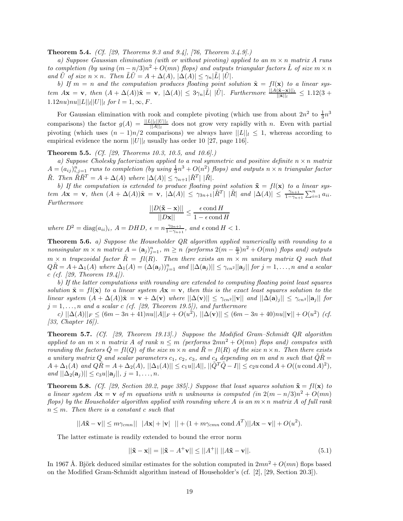**Theorem 5.4.** *(Cf. [29, Theorems 9.3 and 9.4], [76, Theorem 3.4.9].)*

*a) Suppose Gaussian elimination (with or without pivoting) applied to an* m × n *matrix* A *runs to completion (by using*  $(m - n/3)n^2 + O(mn)$  *flops) and outputs triangular factors* L *of size*  $m \times n$ *and*  $\tilde{U}$  *of size*  $n \times n$ *. Then*  $\tilde{L}\tilde{U} = A + \Delta(A), |\Delta(A)| \leq \gamma_n |\tilde{L}| |\tilde{U}|$ *.* 

*b)* If  $m = n$  and the computation produces floating point solution  $\tilde{\mathbf{x}} = fl(\mathbf{x})$  to a linear sys $tem$   $A\mathbf{x} = \mathbf{v}$ ,  $then$   $(A + \Delta(A))\tilde{\mathbf{x}} = \mathbf{v}$ ,  $|\Delta(A)| \leq 3\gamma_n|\tilde{L}| |\tilde{U}|$ . Furthermore  $\frac{||A(\tilde{\mathbf{x}} - \mathbf{x})||_l}{||\tilde{\mathbf{x}}||_l} \leq 1.12(3 +$  $1.12nu\\|nu||L|||_{l}||U||_{l}$  *for*  $l = 1, \infty, F$ .

For Gaussian elimination with rook and complete pivoting (which use from about  $2n^2$  to  $\frac{1}{3}n^3$ comparisons) the factor  $g(A) = \frac{||L||_l|||U||_l}{||A||_l}$  does not grow very rapidly with n. Even with partial pivoting (which uses  $(n-1)n/2$  comparisons) we always have  $||L||_l \leq 1$ , whereas according to empirical evidence the norm  $||U||_l$  usually has order 10 [27, page 116].

**Theorem 5.5.** *(Cf. [29, Theorems 10.3, 10.5, and 10.6].)*

*a) Suppose Cholesky factorization applied to a real symmetric and positive definite* n × n *matrix*  $A = (a_{ij})_{i,j=1}^n$  *runs to completion (by using*  $\frac{1}{3}n^3 + O(n^2)$  *flops) and outputs*  $n \times n$  *triangular factor*  $\tilde{R}$ *. Then*  $\tilde{R}\tilde{R}^T = A + \Delta(A)$  where  $|\Delta(A)| \leq \gamma_{n+1} |\tilde{R}^T| |\tilde{R}|$ *.* 

*b)* If the computation is extended to produce floating point solution  $\tilde{\mathbf{x}} = f\mathbf{l}(\mathbf{x})$  to a linear sys- $\lim_{n \to \infty} A$ **x** = **v***,* then  $(A + \Delta(A))$ **x** = **v***,*  $|\Delta(A)| \leq \gamma_{3n+1} |\tilde{R}^{T}| |\tilde{R}|$  and  $|\Delta(A)| \leq \frac{\gamma_{n+1}}{1 - \gamma_{n+1}} \sum_{i=1}^{n} a_{ii}$ . *Furthermore*

$$
\frac{||D(\mathbf{\tilde{x}} - \mathbf{x})||}{||D\mathbf{x}||} \le \frac{\epsilon \text{ cond } H}{1 - \epsilon \text{ cond } H}
$$

 $where D<sup>2</sup> = diag(a_{ii})<sub>i</sub>, A = DHD, \epsilon = n\frac{\gamma_{3n+1}}{1-\gamma_{n+1}}, and \epsilon \text{cond } H < 1.$ 

**Theorem 5.6.** *a) Suppose the Householder QR algorithm applied numerically with rounding to a*  $nonsingular \ m \times n \ matrix \ A = (\mathbf{a}_j)_{j=1}^n, \ m \geq n \ (performs \ 2(m - \frac{n}{3})n^2 + O(mn) \ flops \ and) \ outputs$  $m \times n$  *trapezoidal factor*  $\tilde{R} = fl(R)$ . Then there exists an  $m \times m$  *unitary matrix* Q such that  $Q\tilde{R} = A + \Delta_1(A)$  where  $\Delta_1(A) = (\Delta(a_j))_{j=1}^n$  and  $||\Delta(a_j)|| \leq \gamma_{cn^2} ||a_j||$  for  $j = 1, \ldots, n$  and a scalar c *(cf. [29, Theorem 19.4]).*

*b) If the latter computations with rounding are extended to computing floating point least squares solution*  $\tilde{\mathbf{x}} = f\mathbf{l}(\mathbf{x})$  to a linear system  $A\mathbf{x} = \mathbf{v}$ , then this is the exact least squares solution to the *linear system*  $(A + \Delta(A))\tilde{\mathbf{x}} = \mathbf{v} + \Delta(\mathbf{v})$  *where*  $||\Delta(\mathbf{v})|| \leq \gamma_{cn^2}||\mathbf{v}||$  *and*  $||\Delta(\mathbf{a})_j|| \leq \gamma_{cn^2}||\mathbf{a}_j||$  *for*  $j = 1, \ldots, n$  and a scalar c (cf. [29, Theorem 19.5]), and furthermore

 $|c\rangle$  ||∆(A)|| $_F \leq (6m - 3n + 41)nu||A||_F + O(u^2)$ ,  $||\Delta(\mathbf{v})|| \leq (6m - 3n + 40)nu||\mathbf{v}|| + O(u^2)$  *(cf.*) *[33, Chapter 16]).*

**Theorem 5.7.** *(Cf. [29, Theorem 19.13].) Suppose the Modified Gram–Schmidt QR algorithm applied to an*  $m \times n$  *matrix* A *of rank*  $n \leq m$  (performs  $2mn^2 + O(mn)$  *flops and) computes with rounding the factors*  $\tilde{Q} = fl(Q)$  *of the size*  $m \times n$  *and*  $\tilde{R} = fl(R)$  *of the size*  $n \times n$ *. Then there exists a unitary matrix* Q *and scalar parameters*  $c_1$ ,  $c_2$ ,  $c_3$ , and  $c_4$  depending on m and n such that  $\tilde{Q}\tilde{R} =$  $A + \Delta_1(A)$  *and*  $Q\tilde{R} = A + \Delta_2(A)$ ,  $||\Delta_1(A)|| \leq c_1u||A||$ ,  $||\tilde{Q}^T\tilde{Q} - I|| \leq c_2u \text{ cond }A + O((u \text{ cond }A)^2)$ , *and*  $||\Delta_2(\mathbf{a}_j)|| \leq c_3 u ||\mathbf{a}_j||, j = 1, ..., n.$ 

**Theorem 5.8.** *(Cf. [29, Section 20.2, page 385].) Suppose that least squares solution*  $\tilde{\mathbf{x}} = f\mathbf{l}(\mathbf{x})$  to *a linear system*  $A\mathbf{x} = \mathbf{v}$  *of* m *equations with* n *unknowns is computed (in*  $2(m - n/3)n^2 + O(mn)$ ) *flops) by the Householder algorithm applied with rounding where* A *is an* m×n *matrix* A *of full rank*  $n \leq m$ . Then there is a constant c such that

 $||A\mathbf{\tilde{x}} - \mathbf{v}|| \le m\gamma_{cmn}|| |A\mathbf{x}| + |\mathbf{v}| || + (1 + m\gamma_{cmn} \text{ cond } A^T)||A\mathbf{x} - \mathbf{v}|| + O(u^2).$ 

The latter estimate is readily extended to bound the error norm

$$
||\tilde{\mathbf{x}} - \mathbf{x}|| = ||\tilde{\mathbf{x}} - A^{+}\mathbf{v}|| \le ||A^{+}|| \, ||A\tilde{\mathbf{x}} - \mathbf{v}||. \tag{5.1}
$$

In 1967 Å. Björk deduced similar estimates for the solution computed in  $2mn^2 + O(mn)$  flops based on the Modified Gram-Schmidt algorithm instead of Householder's (cf. [2], [29, Section 20.3]).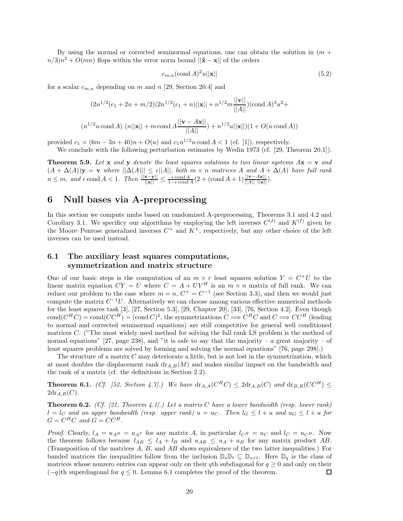By using the normal or corrected seminormal equations, one can obtain the solution in  $(m +$  $n/3$  $n^2 + O(mn)$  flops within the error norm bound  $||\mathbf{\tilde{x}} - \mathbf{x}||$  of the orders

$$
c_{m,n}(\text{cond }A)^2u||\mathbf{x}||\tag{5.2}
$$

for a scalar  $c_{m,n}$  depending on m and n [29, Section 20.4] and

$$
(2n^{1/2}(c_1 + 2n + m/2)(2n^{1/2}(c_1 + n)||\mathbf{x}|| + n^{1/2}m\frac{||\mathbf{v}||}{||A||})(\text{cond }A)^3u^2 +
$$
  

$$
(n^{1/2}u \text{ cond }A) (n||\mathbf{x}|| + m \text{ cond }A\frac{||\mathbf{v} - A\mathbf{x}||}{||A||}) + n^{1/2}u||\mathbf{x}||)(1 + O(u \text{ cond }A))
$$

provided  $c_1 = (6m - 3n + 40)n + O(u)$  and  $c_1n^{1/2}u$  cond  $A < 1$  (cf. [1]), respectively.

We conclude with the following perturbation estimates by Wedin 1973 (cf. [29, Theorem 20.1]).

**Theorem 5.9.** Let **x** and **y** denote the least squares solutions to two linear systems  $Ax = v$  and  $(A + \Delta(A))\mathbf{y} = \mathbf{v}$  *where*  $||\Delta(A)|| \leq \epsilon ||A||$ *, both*  $m \times n$  *matrices* A *and*  $A + \Delta(A)$  *have full rank*  $n \leq m$ , and  $\epsilon$  cond  $A < 1$ . Then  $\frac{||\mathbf{x} - \mathbf{y}||}{||\mathbf{x}||} \leq \frac{\epsilon \text{cond } A}{1 - \epsilon \text{cond } A} (2 + (\text{cond } A + 1) \frac{||\mathbf{v} - A\mathbf{x}||}{||A|| ||\mathbf{x}||}).$ 

# **6 Null bases via A-preprocessing**

In this section we compute nmbs based on randomized A-preprocessing, Theorems 3.1 and 4.2 and Corollary 3.1. We specificy our algorithms by employing the left inverses  $C^{(I)}$  and  $K^{(I)}$  given by the Moore–Penrose generalized inverses  $C^+$  and  $K^+$ , respectively, but any other choice of the left inverses can be used instead.

# **6.1 The auxiliary least squares computations, symmetrization and matrix structure**

One of our basic steps is the computation of an  $m \times r$  least squares solution  $Y = C^{+}U$  to the linear matrix equation  $CY = U$  where  $C = A + UV^H$  is an  $m \times n$  matrix of full rank. We can reduce our problem to the case where  $m = n$ ,  $C^+ = C^{-1}$  (see Section 3.3), and then we would just compute the matrix  $C^{-1}U$ . Alternatively we can choose among various effective numerical methods for the least squares task [3], [27, Section 5.3], [29, Chapter 20], [33], [76, Section 4.2]. Even though cond $(C^HC) = \text{cond}(CC^H) = (\text{cond }C)^2$ , the symmetrizations  $C \Longrightarrow C^HC$  and  $C \Longrightarrow CC^H$  (leading to normal and corrected seminormal equations) are still competitive for general well conditioned matrices C. ("The most widely used method for solving the full rank LS problem is the method of normal equations" [27, page 238], and "it is safe to say that the majority – a great majority – of least squares problems are solved by forming and solving the normal equations" [76, page 298].)

The structure of a matrix  $C$  may deteriorate a little, but is not lost in the symmetrization, which at most doubles the displacement rank  $\text{dr}_{A,B}(M)$  and makes similar impact on the bandwidth and the rank of a matrix (cf. the definitions in Section 2.2).

**Theorem 6.1.** *(Cf. [52, Section 4.7].)* We have  $dr_{A,A}(C^HC) \leq 2dr_{A,B}(C)$  and  $dr_{B,B}(CC^H) \leq$  $2d\text{r}_{A,B}(C)$ .

**Theorem 6.2.** *(Cf. [21, Theorem 4.1].) Let a matrix* C *have a lower bandwidth (resp. lower rank)*  $l = l<sub>C</sub>$  and an upper bandwidth (resp. upper rank)  $u = u<sub>C</sub>$ . Then  $l<sub>G</sub> \leq l + u$  and  $u<sub>G</sub> \leq l + u$  for  $G = C^H C$  and  $G = C C^H$ .

*Proof.* Clearly,  $l_A = u_{A^H} = u_{A^T}$  for any matrix A, in particular  $l_{C^H} = u_C$  and  $l_C = u_{C^H}$ . Now the theorem follows because  $l_{AB} \leq l_A + l_B$  and  $u_{AB} \leq u_A + u_B$  for any matrix product AB. (Transposition of the matrices A, B, and AB shows equivalence of the two latter inequalities.) For banded matrices the inequalities follow from the inclusion  $\mathbb{D}_s \mathbb{D}_t \subseteq \mathbb{D}_{s+t}$ . Here  $\mathbb{D}_q$  is the class of matrices whose nonzero entries can appear only on their qth subdiagonal for  $q \geq 0$  and only on their  $(-q)$ th superdiagonal for  $q \leq 0$ . Lemma 6.1 completes the proof of the theorem. □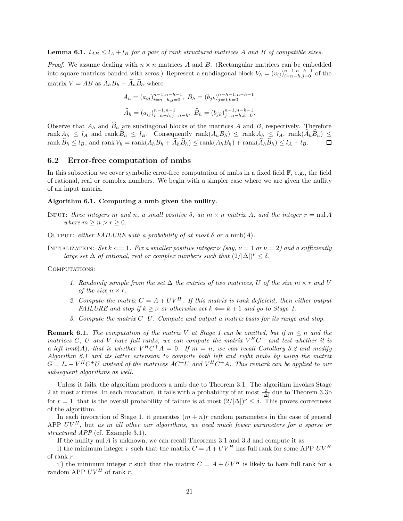**Lemma 6.1.**  $l_{AB} \leq l_A + l_B$  *for a pair of rank structured matrices* A *and* B *of compatible sizes.* 

*Proof.* We assume dealing with  $n \times n$  matrices A and B. (Rectangular matrices can be embedded into square matrices banded with zeros.) Represent a subdiagonal block  $V_h = (v_{ij})_{i=n-h,j=0}^{n-1,n-h-1}$  of the matrix  $V = AB$  as  $A_h B_h + \widehat{A}_h \widehat{B}_h$  where

$$
A_h = (a_{ij})_{i=n-h,j=0}^{n-1,n-h-1}, B_h = (b_{jk})_{j=0,k=0}^{n-h-1,n-h-1},
$$
  

$$
\widehat{A}_h = (a_{ij})_{i=n-h,j=n-h}^{n-1,n-1}, \widehat{B}_h = (b_{jk})_{j=n-h,k=0}^{n-1,n-h-1}.
$$

Observe that  $A_h$  and  $\widehat{B}_h$  are subdiagonal blocks of the matrices A and B, respectively. Therefore rank  $A_h \leq l_A$  and rank  $\widehat{B}_h \leq l_B$ . Consequently rank $(A_h B_h) \leq$  rank  $A_h \leq l_A$ , rank $(\widehat{A}_h \widehat{B}_h) \leq$  rank  $\widehat{B}_h < l_B$ , and rank  $V_h =$ rank $(A_h B_h + \widehat{A}_h \widehat{B}_h)$  < rank $(A_h B_h) +$ rank $(\widehat{A}_h \widehat{B}_h) \leq l_A + l_B$ . rank  $\widehat{B}_h \leq l_B$ , and rank  $V_h = \text{rank}(A_h B_h + \widehat{A}_h \widehat{B}_h) \leq \text{rank}(A_h B_h) + \text{rank}(\widehat{A}_h \widehat{B}_h) \leq l_A + l_B$ .

#### **6.2 Error-free computation of nmbs**

In this subsection we cover symbolic error-free computation of nmbs in a fixed field F, e.g., the field of rational, real or complex numbers. We begin with a simpler case where we are given the nullity of an input matrix.

#### **Algorithm 6.1. Computing a nmb given the nullity***.*

- INPUT: *three integers* m *and* n, a small positive  $\delta$ , an  $m \times n$  matrix A, and the integer  $r = \text{null } A$ *where*  $m \geq n > r \geq 0$ *.*
- OUTPUT: *either FAILURE with a probability of at most*  $\delta$  *or a* nmb(A).
- INITIALIZATION: *Set*  $k \leftarrow 1$ *. Fix a smaller positive integer*  $\nu$  *(say,*  $\nu = 1$  *or*  $\nu = 2$ *) and a sufficiently large set*  $\Delta$  *of rational, real or complex numbers such that*  $(2/|\Delta|)^{\nu} \leq \delta$ .

#### COMPUTATIONS:

- *1. Randomly sample from the set*  $\Delta$  *the entries of two matrices,* U *of the size*  $m \times r$  *and* V *of the size*  $n \times r$ .
- 2. Compute the matrix  $C = A + UV^H$ . If this matrix is rank deficient, then either output *FAILURE and stop if*  $k > \nu$  *or otherwise set*  $k \Leftarrow k+1$  *and go to Stage 1.*
- *3. Compute the matrix* C<sup>+</sup>U*. Compute and output a matrix basis for its range and stop.*

**Remark 6.1.** *The computation of the matrix* V *at Stage 1 can be omitted, but if*  $m \leq n$  *and the matrices* C, U and V have full ranks, we can compute the matrix  $V^H C^+$  and test whether it is *a left nmb*(A)*, that is whether*  $V^H C^+ A = 0$ *. If*  $m = n$ *, we can recall Corollary 3.2 and modify Algorithm 6.1 and its latter extension to compute both left and right nmbs by using the matrix*  $G = I_r - V^H C^+ U$  instead of the matrices  $AC^+ U$  and  $V^H C^+ A$ . This remark can be applied to our *subsequent algorithms as well.*

Unless it fails, the algorithm produces a nmb due to Theorem 3.1. The algorithm invokes Stage 2 at most  $\nu$  times. In each invocation, it fails with a probability of at most  $\frac{2}{|\Delta|}$  due to Theorem 3.3b for  $r = 1$ , that is the overall probability of failure is at most  $(2/|\Delta|)^{\nu} \leq \delta$ . This proves correctness of the algorithm.

In each invocation of Stage 1, it generates  $(m + n)r$  random parameters in the case of general APP  $UV^H$ , but *as in all other our algorithms, we need much fewer parameters for a sparse or structured APP* (cf. Example 3.1).

If the nullity nul A is unknown, we can recall Theorems 3.1 and 3.3 and compute it as

i) the minimum integer r such that the matrix  $C = A + UV^H$  has full rank for some APP  $UV^H$ of rank r,

i') the minimum integer r such that the matrix  $C = A + UV^H$  is likely to have full rank for a random APP  $UV^H$  of rank r,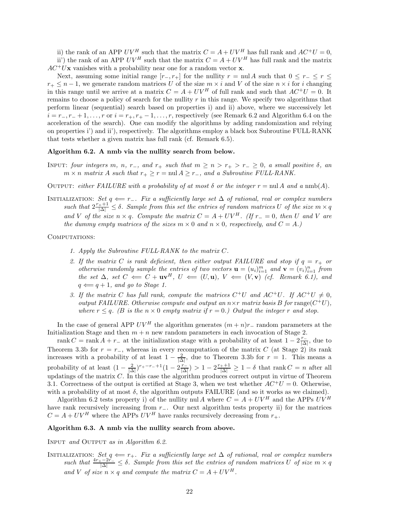ii) the rank of an APP UV<sup>H</sup> such that the matrix  $C = A + UV^H$  has full rank and  $AC^+U = 0$ . ii') the rank of an APP  $UV^H$  such that the matrix  $C = A + UV^H$  has full rank and the matrix

 $AC^{+}U$ **x** vanishes with a probability near one for a random vector **x**.

Next, assuming some initial range  $[r_-, r_+]$  for the nullity  $r = \text{null } A$  such that  $0 \leq r_- \leq r \leq$  $r_+ \leq n-1$ , we generate random matrices U of the size  $m \times i$  and V of the size  $n \times i$  for i changing in this range until we arrive at a matrix  $C = A + UV^H$  of full rank and such that  $AC^+U = 0$ . It remains to choose a policy of search for the nullity  $r$  in this range. We specify two algorithms that perform linear (sequential) search based on properties i) and ii) above, where we successively let  $i = r_-, r_- + 1, \ldots, r$  or  $i = r_+, r_+ - 1, \ldots, r$ , respectively (see Remark 6.2 and Algorithm 6.4 on the acceleration of the search). One can modify the algorithms by adding randomization and relying on properties i') and ii'), respectively. The algorithms employ a black box Subroutine FULL·RANK that tests whether a given matrix has full rank (cf. Remark 6.5).

#### **Algorithm 6.2. A nmb via the nullity search from below.**

INPUT: *four integers* m, n, r<sub>−</sub>, and r<sub>+</sub> such that  $m \ge n > r_+ > r_- \ge 0$ , a small positive  $\delta$ , an  $m \times n$  *matrix* A such that  $r_+ \geq r = \text{null } A \geq r_-,$  and a Subroutine FULL·RANK.

OUTPUT: *either FAILURE with a probability of at most*  $\delta$  *or the integer*  $r = \text{null } A$  *and*  $a \text{ nmb}(A)$ *.* 

Initialization: *Set* q ⇐= r−*. Fix a sufficiently large set* ∆ *of rational, real or complex numbers*  $such that 2\frac{r_+ + 1}{|\Delta|} \leq \delta$ . Sample from this set the entries of random matrices U of the size  $m \times q$ *and* V of the size  $n \times q$ . Compute the matrix  $C = A + UV^H$ . (If  $r_+ = 0$ , then U and V are *the dummy empty matrices of the sizes*  $m \times 0$  *and*  $n \times 0$ *, respectively, and*  $C = A$ *.*)

COMPUTATIONS:

- *1. Apply the Subroutine FULL*·*RANK to the matrix* C*.*
- 2. If the matrix C is rank deficient, then either output FAILURE and stop if  $q = r_+$  or *otherwise randomly sample the entries of two vectors*  $\mathbf{u} = (u_i)_{i=1}^m$  and  $\mathbf{v} = (v_i)_{i=1}^n$  from *the set*  $\Delta$ *, set*  $C \leftarrow C + \mathbf{u}\mathbf{v}^H$ *,*  $U \leftarrow (U, \mathbf{u})$ *,*  $V \leftarrow (V, \mathbf{v})$  *(cf. Remark 6.1), and*  $q \leftarrow q + 1$ *, and go to Stage 1.*
- *3. If the matrix* C has full rank, compute the matrices  $C^+U$  and  $AC^+U$ . If  $AC^+U \neq 0$ , *output FAILURE. Otherwise compute and output an*  $n \times r$  *matrix basis* B for range( $C^+U$ ), *where*  $r \leq q$ . (B is the  $n \times 0$  *empty matrix if*  $r = 0$ .) Output the integer r and stop.

In the case of general APP  $UV^H$  the algorithm generates  $(m+n)r_$ – random parameters at the Initialization Stage and then  $m + n$  new random parameters in each invocation of Stage 2.

rank  $C = \text{rank } A + r_-$  at the initialization stage with a probability of at least  $1 - 2 \frac{r_-}{|\Delta|}$ , due to Theorem 3.3b for  $r = r_-\,$ , whereas in every recomputation of the matrix C (at Stage 2) its rank increases with a probability of at least  $1 - \frac{2}{|\Delta|}$ , due to Theorem 3.3b for  $r = 1$ . This means a probability of at least  $\left(1 - \frac{2}{|\Delta|}\right)^{r_+ - r_- + 1} \left(1 - 2\frac{r_-}{|\Delta|}\right) > 1 - 2\frac{r_+ + 1}{|\Delta|} \ge 1 - \delta$  that rank  $C = n$  after all updatings of the matrix  $C$ . In this case the algorithm produces correct output in virtue of Theorem 3.1. Correctness of the output is certified at Stage 3, when we test whether  $AC^{+}U = 0$ . Otherwise, with a probability of at most  $\delta$ , the algorithm outputs FAILURE (and so it works as we claimed).

Algorithm 6.2 tests property i) of the nullity nul A where  $C = A + UV^H$  and the APPs  $UV^H$ have rank recursively increasing from r−. Our next algorithm tests property ii) for the matrices  $C = A + UV^H$  where the APPs  $UV^H$  have ranks recursively decreasing from  $r_+$ .

#### **Algorithm 6.3. A nmb via the nullity search from above.**

Input *and* Output *as in Algorithm 6.2.*

INITIALIZATION: Set  $q \leftarrow r_+$ . Fix a sufficiently large set  $\Delta$  of rational, real or complex numbers<br>such that  $\frac{4r_+ - 2r_-}{|\Delta|} \leq \delta$ . Sample from this set the entries of random matrices U of size  $m \times q$ and V of size  $n \times q$  and compute the matrix  $C = A + UV^H$ .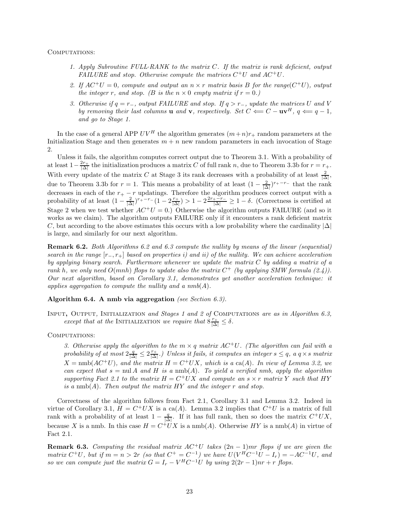#### COMPUTATIONS:

- *1. Apply Subroutine FULL*·*RANK to the matrix* C*. If the matrix is rank deficient, output FAILURE and stop. Otherwise compute the matrices* C+U *and* AC+U*.*
- 2. If  $AC^+U = 0$ , compute and output an  $n \times r$  matrix basis B for the range $(C^+U)$ , output *the integer* r, and stop. (*B* is the  $n \times 0$  *empty matrix if*  $r = 0$ *.*)
- *3. Otherwise if* q = r−*, output FAILURE and stop. If* q>r−*, update the matrices* U *and* V *by removing their last columns* **u** *and* **v***, respectively. Set*  $C \leftarrow C - \mathbf{u}\mathbf{v}^H$ ,  $q \leftarrow q - 1$ , *and go to Stage 1.*

In the case of a general APP  $UV^H$  the algorithm generates  $(m+n)r_+$  random parameters at the Initialization Stage and then generates  $m + n$  new random parameters in each invocation of Stage 2.

Unless it fails, the algorithm computes correct output due to Theorem 3.1. With a probability of at least  $1-\frac{2r_+}{|\Delta|}$  the initialization produces a matrix C of full rank n, due to Theorem 3.3b for  $r = r_+$ . With every update of the matrix C at Stage 3 its rank decreases with a probability of at least  $\frac{2}{|\Delta|}$ , due to Theorem 3.3b for  $r = 1$ . This means a probability of at least  $(1 - \frac{2}{|\Delta|})^{r_+ - r_-}$  that the rank decreases in each of the  $r_{+} - r$  updatings. Therefore the algorithm produces correct output with a probability of at least  $\left(1 - \frac{2}{|\Delta|}\right)^{r_+ - r_-} \left(1 - 2\frac{r_+}{|\Delta|}\right) > 1 - 2\frac{2r_+ - r_-}{|\Delta|} \geq 1 - \delta$ . (Correctness is certified at Stage 2 when we test whether  $AC^+U = 0$ .) Otherwise the algorithm outputs FAILURE (and so it works as we claim). The algorithm outputs FAILURE only if it encounters a rank deficient matrix C, but according to the above estimates this occurs with a low probability where the cardinality  $|\Delta|$ is large, and similarly for our next algorithm.

**Remark 6.2.** *Both Algorithms 6.2 and 6.3 compute the nullity by means of the linear (sequential) search in the range* [r−, r+] *based on properties i) and ii) of the nullity. We can achieve acceleration by applying binary search. Furthermore whenever we update the matrix* C *by adding a matrix of a rank* h*, we only need* O(mnh) *flops to update also the matrix* C<sup>+</sup> *(by applying SMW formula (2.4)). Our next algorithm, based on Corollary 3.1, demonstrates yet another acceleration technique: it applies aggregation to compute the nullity and a nmb*(A)*.*

### **Algorithm 6.4. A nmb via aggregation** *(see Section 6.3).*

Input**,** Output*,* Initialization *and Stages 1 and 2 of* Computations *are as in Algorithm 6.3, except that at the* INITIALIZATION *we require that*  $8 \frac{r_+}{|\Delta|} \leq \delta$ .

#### COMPUTATIONS:

*3. Otherwise apply the algorithm to the*  $m \times q$  *matrix*  $AC^+U$ *. (The algorithm can fail with a*  $probability of at most  $2\frac{q}{|\Delta|} \leq 2\frac{r_+}{|\Delta|}$ .) Unless it fails, it computes an integer  $s \leq q$ , a  $q \times s$  matrix$  $X = \text{nmb}(AC^+U)$ *, and the matrix*  $H = C^+UX$ *, which is a* ca(A). In view of Lemma 3.2, we *can expect that*  $s = \text{null } A$  *and*  $H$  *is a*  $\text{nnb}(A)$ *. To yield a verified nmb, apply the algorithm supporting Fact 2.1 to the matrix*  $H = C^+UX$  *and compute an*  $s \times r$  *matrix* Y *such that*  $HY$ *is a* nmb(A)*. Then output the matrix* HY *and the integer* r *and stop.*

Correctness of the algorithm follows from Fact 2.1, Corollary 3.1 and Lemma 3.2. Indeed in virtue of Corollary 3.1,  $H = C^+UX$  is a ca(A). Lemma 3.2 implies that  $C^+U$  is a matrix of full rank with a probability of at least  $1 - \frac{q}{|\Delta|}$ . If it has full rank, then so does the matrix  $C^+UX$ , because X is a nmb. In this case  $H = C^+UX$  is a nmb(A). Otherwise HY is a nmb(A) in virtue of Fact 2.1.

**Remark 6.3.** *Computing the residual matrix*  $AC^+U$  *takes*  $(2n - 1)mr$  *flops if we are given the*  $matrix C^+U$ , but if  $m = n > 2r$  *(so that*  $C^+ = C^{-1}$ *)* we have  $U(V^H C^{-1}U - I_r) = -AC^{-1}U$ , and *so we can compute just the matrix*  $G = I_r - V^H C^{-1} U$  *by using*  $2(2r - 1)nr + r$  *flops.*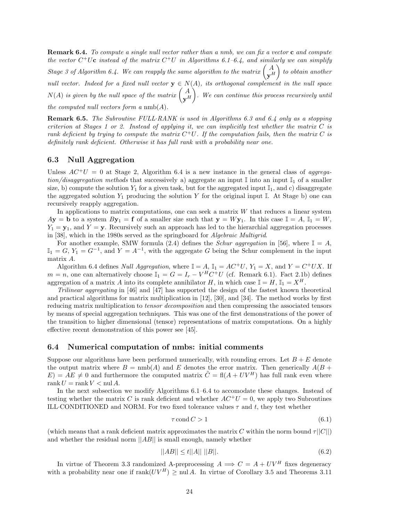**Remark 6.4.** *To compute a single null vector rather than a nmb, we can fix a vector* **c** *and compute the vector*  $C^+U$ **c** *instead of the matrix*  $C^+U$  *in Algorithms 6.1–6.4, and similarly we can simplify Stage 3 of Algorithm 6.4. We can reapply the same algorithm to the matrix*  $\begin{pmatrix} A \ Y^H & 0 \end{pmatrix}$ - *to obtain another null vector. Indeed for a fixed null vector*  $\mathbf{y} \in N(A)$ *, its orthogonal complement in the null space*  $N(A)$  is given by the null space of the matrix  $\begin{pmatrix} A \ \mathbf{y}^H \end{pmatrix}$ -*. We can continue this process recursively until the computed null vectors form a* nmb(A)*.*

**Remark 6.5.** *The Subroutine FULL*·*RANK is used in Algorithms 6.3 and 6.4 only as a stopping criterion at Stages 1 or 2. Instead of applying it, we can implicitly test whether the matrix* C *is rank deficient by trying to compute the matrix*  $C^+U$ *. If the computation fails, then the matrix* C *is definitely rank deficient. Otherwise it has full rank with a probability near one.*

### **6.3 Null Aggregation**

Unless  $AC^+U = 0$  at Stage 2, Algorithm 6.4 is a new instance in the general class of *aggregation/disaggregation methods* that successively a) aggregate an input  $\mathbb{I}$  into an input  $\mathbb{I}_1$  of a smaller size, b) compute the solution  $Y_1$  for a given task, but for the aggregated input  $\mathbb{I}_1$ , and c) disaggregate the aggregated solution  $Y_1$  producing the solution Y for the original input I. At Stage b) one can recursively reapply aggregation.

In applications to matrix computations, one can seek a matrix  $W$  that reduces a linear system  $A$ **y** = **b** to a system  $B$ **y**<sub>1</sub> = **f** of a smaller size such that  $y = Wy_1$ . In this case  $I = A$ ,  $I_1 = W$ ,  $Y_1 = \mathbf{y}_1$ , and  $Y = \mathbf{y}$ . Recursively such an approach has led to the hierarchial aggregation processes in [38], which in the 1980s served as the springboard for *Algebraic Multigrid*.

For another example, SMW formula (2.4) defines the *Schur aggregation* in [56], where  $\mathbb{I} = A$ ,  $\mathbb{I}_1 = G$ ,  $Y_1 = G^{-1}$ , and  $Y = A^{-1}$ , with the aggregate G being the Schur complement in the input matrix A.

Algorithm 6.4 defines *Null Aggregation*, where  $\mathbb{I} = A$ ,  $\mathbb{I}_1 = AC^+U$ ,  $Y_1 = X$ , and  $Y = C^+UX$ . If  $m = n$ , one can alternatively choose  $\mathbb{I}_1 = G = I_r - V^H C^+ U$  (cf. Remark 6.1). Fact 2.1b) defines aggregation of a matrix A into its complete annihilator H, in which case  $\mathbb{I} = H$ ,  $\mathbb{I}_1 = X^H$ .

*Trilinear aggregating* in [46] and [47] has supported the design of the fastest known theoretical and practical algorithms for matrix multiplication in [12], [30], and [34]. The method works by first reducing matrix multiplication to *tensor decomposition* and then compressing the associated tensors by means of special aggregation techniques. This was one of the first demonstrations of the power of the transition to higher dimensional (tensor) representations of matrix computations. On a highly effective recent demonstration of this power see [45].

### **6.4 Numerical computation of nmbs: initial comments**

Suppose our algorithms have been performed numerically, with rounding errors. Let  $B + E$  denote the output matrix where  $B = \text{nmb}(A)$  and E denotes the error matrix. Then generically  $A(B +$  $E = AE \neq 0$  and furthermore the computed matrix  $\tilde{C} = \text{fl}(A + UV^H)$  has full rank even where rank  $U = \text{rank } V < \text{null } A$ .

In the next subsection we modify Algorithms 6.1–6.4 to accomodate these changes. Instead of testing whether the matrix C is rank deficient and whether  $AC^+U = 0$ , we apply two Subroutines ILL CONDITIONED and NORM. For two fixed tolerance values  $\tau$  and t, they test whether

$$
\tau \operatorname{cond} C > 1\tag{6.1}
$$

(which means that a rank deficient matrix approximates the matrix C within the norm bound  $\tau||C||$ ) and whether the residual norm  $||AB||$  is small enough, namely whether

$$
||AB|| \le t||A|| \, ||B||. \tag{6.2}
$$

In virtue of Theorem 3.3 randomized A-preprocessing  $A \implies C = A + UV^H$  fixes degeneracy with a probability near one if  $\text{rank}(UV^H) > \text{null } A$ . In virtue of Corollary 3.5 and Theorems 3.11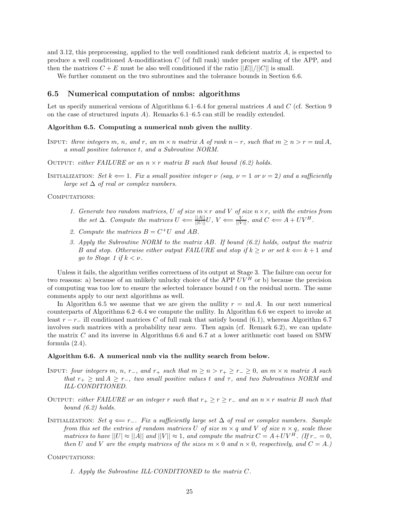and 3.12, this preprocessing, applied to the well conditioned rank deficient matrix A, is expected to produce a well conditioned A-modifiication C (of full rank) under proper scaling of the APP, and then the matrices  $C + E$  must be also well conditioned if the ratio  $||E||/||C||$  is small.

We further comment on the two subroutines and the tolerance bounds in Section 6.6.

# **6.5 Numerical computation of nmbs: algorithms**

Let us specify numerical versions of Algorithms  $6.1-6.4$  for general matrices A and C (cf. Section 9 on the case of structured inputs A). Remarks 6.1–6.5 can still be readily extended.

#### **Algorithm 6.5. Computing a numerical nmb given the nullity***.*

INPUT: *three integers* m, n, and r, an  $m \times n$  matrix A of rank  $n - r$ , such that  $m \geq n \geq r = \text{null } A$ , *a small positive tolerance* t*, and a Subroutine NORM.*

OUTPUT: *either FAILURE* or an  $n \times r$  *matrix* B *such that bound* (6.2) holds.

INITIALIZATION: *Set*  $k \leftarrow 1$ *. Fix a small positive integer*  $\nu$  *(say,*  $\nu = 1$  *or*  $\nu = 2$ *) and a sufficiently large set* ∆ *of real or complex numbers.*

COMPUTATIONS:

- *1. Generate two random matrices,* U *of size* m×r *and* V *of size* n×r*, with the entries from the set*  $\Delta$ *. Compute the matrices*  $U \leftarrow \frac{||A||}{||U||} U$ ,  $V \leftarrow \frac{V}{||V||}$ *, and*  $C \leftarrow A + UV^H$ *.*
- 2. Compute the matrices  $B = C^+U$  and AB.
- *3. Apply the Subroutine NORM to the matrix* AB*. If bound (6.2) holds, output the matrix* B and stop. Otherwise either output FAILURE and stop if  $k \geq \nu$  or set  $k \Leftarrow k+1$  and *go to Stage 1 if*  $k < \nu$ .

Unless it fails, the algorithm verifies correctness of its output at Stage 3. The failure can occur for two reasons: a) because of an unlikely unlucky choice of the APP  $UV^H$  or b) because the precision of computing was too low to ensure the selected tolerance bound t on the residual norm. The same comments apply to our next algorithms as well.

In Algorithm 6.5 we assume that we are given the nullity  $r = \text{nu} A$ . In our next numerical counterparts of Algorithms 6.2–6.4 we compute the nullity. In Algorithm 6.6 we expect to invoke at least  $r - r_-\$  ill conditioned matrices C of full rank that satisfy bound (6.1), whereas Algorithm 6.7 involves such matrices with a probability near zero. Then again (cf. Remark 6.2), we can update the matrix C and its inverse in Algorithms 6.6 and 6.7 at a lower arithmetic cost based on SMW formula  $(2.4)$ .

#### **Algorithm 6.6. A numerical nmb via the nullity search from below.**

- INPUT: *four integers* m, n, r<sub>-</sub>, and r<sub>+</sub> such that  $m \ge n > r_+ \ge r_- \ge 0$ , an  $m \times n$  matrix A such *that*  $r_+ \geq \text{null } A \geq r_-$ , *two small positive values t and*  $\tau$ , *and two Subroutines NORM and ILL*·*CONDITIONED.*
- OUTPUT: *either FAILURE or an integer* r *such that*  $r_+ \geq r \geq r_-$  *and an*  $n \times r$  *matrix* B *such that bound (6.2) holds.*
- Initialization: *Set* q ⇐= r−*. Fix a sufficiently large set* ∆ *of real or complex numbers. Sample from this set the entries of random matrices* U *of size*  $m \times q$  *and* V *of size*  $n \times q$ *, scale these matrices to have*  $||U| \approx ||A||$  *and*  $||V|| \approx 1$ *, and compute the matrix*  $C = A + UV^H$ *. (If*  $r_-=0$ *, then* U and V are the empty matrices of the sizes  $m \times 0$  and  $n \times 0$ , respectively, and  $C = A$ .)

#### COMPUTATIONS:

*1. Apply the Subroutine ILL*·*CONDITIONED to the matrix* C*.*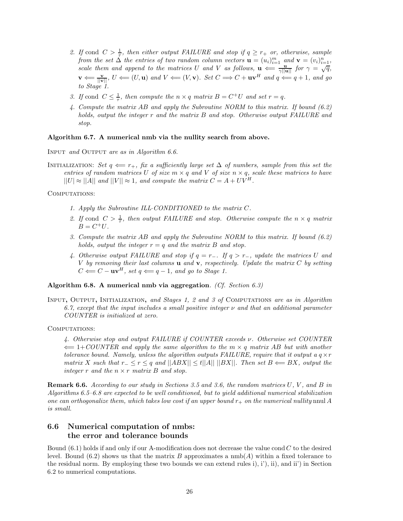- 2. If cond  $C > \frac{1}{\tau}$ , then either output FAILURE and stop if  $q \geq r_+$  or, otherwise, sample *from the set*  $\Delta$  *the entries of two random column vectors*  $\mathbf{u} = (u_i)_{i=1}^m$  *and*  $\mathbf{v} = (v_i)_{i=1}^n$ *, scale them and append to the matrices* U *and* V *as follows,*  $\mathbf{u} \leftarrow \frac{\mathbf{u}_i}{\gamma ||\mathbf{u}||}$  *for*  $\gamma = \sqrt{q}$ *,*  $\frac{\mathbf{u}_i}{\gamma ||\mathbf{u}||}$  *for*  $\gamma = \sqrt{q}$ *,*  $\mathbf{v} \leftarrow \frac{\mathbf{v}}{\|\mathbf{v}\|}, \ U \leftarrow (U, \mathbf{u}) \text{ and } V \leftarrow (V, \mathbf{v})$ *. Set*  $C \Longrightarrow C + \mathbf{u}\mathbf{v}^H \text{ and } q \leftarrow q+1$ *, and go to Stage 1.*
- *3. If* cond  $C \leq \frac{1}{\tau}$ , then compute the  $n \times q$  matrix  $B = C^+U$  and set  $r = q$ .
- *4. Compute the matrix* AB *and apply the Subroutine NORM to this matrix. If bound (6.2) holds, output the integer* r *and the matrix* B *and stop. Otherwise output FAILURE and stop.*

### **Algorithm 6.7. A numerical nmb via the nullity search from above.**

Input *and* Output *are as in Algorithm 6.6.*

INITIALIZATION: *Set*  $q \leftarrow r_+$ *, fix a sufficiently large set*  $\Delta$  *of numbers, sample from this set the entries of random matrices* U *of size*  $m \times q$  *and* V *of size*  $n \times q$ *, scale these matrices to have*  $||U| \approx ||A||$  and  $||V|| \approx 1$ , and compute the matrix  $C = A + UV^H$ .

COMPUTATIONS:

- *1. Apply the Subroutine ILL*·*CONDITIONED to the matrix* C*.*
- 2. If cond  $C > \frac{1}{\tau}$ , then output FAILURE and stop. Otherwise compute the  $n \times q$  matrix  $B = C^+U.$
- *3. Compute the matrix* AB *and apply the Subroutine NORM to this matrix. If bound (6.2) holds, output the integer*  $r = q$  *and the matrix* B *and stop.*
- *4. Otherwise output FAILURE and stop if* q = r−*. If* q>r−*, update the matrices* U *and* V *by removing their last columns* **u** *and* **v***, respectively. Update the matrix* C *by setting*  $C \leftarrow C - \mathbf{u}\mathbf{v}^H$ , set  $q \leftarrow q - 1$ , and go to Stage 1.

#### **Algorithm 6.8. A numerical nmb via aggregation***. (Cf. Section 6.3)*

Input**,** Output**,** Initialization**,** *and Stages 1, 2 and 3 of* Computations *are as in Algorithm 6.7, except that the input includes a small positive integer* ν *and that an additional parameter COUNTER is initialized at zero.*

COMPUTATIONS:

*4. Otherwise stop and output FAILURE if COUNTER exceeds* ν*. Otherwise set COUNTER* ⇐= 1+*COUNTER and apply the same algorithm to the* m × q *matrix* AB *but with another tolerance bound. Namely, unless the algorithm outputs FAILURE, require that it output a* $q \times r$ *matrix* X such that  $r_− ≤ r ≤ q$  and  $||ABX|| ≤ t||A|| ||BX||$ *. Then set*  $B \Leftarrow BX$ *, output the integer* r *and the* n × r *matrix* B *and stop.*

**Remark 6.6.** *According to our study in Sections 3.5 and 3.6, the random matrices* U*,* V *, and* B *in Algorithms 6.5–6.8 are expected to be well conditioned, but to yield additional numerical stabilization one can orthogonalize them, which takes low cost if an upper bound*  $r_+$  *on the numerical nullity* nnul A *is small.*

# **6.6 Numerical computation of nmbs: the error and tolerance bounds**

Bound  $(6.1)$  holds if and only if our A-modification does not decrease the value cond C to the desired level. Bound  $(6.2)$  shows us that the matrix B approximates a  $\text{nmb}(A)$  within a fixed tolerance to the residual norm. By employing these two bounds we can extend rules i), i'), ii), and ii') in Section 6.2 to numerical computations.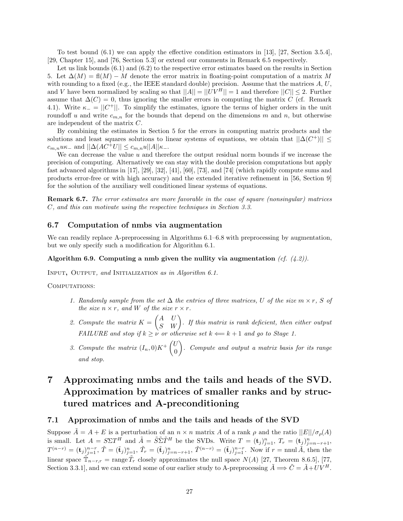To test bound (6.1) we can apply the effective condition estimators in [13], [27, Section 3.5.4], [29, Chapter 15], and [76, Section 5.3] or extend our comments in Remark 6.5 respectively.

Let us link bounds  $(6.1)$  and  $(6.2)$  to the respective error estimates based on the results in Section 5. Let  $\Delta(M) = \text{fl}(M) - M$  denote the error matrix in floating-point computation of a matrix M with rounding to a fixed (e.g., the IEEE standard double) precision. Assume that the matrices  $A, U$ , and V have been normalized by scaling so that  $||A|| = ||UV^H|| = 1$  and therefore  $||C|| \leq 2$ . Further assume that  $\Delta(C) = 0$ , thus ignoring the smaller errors in computing the matrix C (cf. Remark 4.1). Write  $\kappa_-=||C^+||$ . To simplify the estimates, ignore the terms of higher orders in the unit roundoff u and write  $c_{m,n}$  for the bounds that depend on the dimensions m and n, but otherwise are independent of the matrix C.

By combining the estimates in Section 5 for the errors in computing matrix products and the solutions and least squares solutions to linear systems of equations, we obtain that  $||\Delta(C^+)|| \le$  $c_{m,n}u\kappa_-\text{ and }||\Delta(AC^+U||\leq c_{m,n}u||A||\kappa_-\text{.}$ 

We can decrease the value  $u$  and therefore the output residual norm bounds if we increase the precision of computing. Alternatively we can stay with the double precision computations but apply fast advanced algorithms in [17], [29], [32], [41], [60], [73], and [74] (which rapidly compute sums and products error-free or with high accuracy) and the extended iterative refinement in [56, Section 9] for the solution of the auxiliary well conditioned linear systems of equations.

**Remark 6.7.** *The error estimates are more favorable in the case of square (nonsingular) matrices* C*, and this can motivate using the respective techniques in Section 3.3.*

### **6.7 Computation of nmbs via augmentation**

We can readily replace A-preprocessing in Algorithms  $6.1-6.8$  with preprocessing by augmentation, but we only specify such a modification for Algorithm 6.1.

### **Algorithm 6.9. Computing a nmb given the nullity via augmentation** *(cf. (4.2)).*

Input**,** Output*, and* Initialization *as in Algorithm 6.1.*

COMPUTATIONS:

- *1. Randomly sample from the set*  $\Delta$  *the entries of three matrices, U of the size*  $m \times r$ *, S of the size*  $n \times r$ *, and W of the size*  $r \times r$ *.*
- 2. Compute the matrix  $K = \begin{pmatrix} A & U \ S & W \end{pmatrix}$ . If this matrix is rank deficient, then either output *FAILURE and stop if*  $k \geq \nu$  *or otherwise set*  $k \Leftarrow k+1$  *and go to Stage 1.*
- 3. Compute the matrix  $(I_n, 0)K^+\begin{pmatrix} U_n \end{pmatrix}$ 0 - *. Compute and output a matrix basis for its range and stop.*

# **7 Approximating nmbs and the tails and heads of the SVD. Approximation by matrices of smaller ranks and by structured matrices and A-preconditioning**

### **7.1 Approximation of nmbs and the tails and heads of the SVD**

Suppose  $\tilde{A} = A + E$  is a perturbation of an  $n \times n$  matrix A of a rank  $\rho$  and the ratio  $||E|| / \sigma_o(A)$ is small. Let  $A = S\Sigma T^H$  and  $\tilde{A} = \tilde{S}\tilde{\Sigma}\tilde{T}^H$  be the SVDs. Write  $T = (\mathbf{t}_j)_{j=1}^n$ ,  $T_r = (\mathbf{t}_j)_{j=n-r+1}^n$ ,  $T^{(n-r)} = (\mathbf{t}_j)_{j=1}^{n-r}, \tilde{T} = (\tilde{\mathbf{t}}_j)_{j=1}^n, \tilde{T}_r = (\tilde{\mathbf{t}}_j)_{j=n-r+1}^n, \tilde{T}^{(n-r)} = (\tilde{\mathbf{t}}_j)_{j=1}^{n-r}.$  Now if  $r = \text{null }\tilde{A}$ , then the linear space  $\mathbb{T}_{n-r,r}$  = range  $\bar{T}_r$  closely approximates the null space  $N(A)$  [27, Theorem 8.6.5], [77, Section 3.3.1], and we can extend some of our earlier study to A-preprocessing  $\tilde{A} \Longrightarrow \tilde{C} = \tilde{A} + UV^H$ .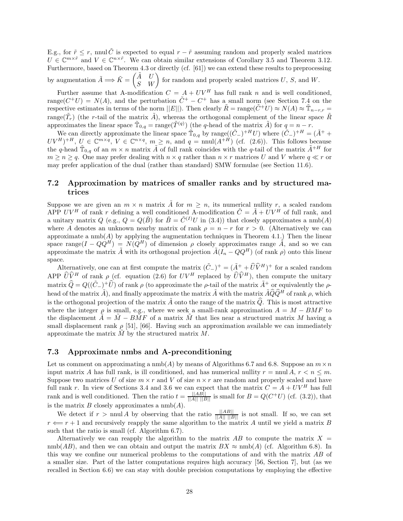E.g., for  $\tilde{r} \leq r$ , nnul  $\tilde{C}$  is expected to equal  $r - \tilde{r}$  assuming random and properly scaled matrices  $U \in \mathbb{C}^{m \times \tilde{r}}$  and  $V \in \mathbb{C}^{n \times \tilde{r}}$ . We can obtain similar extensions of Corollary 3.5 and Theorem 3.12. Furthermore, based on Theorem 4.3 or directly (cf. [61]) we can extend these results to preprocessing by augmentation  $\tilde{A} \Longrightarrow \tilde{K} = \begin{pmatrix} \tilde{A} & U \\ S & W \end{pmatrix}$  for random and properly scaled matrices U, S, and W.

Further assume that A-modification  $C = A + UV^H$  has full rank n and is well conditioned, range( $C^+U$ ) =  $N(A)$ , and the perturbation  $\tilde{C}^+ - C^+$  has a small norm (see Section 7.4 on the respective estimates in terms of the norm  $||E||$ . Then clearly  $\tilde{R} = \text{range}(\tilde{C}^+U) \approx N(A) \approx \tilde{T}_{n-r,r} =$ range $(\tilde{T}_r)$  (the r-tail of the matrix  $\tilde{A}$ ), whereas the orthogonal complement of the linear space  $\tilde{R}$ approximates the linear space  $\mathbb{T}_{0,q} = \text{range}(\mathbb{T}^{(q)})$  (the q-head of the matrix  $\tilde{A}$ ) for  $q = n - r$ .

We can directly approximate the linear space  $\tilde{T}_{0,q}$  by range $((\tilde{C}_{-})^{+H}U)$  where  $(\tilde{C}_{-})^{+H} = (\tilde{A}^{+} +$  $UV^H)^{+H}$ ,  $U \in \mathbb{C}^{m \times q}$ ,  $V \in \mathbb{C}^{n \times q}$ ,  $m \geq n$ , and  $q = \text{null}(A^{\pm H})$  (cf. (2.6)). This follows because the q-head  $\tilde{T}_{0,q}$  of an  $m \times n$  matrix  $\tilde{A}$  of full rank coincides with the q-tail of the matrix  $\tilde{A}^{+H}$  for  $m \geq n \geq q$ . One may prefer dealing with  $n \times q$  rather than  $n \times r$  matrices U and V where  $q \ll r$  or may prefer application of the dual (rather than standard) SMW formulae (see Section 11.6).

# **7.2 Approximation by matrices of smaller ranks and by structured matrices**

Suppose we are given an  $m \times n$  matrix  $\tilde{A}$  for  $m \geq n$ , its numerical nullity r, a scaled random APP UV<sup>H</sup> of rank r defining a well conditioned A-modification  $\tilde{C} = \tilde{A} + \tilde{U}V^{\tilde{H}}$  of full rank, and a unitary matrix  $Q$  (e.g.,  $Q = Q(\tilde{B})$  for  $\tilde{B} = \tilde{C}^{(I)}U$  in (3.4)) that closely approximates a nmb(A) where A denotes an unknown nearby matrix of rank  $\rho = n - r$  for  $r > 0$ . (Alternatively we can approximate a nmb( $A$ ) by applying the augmentation techniques in Theorem 4.1.) Then the linear space range( $I - Q\dot{Q}^H$ ) =  $N(Q^H)$  of dimension  $\rho$  closely approximates range  $\tilde{A}$ , and so we can approximate the matrix  $\tilde{A}$  with its orthogonal projection  $\tilde{A}(\tilde{I}_n - QQ^H)$  (of rank  $\rho$ ) onto this linear space.

Alternatively, one can at first compute the matrix  $(\tilde{C}_{-})^{+} = (\tilde{A}^{+} + \hat{U}\hat{V}^{H})^{+}$  for a scaled random APP  $\widehat{U}\widehat{V}^H$  of rank  $\rho$  (cf. equation (2.6) for  $UV^H$  replaced by  $\widehat{U}\widehat{V}^H$ ), then compute the unitary matrix  $\hat{Q} = Q((\tilde{C}_{-})^+\hat{U})$  of rank  $\rho$  (to approximate the  $\rho$ -tail of the matrix  $\tilde{A}^+$  or equivalently the  $\rho$ head of the matrix  $\tilde{A}$ ), and finally approximate the matrix  $\tilde{A}$  with the matrix  $\tilde{A}\hat{Q}\hat{Q}^H$  of rank  $\rho$ , which is the orthogonal projection of the matrix  $\tilde{A}$  onto the range of the matrix  $\hat{Q}$ . This is most attractive where the integer  $\rho$  is small, e.g., where we seek a small-rank approximation  $A = M - BMF$  to the displacement  $\tilde{A} = \tilde{M} - B\tilde{M}F$  of a matrix  $\tilde{M}$  that lies near a structured matrix M having a small displacement rank  $\rho$  [51], [66]. Having such an approximation available we can immediately approximate the matrix  $M$  by the structured matrix  $M$ .

# **7.3 Approximate nmbs and A-preconditioning**

Let us comment on approximating a nmb(A) by means of Algorithms 6.7 and 6.8. Suppose an  $m \times n$ input matrix A has full rank, is ill conditioned, and has numerical nullity  $r = \text{mul } A$ ,  $r < n \leq m$ . Suppose two matrices U of size  $m \times r$  and V of size  $n \times r$  are random and properly scaled and have full rank r. In view of Sections 3.4 and 3.6 we can expect that the matrix  $C = A + UV^H$  has full rank and is well conditioned. Then the ratio  $t = \frac{||AB||}{||A|| ||B||}$  is small for  $B = Q(C^+U)$  (cf. (3.2)), that is the matrix  $B$  closely approximates a  $\text{nmb}(A)$ .

We detect if  $r > \text{mul } A$  by observing that the ratio  $\frac{||AB||}{||A|| ||B||}$  is not small. If so, we can set  $r \leftarrow r + 1$  and recursively reapply the same algorithm to the matrix A until we yield a matrix B such that the ratio is small (cf. Algorithm 6.7).

Alternatively we can reapply the algorithm to the matrix  $AB$  to compute the matrix  $X =$ nmb(AB), and then we can obtain and output the matrix  $BX \approx \text{nmb}(A)$  (cf. Algorithm 6.8). In this way we confine our numerical problems to the computations of and with the matrix AB of a smaller size. Part of the latter computations requires high accuracy [56, Section 7], but (as we recalled in Section 6.6) we can stay with double precision computations by employing the effective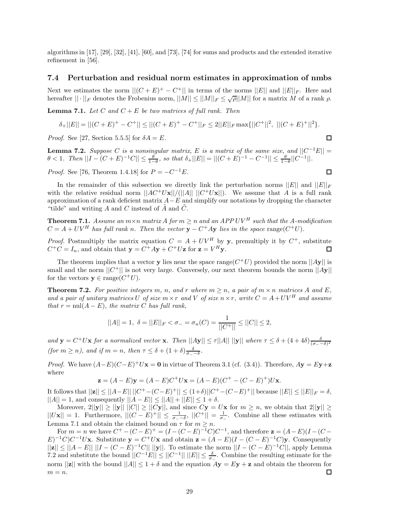algorithms in [17], [29], [32], [41], [60], and [73], [74] for sums and products and the extended iterative refinement in [56].

### **7.4 Perturbation and residual norm estimates in approximation of nmbs**

Next we estimates the norm  $||(C + E)^+ - C^+||$  in terms of the norms  $||E||$  and  $||E||_F$ . Here and hereafter  $|| \cdot ||_F$  denotes the Frobenius norm,  $||M|| \le ||M||_F \le \sqrt{\rho} ||M||$  for a matrix M of a rank  $\rho$ .

**Lemma 7.1.** Let C and  $C + E$  be two matrices of full rank. Then

$$
\delta_+||E||=||(C+E)^+-C^+||\leq ||(C+E)^+-C^+||_F\leq 2||E||_F\max\{||C^+||^2,\ ||(C+E)^+||^2\}.
$$

*Proof.* See [27, Section 5.5.5] for  $\delta A = E$ .

**Lemma 7.2.** *Suppose* C *is a nonsingular matrix,* E *is a matrix of the same size, and*  $||C^{-1}E|| =$  $\theta < 1$ . Then  $||I - (C + E)^{-1}C|| \leq \frac{\theta}{1-\theta}$ , so that  $\delta_+ ||E|| = ||(C + E)^{-1} - C^{-1}|| \leq \frac{\theta}{1-\theta}||C^{-1}||$ .

*Proof.* See [76, Theorem 1.4.18] for  $P = -C^{-1}E$ .

In the remainder of this subsection we directly link the perturbation norms  $||E||$  and  $||E||_F$ with the relative residual norm  $||AC^+U\mathbf{x}||/(||A|| ||C^+U\mathbf{x}||)$ . We assume that A is a full rank approximation of a rank deficient matrix  $A-E$  and simplify our notations by dropping the character "tilde" and writing A and C instead of  $\tilde{A}$  and  $\tilde{C}$ .

**Theorem 7.1.** *Assume an*  $m \times n$  *matrix A for*  $m \geq n$  *and an APP UV*<sup>*H*</sup> *such that the A-modification*  $C = A + UV^H$  has full rank n. Then the vector  $y - C^+Ay$  lies in the space range( $C^+U$ ).

*Proof.* Postmultiply the matrix equation  $C = A + UV^H$  by **y**, premultiply it by  $C^+$ , substitute  $C^+C = I_n$ , and obtain that  $\mathbf{y} = C^+Ay + C^+U\mathbf{z}$  for  $\mathbf{z} = V^H\mathbf{y}$ .

The theorem implies that a vector **y** lies near the space range( $C^+U$ ) provided the norm  $||A\mathbf{v}||$  is small and the norm  $||C^+||$  is not very large. Conversely, our next theorem bounds the norm  $||Ay||$ for the vectors  $\mathbf{v} \in \text{range}(C^+U)$ .

**Theorem 7.2.** For positive integers m, n, and r where  $m > n$ , a pair of  $m \times n$  matrices A and E, *and a pair of unitary matrices* U *of size*  $m \times r$  *and* V *of size*  $n \times r$ *, write*  $C = A + UV^H$  *and assume that*  $r = \text{null}(A - E)$ *, the matrix* C *has full rank*,

$$
||A|| = 1, \ \delta = ||E||_F < \sigma_- = \sigma_n(C) = \frac{1}{||C^+||} \le ||C|| \le 2,
$$

*and*  $\mathbf{y} = C^+U\mathbf{x}$  *for a normalized vector* **x***. Then*  $||A\mathbf{y}|| \le \tau ||A|| \, ||\mathbf{y}||$  *where*  $\tau \le \delta + (4 + 4\delta) \frac{\delta}{(\sigma - \delta)^2}$ *(for*  $m \ge n$ *), and if*  $m = n$ *, then*  $\tau \le \delta + (1 + \delta) \frac{\delta}{\sigma - \delta}$ *.* 

*Proof.* We have  $(A-E)(C-E)^+U$ **x** = **0** in virtue of Theorem 3.1 (cf. (3.4)). Therefore,  $Ay = Ey + z$ where

$$
\mathbf{z} = (A - E)\mathbf{y} = (A - E)C^{+}U\mathbf{x} = (A - E)(C^{+} - (C - E)^{+})U\mathbf{x}.
$$

It follows that  $||\mathbf{z}|| \leq ||A-E|| \, ||C^+-(C-E)^+|| \leq (1+\delta) ||C^+-(C-E)^+||$  because  $||E|| \leq ||E||_F = δ$ ,  $||A|| = 1$ , and consequently  $||A - E|| \le ||A|| + ||E|| \le 1 + \delta$ .

Moreover,  $2||y|| \ge ||y|| ||C|| \ge ||Cy||$ , and since  $Cy = Ux$  for  $m \ge n$ , we obtain that  $2||y|| \ge$  $||Ux|| = 1$ . Furthermore,  $||(C - E)^+|| \le \frac{1}{\sigma - \delta}$ ,  $||C^+|| = \frac{1}{\sigma - \epsilon}$ . Combine all these estimates with Lemma 7.1 and obtain the claimed bound on  $\tau$  for  $m \geq n$ .

For  $m = n$  we have  $C^+ - (C - E)^+ = (I - (C - E)^{-1}C)C^{-1}$ , and therefore  $\mathbf{z} = (A - E)(I - (C - E)^{-1}C)C^{-1}$  $E^{-1}C$ <sub>*C*</sub><sup>-1</sup>*U***x**. Substitute **y** =  $C^+U$ **x** and obtain **z** =  $(A - E)(I - (C - E)^{-1}C)$ **y**. Consequently  $||\mathbf{z}|| \leq ||A - E|| ||I - (C - E)^{-1}C|| ||\mathbf{y}||.$  To estimate the norm  $||I - (C - E)^{-1}C||$ , apply Lemma 7.2 and substitute the bound  $||C^{-1}E|| \le ||C^{-1}|| \, ||E|| \le \frac{\delta}{\sigma_-}$ . Combine the resulting estimate for the norm  $||\mathbf{z}||$  with the bound  $||A|| \leq 1 + \delta$  and the equation  $A\mathbf{y} = E\mathbf{y} + \mathbf{z}$  and obtain the theorem for  $m = n$ . 口

 $\Box$ 

 $\Box$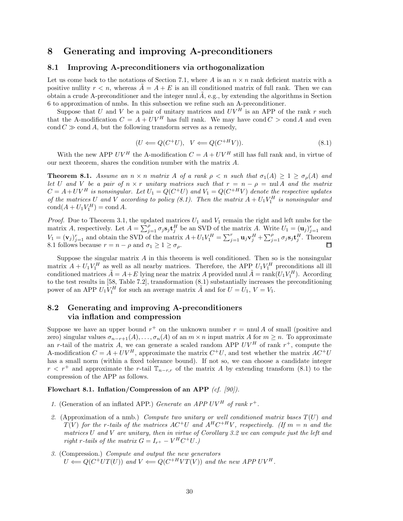# **8 Generating and improving A-preconditioners**

# **8.1 Improving A-preconditioners via orthogonalization**

Let us come back to the notations of Section 7.1, where A is an  $n \times n$  rank deficient matrix with a positive nullity  $r < n$ , whereas  $A = A + E$  is an ill conditioned matrix of full rank. Then we can obtain a crude A-preconditioner and the integer nnul  $A$ , e.g., by extending the algorithms in Section 6 to approximation of nmbs. In this subsection we refine such an A-preconditioner.

Suppose that U and V be a pair of unitary matrices and  $UV^H$  is an APP of the rank r such that the A-modification  $C = A + UV^H$  has full rank. We may have cond  $C > \text{cond } A$  and even  $\text{cond } C \gg \text{cond } A$ , but the following transform serves as a remedy,

$$
(U \Longleftarrow Q(C^+U), \quad V \Longleftarrow Q(C^{+H}V)). \tag{8.1}
$$

With the new APP  $UV^H$  the A-modification  $C = A + UV^H$  still has full rank and, in virtue of our next theorem, shares the condition number with the matrix A.

**Theorem 8.1.** *Assume an*  $n \times n$  *matrix* A *of a rank*  $\rho \leq n$  *such that*  $\sigma_1(A) \geq 1 \geq \sigma_\rho(A)$  *and let* U and V *be a pair of*  $n \times r$  *unitary matrices such that*  $r = n - \rho = \text{null } A$  *and the matrix*  $C = A + UV^H$  is nonsingular. Let  $U_1 = Q(C^+U)$  and  $V_1 = Q(C^{+H}V)$  denote the respective updates *of the matrices* U and V according to policy (8.1). Then the matrix  $A + U_1 V_1^H$  is nonsingular and  $\text{cond}(A + U_1 V_1^H) = \text{cond} A.$ 

*Proof.* Due to Theorem 3.1, the updated matrices  $U_1$  and  $V_1$  remain the right and left nmbs for the matrix A, respectively. Let  $A = \sum_{j=1}^{p} \sigma_j s_j \mathbf{t}_j^H$  be an SVD of the matrix A. Write  $U_1 = (\mathbf{u}_j)_{j=1}^r$  and  $V_1 = (\mathbf{v}_j)_{j=1}^r$  and obtain the SVD of the matrix  $A + U_1 V_1^H = \sum_{j=1}^r \mathbf{u}_j \mathbf{v}_j^H + \sum_{j=1}^{\rho} \sigma_j \mathbf{s}_j \mathbf{t}_j^H$ . Theorem 8.1 follows because  $r = n - \rho$  and  $\sigma_1 \geq 1 \geq \sigma_\rho$ .

Suppose the singular matrix  $A$  in this theorem is well conditioned. Then so is the nonsingular matrix  $A + U_1 V_1^H$  as well as all nearby matrices. Therefore, the APP  $U_1 V_1^H$  preconditions all ill conditioned matrices  $\tilde{A} = A + E$  lying near the matrix A provided nnul  $\tilde{A} = \text{rank}(U_1 V_1^H)$ . According to the test results in [58, Table 7.2], transformation (8.1) substantially increases the preconditioning power of an APP  $U_1 V_1^H$  for such an average matrix  $\tilde{A}$  and for  $U = U_1$ ,  $V = V_1$ .

# **8.2 Generating and improving A-preconditioners via inflation and compression**

Suppose we have an upper bound  $r^+$  on the unknown number  $r = \text{null } A$  of small (positive and zero) singular values  $\sigma_{n-r+1}(A),\ldots,\sigma_n(A)$  of an  $m \times n$  input matrix A for  $m \geq n$ . To approximate an r-tail of the matrix A, we can generate a scaled random APP  $UV^H$  of rank  $r^+$ , compute the A-modification  $C = A + UV^H$ , approximate the matrix  $C^+U$ , and test whether the matrix  $AC^+U$ has a small norm (within a fixed tolerance bound). If not so, we can choose a candidate integer  $r < r^+$  and approximate the r-tail  $\mathbb{T}_{n-r,r}$  of the matrix A by extending transform (8.1) to the compression of the APP as follows.

# **Flowchart 8.1. Inflation/Compression of an APP** *(cf. [90]).*

- *1.* (Generation of an inflated APP.) *Generate an APP UV<sup>H</sup> of rank*  $r^+$ *.*
- *2.* (Approximation of a nmb.) *Compute two unitary or well conditioned matrix bases* T(U) *and*  $T(V)$  *for the r-tails of the matrices*  $AC^+U$  *and*  $A^HC^{+HV}$ *, respectively. (If*  $m = n$  *and the matrices* U *and* V *are unitary, then in virtue of Corollary 3.2 we can compute just the left and right* r-tails of the matrix  $G = I_{r^+} - V^H C^+ U$ .)
- *3.* (Compression.) *Compute and output the new generators*  $U \leftarrow Q(C^+UT(U))$  and  $V \leftarrow Q(C^+HVT(V))$  and the new APP UV<sup>H</sup>.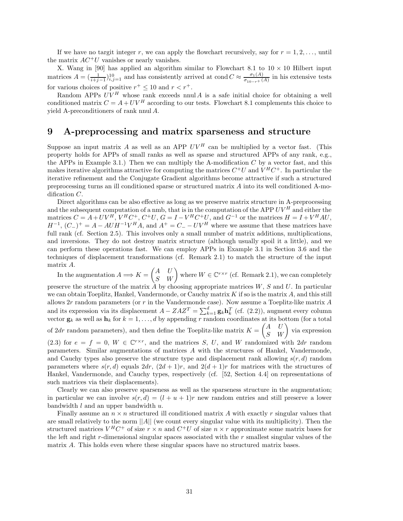If we have no targit integer r, we can apply the flowchart recursively, say for  $r = 1, 2, \ldots$ , until the matrix  $AC^+U$  vanishes or nearly vanishes.

X. Wang in [90] has applied an algorithm similar to Flowchart 8.1 to  $10 \times 10$  Hilbert input matrices  $A = (\frac{1}{i+j-1})_{i,j=1}^{10}$  and has consistently arrived at cond  $C \approx \frac{\sigma_1(A)}{\sigma_{10-r}+(A)}$  in his extensive tests for various choices of positive  $r^+\leq 10$  and  $r < r^+.$ 

Random APPs  $UV^H$  whose rank exceeds nnul A is a safe initial choice for obtaining a well conditioned matrix  $C = A + UV^H$  according to our tests. Flowchart 8.1 complements this choice to yield A-preconditioners of rank nnul A.

# **9 A-preprocessing and matrix sparseness and structure**

Suppose an input matrix A as well as an APP  $UV^H$  can be multiplied by a vector fast. (This property holds for APPs of small ranks as well as sparse and structured APPs of any rank, e.g., the APPs in Example 3.1.) Then we can multiply the A-modification  $C$  by a vector fast, and this makes iterative algorithms attractive for computing the matrices  $C^+U$  and  $V^HC^+$ . In particular the iterative refinement and the Conjugate Gradient algorithms become attractive if such a structured preprocessing turns an ill conditioned sparse or structured matrix A into its well conditioned A-modification C.

Direct algorithms can be also effective as long as we preserve matrix structure in A-preprocessing and the subsequent computation of a nmb, that is in the computation of the APP  $UV^H$  and either the matrices  $C = A + UV^H$ ,  $V^H C^+$ ,  $C^+U$ ,  $G = I - V^H C^+U$ , and  $G^{-1}$  or the matrices  $H = I + V^H A U$ ,  $H^{-1}$ ,  $(C_{-})^{+} = A - AUH^{-1}V^{H}A$ , and  $A^{+} = C_{-} - UV^{H}$  where we assume that these matrices have full rank (cf. Section 2.5). This involves only a small number of matrix additions, multiplications, and inversions. They do not destroy matrix structure (although usually spoil it a little), and we can perform these operations fast. We can employ APPs in Example 3.1 in Section 3.6 and the techniques of displacement transformations (cf. Remark 2.1) to match the structure of the input matrix A.

In the augmentation  $A \Longrightarrow K = \begin{pmatrix} A & U \ S & W \end{pmatrix}$  where  $W \in \mathbb{C}^{r \times r}$  (cf. Remark 2.1), we can completely preserve the structure of the matrix  $\tilde{A}$  by choosing appropriate matrices  $W, S$  and  $U$ . In particular we can obtain Toeplitz, Hankel, Vandermonde, or Cauchy matrix  $K$  if so is the matrix  $A$ , and this still allows  $2r$  random parameters (or r in the Vandermonde case). Now assume a Toeplitz-like matrix  $A$ and its expression via its displacement  $A - ZAZ^T = \sum_{k=1}^d g_k \mathbf{h}_k^T$  (cf. (2.2)), augment every column vector  $\mathbf{g}_k$  as well as  $\mathbf{h}_k$  for  $k = 1, \ldots, d$  by appending r random coordinates at its bottom (for a total of 2dr random parameters), and then define the Toeplitz-like matrix  $K = \begin{pmatrix} A & U \\ S & W \end{pmatrix}$  via expression (2.3) for  $e = f = 0$ ,  $W \in \mathbb{C}^{r \times r}$ , and the matrices S, U, and W randomized with  $2dr$  random parameters. Similar augmentations of matrices A with the structures of Hankel, Vandermonde, and Cauchy types also preserve the structure type and displacement rank allowing  $s(r, d)$  random parameters where  $s(r, d)$  equals  $2dr$ ,  $(2d + 1)r$ , and  $2(d + 1)r$  for matrices with the structures of Hankel, Vandermonde, and Cauchy types, respectively (cf. [52, Section 4.4] on representations of such matrices via their displacements).

Clearly we can also preserve sparseness as well as the sparseness structure in the augmentation; in particular we can involve  $s(r, d) = (l + u + 1)r$  new random entries and still preserve a lower bandwidth  $l$  and an upper bandwidth  $u$ .

Finally assume an  $n \times n$  structured ill conditioned matrix A with exactly r singular values that are small relatively to the norm  $||A||$  (we count every singular value with its multiplicity). Then the structured matrices  $V^H C^+$  of size  $r \times n$  and  $C^+ U$  of size  $n \times r$  approximate some matrix bases for the left and right  $r$ -dimensional singular spaces associated with the  $r$  smallest singular values of the matrix A. This holds even where these singular spaces have no structured matrix bases.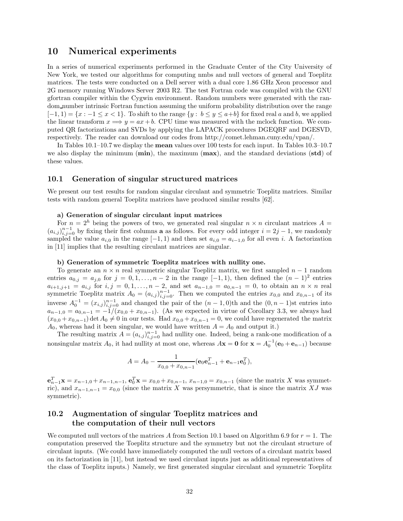# **10 Numerical experiments**

In a series of numerical experiments performed in the Graduate Center of the City University of New York, we tested our algorithms for computing nmbs and null vectors of general and Toeplitz matrices. The tests were conducted on a Dell server with a dual core 1.86 GHz Xeon processor and 2G memory running Windows Server 2003 R2. The test Fortran code was compiled with the GNU gfortran compiler within the Cygwin environment. Random numbers were generated with the random number intrinsic Fortran function assuming the uniform probability distribution over the range  $[-1, 1) = \{x : -1 \le x < 1\}$ . To shift to the range  $\{y : b \le y \le a+b\}$  for fixed real a and b, we applied the linear transform  $x \Longrightarrow y = ax + b$ . CPU time was measured with the mclock function. We computed QR factorizations and SVDs by applying the LAPACK procedures DGEQRF and DGESVD, respectively. The reader can download our codes from http://comet.lehman.cuny.edu/vpan/.

In Tables 10.1–10.7 we display the **mean** values over 100 tests for each input. In Tables 10.3–10.7 we also display the minimum (**min**), the maximum (**max**), and the standard deviations (**std**) of these values.

# **10.1 Generation of singular structured matrices**

We present our test results for random singular circulant and symmetric Toeplitz matrices. Similar tests with random general Toeplitz matrices have produced similar results [62].

#### **a) Generation of singular circulant input matrices**

For  $n = 2<sup>h</sup>$  being the powers of two, we generated real singular  $n \times n$  circulant matrices  $A =$  $(a_{i,j})_{i,j=0}^{n-1}$  by fixing their first columns **a** as follows. For every odd integer  $i = 2j - 1$ , we randomly sampled the value  $a_{i,0}$  in the range  $[-1, 1)$  and then set  $a_{i,0} = a_{i-1,0}$  for all even i. A factorization in [11] implies that the resulting circulant matrices are singular.

#### **b) Generation of symmetric Toeplitz matrices with nullity one.**

To generate an  $n \times n$  real symmetric singular Toeplitz matrix, we first sampled  $n-1$  random entries  $a_{0,j} = a_{j,0}$  for  $j = 0, 1, \ldots, n-2$  in the range  $[-1,1)$ , then defined the  $(n-1)^2$  entries  $a_{i+1,j+1} = a_{i,j}$  for  $i, j = 0, 1, \ldots, n-2$ , and set  $a_{n-1,0} = a_{0,n-1} = 0$ , to obtain an  $n \times n$  real symmetric Toeplitz matrix  $A_0 = (a_{i,j})_{i,j=0}^{n-1}$ . Then we computed the entries  $x_{0,0}$  and  $x_{0,n-1}$  of its inverse  $A_0^{-1} = (x_{i,j})_{i,j=0}^{n-1}$  and changed the pair of the  $(n-1,0)$ th and the  $(0, n-1)$ st entries into  $a_{n-1,0} = a_{0,n-1} = -1/(x_{0,0} + x_{0,n-1})$ . (As we expected in virtue of Corollary 3.3, we always had  $(x_{0,0} + x_{0,n-1})$  det  $A_0 \neq 0$  in our tests. Had  $x_{0,0} + x_{0,n-1} = 0$ , we could have regenerated the matrix  $A_0$ , whereas had it been singular, we would have written  $A = A_0$  and output it.)

The resulting matrix  $A = (a_{i,j})_{i,j=0}^{n-1}$  had nullity one. Indeed, being a rank-one modification of a nonsingular matrix  $A_0$ , it had nullity at most one, whereas  $A\mathbf{x} = \mathbf{0}$  for  $\mathbf{x} = A_0^{-1}(\mathbf{e}_0 + \mathbf{e}_{n-1})$  because

$$
A = A_0 - \frac{1}{x_{0,0} + x_{0,n-1}} (\mathbf{e}_0 \mathbf{e}_{n-1}^T + \mathbf{e}_{n-1} \mathbf{e}_0^T),
$$

 $\mathbf{e}_{n-1}^T \mathbf{x} = x_{n-1,0} + x_{n-1,n-1}, \ \mathbf{e}_0^T \mathbf{x} = x_{0,0} + x_{0,n-1}, \ x_{n-1,0} = x_{0,n-1}$  (since the matrix X was symmetric), and  $x_{n-1,n-1} = x_{0,0}$  (since the matrix X was persymmetric, that is since the matrix XJ was symmetric).

# **10.2 Augmentation of singular Toeplitz matrices and the computation of their null vectors**

We computed null vectors of the matrices A from Section 10.1 based on Algorithm 6.9 for  $r = 1$ . The computation preserved the Toeplitz structure and the symmetry but not the circulant structure of circulant inputs. (We could have immediately computed the null vectors of a circulant matrix based on its factorization in [11], but instead we used circulant inputs just as additional representatives of the class of Toeplitz inputs.) Namely, we first generated singular circulant and symmetric Toeplitz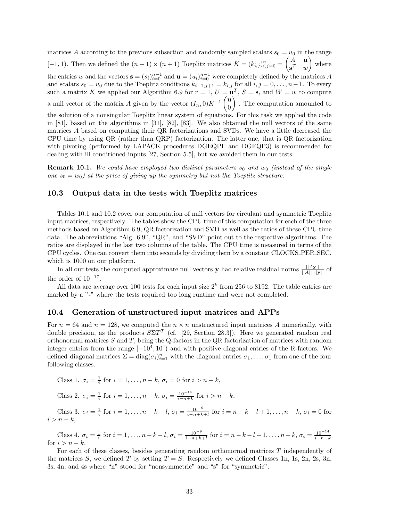matrices A according to the previous subsection and randomly sampled scalars  $s_0 = u_0$  in the range [-1, 1]. Then we defined the  $(n+1) \times (n+1)$  Toeplitz matrices  $K = (k_{i,j})_{i,j=0}^n = \begin{pmatrix} A & \mathbf{u} \\ \mathbf{s}^T & m \end{pmatrix}$  $\mathbf{s}^T$  w - where the entries w and the vectors  $\mathbf{s} = (s_i)_{i=0}^{n-1}$  and  $\mathbf{u} = (u_i)_{i=0}^{n-1}$  were completely defined by the matrices A and scalars  $s_0 = u_0$  due to the Toeplitz conditions  $k_{i+1,j+1} = k_{i,j}$  for all  $i, j = 0, \ldots, n-1$ . To every such a matrix K we applied our Algorithm 6.9 for  $r = 1$ ,  $U = \mathbf{u}^T$ ,  $S = \mathbf{s}$ , and  $W = w$  to compute a null vector of the matrix A given by the vector  $(I_n, 0)K^{-1}\begin{pmatrix} \mathbf{u} \\ 0 \end{pmatrix}$ 0 - . The computation amounted to the solution of a nonsingular Toeplitz linear system of equations. For this task we applied the code in [81], based on the algorithms in [31], [82], [83]. We also obtained the null vectors of the same matrices A based on computing their QR factorizations and SVDs. We have a little decreased the CPU time by using QR (rather than QRP) factorization. The latter one, that is QR factorization with pivoting (performed by LAPACK procedures DGEQPF and DGEQP3) is recommended for dealing with ill conditioned inputs [27, Section 5.5], but we avoided them in our tests.

**Remark 10.1.** We could have employed two distinct parameters  $s_0$  and  $w_0$  (instead of the single *one*  $s_0 = w_0$  *at the price of giving up the symmetry but not the Toeplitz structure.* 

# **10.3 Output data in the tests with Toeplitz matrices**

Tables 10.1 and 10.2 cover our computation of null vectors for circulant and symmetric Toeplitz input matrices, respectively. The tables show the CPU time of this computation for each of the three methods based on Algorithm 6.9, QR factorization and SVD as well as the ratios of these CPU time data. The abbreviations "Alg. 6.9", "QR", and "SVD" point out to the respective algorithms. The ratios are displayed in the last two columns of the table. The CPU time is measured in terms of the CPU cycles. One can convert them into seconds by dividing them by a constant CLOCKS PER SEC, which is 1000 on our platform.

In all our tests the computed approximate null vectors **y** had relative residual norms  $\frac{||A\mathbf{y}||}{||A|| \cdot ||\mathbf{y}||}$  of the order of  $10^{-17}\cdot$ 

All data are average over 100 tests for each input size  $2^k$  from 256 to 8192. The table entries are marked by a "-" where the tests required too long runtime and were not completed.

### **10.4 Generation of unstructured input matrices and APPs**

For  $n = 64$  and  $n = 128$ , we computed the  $n \times n$  unstructured input matrices A numerically, with double precision, as the products  $S\Sigma T^{T}$  (cf. [29, Section 28.3]). Here we generated random real orthonormal matrices  $S$  and  $T$ , being the Q-factors in the QR factorization of matrices with random integer entries from the range  $[-10^4, 10^4)$  and with positive diagonal entries of the R-factors. We defined diagonal matrices  $\Sigma = diag(\sigma_i)_{i=1}^n$  with the diagonal entries  $\sigma_1, \ldots, \sigma_1$  from one of the four following classes.

Class 1. 
$$
\sigma_i = \frac{1}{i}
$$
 for  $i = 1, ..., n - k$ ,  $\sigma_i = 0$  for  $i > n - k$ ,

Class 2. 
$$
\sigma_i = \frac{1}{i}
$$
 for  $i = 1, ..., n - k$ ,  $\sigma_i = \frac{10^{-14}}{i - n + k}$  for  $i > n - k$ ,

Class 3.  $\sigma_i = \frac{1}{i}$  for  $i = 1, ..., n - k - l$ ,  $\sigma_i = \frac{10^{-9}}{i - n + k + l}$  for  $i = n - k - l + 1, ..., n - k$ ,  $\sigma_i = 0$  for  $i>n-k$ ,

Class 4.  $\sigma_i = \frac{1}{i}$  for  $i = 1, ..., n - k - l$ ,  $\sigma_i = \frac{10^{-9}}{i - n + k + l}$  for  $i = n - k - l + 1, ..., n - k$ ,  $\sigma_i = \frac{10^{-14}}{i - n + k}$ for  $i > n - k$ .

For each of these classes, besides generating random orthonormal matrices T independently of the matrices S, we defined T by setting  $T = S$ . Respectively we defined Classes 1n, 1s, 2n, 2s, 3n, 3s, 4n, and 4s where "n" stood for "nonsymmetric" and "s" for "symmetric".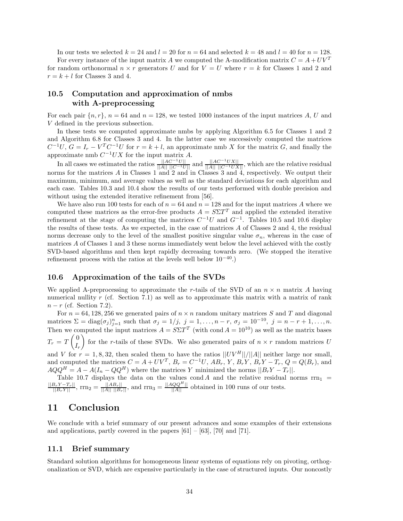In our tests we selected  $k = 24$  and  $l = 20$  for  $n = 64$  and selected  $k = 48$  and  $l = 40$  for  $n = 128$ . For every instance of the input matrix A we computed the A-modification matrix  $C = A + UV^T$ for random orthonormal  $n \times r$  generators U and for  $V = U$  where  $r = k$  for Classes 1 and 2 and  $r = k + l$  for Classes 3 and 4.

# **10.5 Computation and approximation of nmbs with A-preprocessing**

For each pair  $\{n, r\}$ ,  $n = 64$  and  $n = 128$ , we tested 1000 instances of the input matrices A, U and V defined in the previous subsection.

In these tests we computed approximate nmbs by applying Algorithm 6.5 for Classes 1 and 2 and Algorithm 6.8 for Classes 3 and 4. In the latter case we successively computed the matrices  $C^{-1}U, G = I_r - V^T C^{-1}U$  for  $r = k + l$ , an approximate nmb X for the matrix G, and finally the approximate nmb  $C^{-1}UX$  for the input matrix A.

In all cases we estimated the ratios  $\frac{||AC^{-1}U||}{||A|| ||C^{-1}U||}$  and  $\frac{||AC^{-1}UX||}{||A|| ||C^{-1}UX||}$ , which are the relative residual norms for the matrices A in Classes 1 and 2 and in Classes 3 and 4, respectively. We output their maximum, minimum, and average values as well as the standard deviations for each algorithm and each case. Tables 10.3 and 10.4 show the results of our tests performed with double precision and without using the extended iterative refinement from [56].

We have also run 100 tests for each of  $n = 64$  and  $n = 128$  and for the input matrices A where we computed these matrices as the error-free products  $A = S\Sigma T^T$  and applied the extended iterative refinement at the stage of computing the matrices  $C^{-1}U$  and  $G^{-1}$ . Tables 10.5 and 10.6 display the results of these tests. As we expected, in the case of matrices A of Classes 2 and 4, the residual norms decrease only to the level of the smallest positive singular value  $\sigma_n$ , whereas in the case of matrices A of Classes 1 and 3 these norms immediately went below the level achieved with the costly SVD-based algorithms and then kept rapidly decreasing towards zero. (We stopped the iterative refinement process with the ratios at the levels well below  $10^{-40}$ .)

# **10.6 Approximation of the tails of the SVDs**

We applied A-preprocessing to approximate the r-tails of the SVD of an  $n \times n$  matrix A having numerical nullity r (cf. Section 7.1) as well as to approximate this matrix with a matrix of rank  $n-r$  (cf. Section 7.2).

For  $n = 64, 128, 256$  we generated pairs of  $n \times n$  random unitary matrices S and T and diagonal matrices  $\Sigma = \text{diag}(\sigma_j)_{j=1}^n$  such that  $\sigma_j = 1/j$ ,  $j = 1, \ldots, n-r$ ,  $\sigma_j = 10^{-10}$ ,  $j = n-r+1, \ldots, n$ . Then we computed the input matrices  $A = S\Sigma T^T$  (with cond  $A = 10^{10}$ ) as well as the matrix bases  $T_r = T \left(\frac{0}{I}\right)$  $I_r$ for the r-tails of these SVDs. We also generated pairs of  $n \times r$  random matrices U

and V for  $r = 1, 8, 32$ , then scaled them to have the ratios  $||UV^H||/||A||$  neither large nor small, and computed the matrices  $C = A + UV^T$ ,  $B_r = C^{-1}U$ ,  $AB_r$ ,  $Y$ ,  $B_r$ ,  $Y$ ,  $B_r$ ,  $Y - T_r$ ,  $Q = Q(B_r)$ , and  $AQQ^H = A - A(I_n - QQ^H)$  where the matrices Y minimized the norms  $||B_rY - T_r||$ .

Table 10.7 displays the data on the values cond A and the relative residual norms  $rrn_1$  =  $\frac{||B_r Y - T_r||}{||B_r Y||}$ , rrn<sub>2</sub> =  $\frac{||AB_r||}{||A|| ||B_r||}$ , and rrn<sub>3</sub> =  $\frac{||AQQ^H||}{||A||}$  obtained in 100 runs of our tests.

# **11 Conclusion**

We conclude with a brief summary of our present advances and some examples of their extensions and applications, partly covered in the papers  $[61] - [63]$ ,  $[70]$  and  $[71]$ .

# **11.1 Brief summary**

Standard solution algorithms for homogeneous linear systems of equations rely on pivoting, orthogonalization or SVD, which are expensive particularly in the case of structured inputs. Our noncostly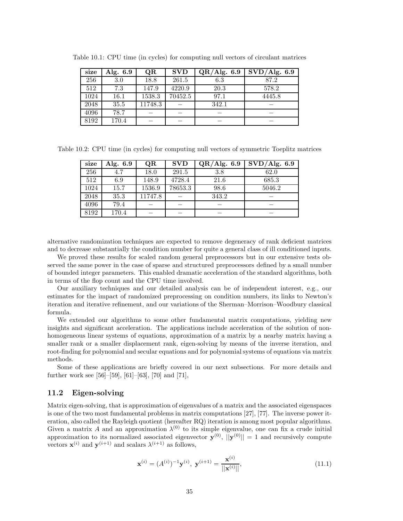| size | Alg. $6.9$ | QR      | <b>SVD</b> | QR/Alg. 6.9 | $\overline{\mathrm{SVD}}/\mathrm{Alg.}$ 6.9 |
|------|------------|---------|------------|-------------|---------------------------------------------|
| 256  | 3.0        | 18.8    | 261.5      | 6.3         | 87.2                                        |
| 512  | 7.3        | 147.9   | 4220.9     | 20.3        | 578.2                                       |
| 1024 | 16.1       | 1538.3  | 70452.5    | 97.1        | 4445.8                                      |
| 2048 | 35.5       | 11748.3 |            | 342.1       |                                             |
| 4096 | 78.7       |         |            |             |                                             |
| 8192 | 170.4      |         |            |             |                                             |

Table 10.1: CPU time (in cycles) for computing null vectors of circulant matrices

Table 10.2: CPU time (in cycles) for computing null vectors of symmetric Toeplitz matrices

| size | Alg. 6.9 | QR      | <b>SVD</b> | QR/Alg. 6.9 | SVD/Alg. 6.9 |
|------|----------|---------|------------|-------------|--------------|
| 256  |          | 18.0    | 291.5      | 3.8         | 62.0         |
| 512  | 6.9      | 148.9   | 4728.4     | 21.6        | 685.3        |
| 1024 | 15.7     | 1536.9  | 78653.3    | 98.6        | 5046.2       |
| 2048 | 35.3     | 11747.8 |            | 343.2       |              |
| 4096 | 79.4     |         |            |             |              |
| 8192 | 170.4    |         |            |             |              |

alternative randomization techniques are expected to remove degeneracy of rank deficient matrices and to decrease substantially the condition number for quite a general class of ill conditioned inputs.

We proved these results for scaled random general preprocessors but in our extensive tests observed the same power in the case of sparse and structured preprocessors defined by a small number of bounded integer parameters. This enabled dramatic acceleration of the standard algorithms, both in terms of the flop count and the CPU time involved.

Our auxiliary techniques and our detailed analysis can be of independent interest, e.g., our estimates for the impact of randomized preprocessing on condition numbers, its links to Newton's iteration and iterative refinement, and our variations of the Sherman–Morrison–Woodbury classical formula.

We extended our algorithms to some other fundamental matrix computations, yielding new insights and significant acceleration. The applications include acceleration of the solution of nonhomogeneous linear systems of equations, approximation of a matrix by a nearby matrix having a smaller rank or a smaller displacement rank, eigen-solving by means of the inverse iteration, and root-finding for polynomial and secular equations and for polynomial systems of equations via matrix methods.

Some of these applications are briefly covered in our next subsections. For more details and further work see  $[56]$ – $[59]$ ,  $[61]$ – $[63]$ ,  $[70]$  and  $[71]$ ,

# **11.2 Eigen-solving**

Matrix eigen-solving, that is approximation of eigenvalues of a matrix and the associated eigenspaces is one of the two most fundamental problems in matrix computations [27], [77]. The inverse power iteration, also called the Rayleigh quotient (hereafter RQ) iteration is among most popular algorithms. Given a matrix A and an approximation  $\lambda^{(0)}$  to its simple eigenvalue, one can fix a crude initial approximation to its normalized associated eigenvector  $\mathbf{y}^{(0)}$ ,  $||\mathbf{y}^{(0)}|| = 1$  and recursively compute vectors  $\mathbf{x}^{(i)}$  and  $\mathbf{y}^{(i+1)}$  and scalars  $\lambda^{(i+1)}$  as follows,

$$
\mathbf{x}^{(i)} = (A^{(i)})^{-1} \mathbf{y}^{(i)}, \ \mathbf{y}^{(i+1)} = \frac{\mathbf{x}^{(i)}}{||\mathbf{x}^{(i)}||},\tag{11.1}
$$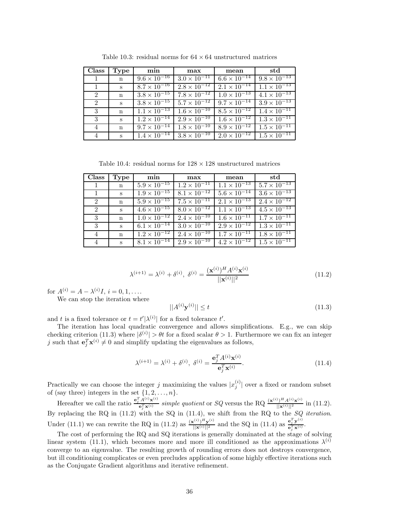| <b>Class</b> | Type        | min                              | max                              | mean                  | std                   |
|--------------|-------------|----------------------------------|----------------------------------|-----------------------|-----------------------|
| -1           | n           | $9.6 \times \overline{10^{-16}}$ | $3.0 \times \overline{10^{-11}}$ | $6.6 \times 10^{-14}$ | $9.8 \times 10^{-13}$ |
|              | S           | $8.7 \times 10^{-16}$            | $2.8 \times 10^{-12}$            | $2.1 \times 10^{-14}$ | $1.1 \times 10^{-13}$ |
| 2            | n           | $3.8 \times 10^{-15}$            | $7.8 \times \overline{10^{-12}}$ | $1.0 \times 10^{-13}$ | $4.1 \times 10^{-13}$ |
| 2            | S           | $3.8 \times 10^{-15}$            | $5.7 \times 10^{-12}$            | $9.7 \times 10^{-14}$ | $3.9 \times 10^{-13}$ |
| 3            | n           | $1.1 \times 10^{-13}$            | $1.6 \times \overline{10^{-10}}$ | $8.5 \times 10^{-12}$ | $1.4 \times 10^{-11}$ |
| 3            | S           | $1.2 \times 10^{-14}$            | $2.9 \times \overline{10^{-10}}$ | $1.6 \times 10^{-12}$ | $1.3 \times 10^{-11}$ |
| 4            | $\mathbf n$ | $9.7 \times \overline{10^{-14}}$ | $1.8 \times \overline{10^{-10}}$ | $8.9 \times 10^{-12}$ | $1.5 \times 10^{-11}$ |
| 4            | $S_{-}$     | $1.4 \times 10^{-14}$            | $3.8 \times 10^{-10}$            | $2.0 \times 10^{-12}$ | $1.5 \times 10^{-11}$ |

Table 10.3: residual norms for  $64 \times 64$  unstructured matrices

Table 10.4: residual norms for  $128 \times 128$  unstructured matrices

| <b>Class</b>  | Type         | min                                                                          | max                                           | mean                  | std                   |
|---------------|--------------|------------------------------------------------------------------------------|-----------------------------------------------|-----------------------|-----------------------|
|               | $\mathbf n$  |                                                                              | $5.9 \times 10^{-15}$   $1.2 \times 10^{-11}$ | $1.1 \times 10^{-13}$ | $5.7 \times 10^{-13}$ |
|               | S            |                                                                              | $1.9 \times 10^{-15}$ $8.1 \times 10^{-12}$   | $5.6 \times 10^{-14}$ | $3.6 \times 10^{-13}$ |
| $2^{\circ}$   | $\mathbf{n}$ | $5.9 \times \overline{10^{-15}}$                                             | $7.5 \times 10^{-11}$                         | $2.1 \times 10^{-13}$ | $2.4 \times 10^{-12}$ |
| 2             | S            |                                                                              | $4.6 \times 10^{-15}$ $8.0 \times 10^{-12}$   | $1.1 \times 10^{-13}$ | $4.5 \times 10^{-13}$ |
| 3             | $\mathbf{n}$ |                                                                              | $1.0 \times 10^{-12}$   $2.4 \times 10^{-10}$ | $1.6 \times 10^{-11}$ | $1.7 \times 10^{-11}$ |
| $\mathcal{S}$ | S            | $6.1 \times 10^{-14}$                                                        | $3.0 \times 10^{-10}$                         | $2.9 \times 10^{-12}$ | $1.3 \times 10^{-11}$ |
| 4             | $\mathbf n$  | $1.2 \times 10^{-12}$                                                        | $2.4 \times 10^{-10}$                         | $1.7 \times 10^{-11}$ | $1.8 \times 10^{-11}$ |
|               | $\mathbf{s}$ | $\mid 8.1 \times 10^{-14} \mid 2.9 \times 10^{-10} \mid 4.2 \times 10^{-12}$ |                                               |                       | $1.5 \times 10^{-11}$ |

$$
\lambda^{(i+1)} = \lambda^{(i)} + \delta^{(i)}, \ \delta^{(i)} = \frac{(\mathbf{x}^{(i)})^H A^{(i)} \mathbf{x}^{(i)}}{||\mathbf{x}^{(i)}||^2}
$$
(11.2)

for  $A^{(i)} = A - \lambda^{(i)}I, i = 0, 1, \ldots$ 

We can stop the iteration where

$$
||A^{(i)}\mathbf{y}^{(i)}|| \le t \tag{11.3}
$$

and t is a fixed tolerance or  $t = t'|\lambda^{(i)}|$  for a fixed tolerance t'.

The iteration has local quadratic convergence and allows simplifications. E.g., we can skip checking criterion (11.3) where  $|\delta^{(i)}| > \theta t$  for a fixed scalar  $\theta > 1$ . Furthermore we can fix an integer j such that  $\mathbf{e}_j^T \mathbf{x}^{(i)} \neq 0$  and simplify updating the eigenvalues as follows,

$$
\lambda^{(i+1)} = \lambda^{(i)} + \delta^{(i)}, \ \delta^{(i)} = \frac{\mathbf{e}_j^T A^{(i)} \mathbf{x}^{(i)}}{\mathbf{e}_j^T \mathbf{x}^{(i)}}.
$$
(11.4)

Practically we can choose the integer j maximizing the values  $|x_j^{(i)}|$  over a fixed or random subset of (say three) integers in the set  $\{1, 2, \ldots, n\}.$ 

Hereafter we call the ratio  $\frac{e_j^T A^{(i)} \mathbf{x}^{(i)}}{e_j^T \mathbf{x}^{(i)}}$  $\frac{d^{(1)}A^{(i)}\mathbf{x}^{(i)}}{e_j^T\mathbf{x}^{(i)}}$  *simple quotient* or *SQ* versus the RQ  $\frac{(\mathbf{x}^{(i)})^H A^{(i)}\mathbf{x}^{(i)}}{||\mathbf{x}^{(i)}||^2}$  in (11.2). By replacing the RQ in (11.2) with the SQ in (11.4), we shift from the RQ to the *SQ iteration*. Under (11.1) we can rewrite the RQ in (11.2) as  $\frac{(\mathbf{x}^{(i)})^H \mathbf{y}^{(i)}}{||\mathbf{x}^{(i)}||^2}$  and the SQ in (11.4) as  $\frac{\mathbf{e}_j^T \mathbf{y}^{(i)}}{\mathbf{e}_j^T \mathbf{x}^{(i)}}$  $\frac{\mathbf{e}_j \mathbf{y}}{\mathbf{e}_j^T \mathbf{x}^{(i)}}$ .

The cost of performing the RQ and SQ iterations is generally dominated at the stage of solving linear system (11.1), which becomes more and more ill conditioned as the approximations  $\lambda^{(i)}$ converge to an eigenvalue. The resulting growth of rounding errors does not destroys convergence, but ill conditioning complicates or even precludes application of some highly effective iterations such as the Conjugate Gradient algorithms and iterative refinement.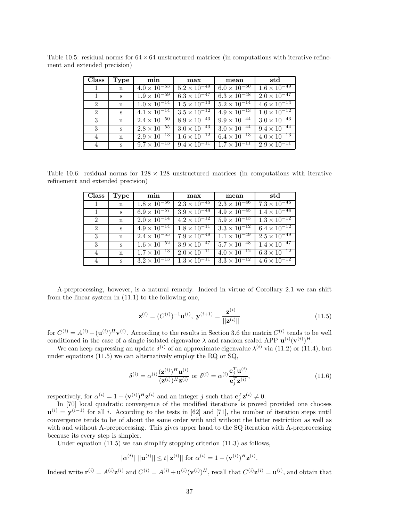| Class          | Type              | min                              | max                              | mean                             | std                              |
|----------------|-------------------|----------------------------------|----------------------------------|----------------------------------|----------------------------------|
|                | $\mathbf n$       | $4.0 \times \overline{10^{-53}}$ | $5.2 \times \overline{10^{-49}}$ | $6.0 \times 10^{-50}$            | $1.6 \times 10^{-49}$            |
| $\overline{1}$ | $S_{\cdot}$       | $1.9 \times 10^{-59}$            | $6.3 \times 10^{-47}$            | $6.3 \times 10^{-48}$            | $2.0 \times \overline{10^{-47}}$ |
| 2              | $\mathbf{n}$      | $1.0 \times \overline{10^{-14}}$ | $1.5 \times 10^{-13}$            | $5.2 \times \overline{10^{-14}}$ | $4.6 \times 10^{-14}$            |
| 2              | $S_{\mathcal{L}}$ | $4.1 \times 10^{-14}$            | $3.5 \times 10^{-12}$            | $4.9 \times 10^{-13}$            | $1.0 \times 10^{-12}$            |
| 3              | $\mathbf{n}$      | $2.4 \times 10^{-50}$            | $8.9 \times 10^{-43}$            | $9.9 \times 10^{-44}$            | $3.0 \times 10^{-43}$            |
| 3              | $S_{-}$           | $2.8 \times \overline{10^{-55}}$ | $3.0 \times 10^{-43}$            | $3.0 \times \overline{10^{-44}}$ | $9.4 \times 10^{-44}$            |
| 4              | $\mathbf n$       | $2.9 \times 10^{-13}$            | $1.6 \times 10^{-12}$            | $6.4 \times 10^{-13}$            | $4.0 \times \overline{10^{-13}}$ |
| $\overline{4}$ | $\mathbf{s}$      | $9.7 \times 10^{-13}$            | $9.\overline{4 \times 10^{-11}}$ | $1.7 \times 10^{-11}$            | $2.9 \times 10^{-11}$            |

Table 10.5: residual norms for  $64 \times 64$  unstructured matrices (in computations with iterative refinement and extended precision)

Table 10.6: residual norms for  $128 \times 128$  unstructured matrices (in computations with iterative refinement and extended precision)

| <b>Class</b>   | Type        | min                              | max                              | mean                             | std                              |
|----------------|-------------|----------------------------------|----------------------------------|----------------------------------|----------------------------------|
| $\mathbf{1}$   | $\mathbf n$ | $1.8 \times 10^{-56}$            | $2.3 \times 10^{-45}$            | $2.3 \times 10^{-46}$            | $7.3 \times 10^{-46}$            |
| $\overline{1}$ | S           | $6.9 \times \overline{10^{-57}}$ | $3.9 \times \overline{10^{-44}}$ | $4.9 \times 10^{-45}$            | $1.4 \times 10^{-44}$            |
| 2              | $\mathbf n$ | $2.0 \times \overline{10^{-14}}$ | $4.2 \times \overline{10^{-12}}$ | $5.9 \times \overline{10^{-13}}$ | $1.3 \times 10^{-12}$            |
| $\overline{2}$ | S           | $4.9 \times 10^{-14}$            | $1.8 \times 10^{-11}$            | $3.3 \times 10^{-12}$            | $6.4 \times \overline{10^{-12}}$ |
| 3              | $\mathbf n$ | $2.4 \times \overline{10^{-55}}$ | $7.9 \times \overline{10^{-49}}$ | $1.1 \times 10^{-49}$            | $2.5 \times \overline{10^{-49}}$ |
| -3             | S           | $1.6 \times \overline{10^{-52}}$ | $3.9 \times 10^{-47}$            | $5.7 \times 10^{-48}$            | $1.4 \times 10^{-47}$            |
| 4              | $\mathbf n$ | $1.7 \times \overline{10^{-13}}$ | $2.0 \times 10^{-11}$            | $4.0 \times 10^{-12}$            | $6.3 \times 10^{-12}$            |
| 4              | $S_{-}$     | $3.2 \times 10^{-13}$            | $1.3 \times 10^{-11}$            | $3.3 \times 10^{-12}$            | $4.6 \times \overline{10^{-12}}$ |

A-preprocessing, however, is a natural remedy. Indeed in virtue of Corollary 2.1 we can shift from the linear system in (11.1) to the following one,

$$
\mathbf{z}^{(i)} = (C^{(i)})^{-1} \mathbf{u}^{(i)}, \ \mathbf{y}^{(i+1)} = \frac{\mathbf{z}^{(i)}}{||\mathbf{z}^{(i)}||} \tag{11.5}
$$

for  $C^{(i)} = A^{(i)} + (\mathbf{u}^{(i)})^H \mathbf{v}^{(i)}$ . According to the results in Section 3.6 the matrix  $C^{(i)}$  tends to be well conditioned in the case of a single isolated eigenvalue  $\lambda$  and random scaled APP  $\mathbf{u}^{(i)}(\mathbf{v}^{(i)})^H$ .

We can keep expressing an update  $\delta^{(i)}$  of an approximate eigenvalue  $\lambda^{(i)}$  via (11.2) or (11.4), but under equations (11.5) we can alternatively employ the RQ or SQ,

$$
\delta^{(i)} = \alpha^{(i)} \frac{(\mathbf{z}^{(i)})^H \mathbf{u}^{(i)}}{(\mathbf{z}^{(i)})^H \mathbf{z}^{(i)}} \text{ or } \delta^{(i)} = \alpha^{(i)} \frac{\mathbf{e}_j^T \mathbf{u}^{(i)}}{\mathbf{e}_j^T \mathbf{z}^{(i)}},\tag{11.6}
$$

respectively, for  $\alpha^{(i)} = 1 - (\mathbf{v}^{(i)})^H \mathbf{z}^{(i)}$  and an integer j such that  $\mathbf{e}_j^T \mathbf{z}^{(i)} \neq 0$ .

In [70] local quadratic convergence of the modified iterations is proved provided one chooses  $\mathbf{u}^{(i)} = \mathbf{y}^{(i-1)}$  for all i. According to the tests in [62] and [71], the number of iteration steps until convergence tends to be of about the same order with and without the latter restriction as well as with and without A-preprocessing. This gives upper hand to the SQ iteration with A-preprocessing because its every step is simpler.

Under equation (11.5) we can simplify stopping criterion (11.3) as follows,

$$
|\alpha^{(i)}| \, ||\mathbf{u}^{(i)}|| \le t ||\mathbf{z}^{(i)}|| \text{ for } \alpha^{(i)} = 1 - (\mathbf{v}^{(i)})^H \mathbf{z}^{(i)}.
$$

Indeed write  $\mathbf{r}^{(i)} = A^{(i)} \mathbf{z}^{(i)}$  and  $C^{(i)} = A^{(i)} + \mathbf{u}^{(i)} (\mathbf{v}^{(i)})^H$ , recall that  $C^{(i)} \mathbf{z}^{(i)} = \mathbf{u}^{(i)}$ , and obtain that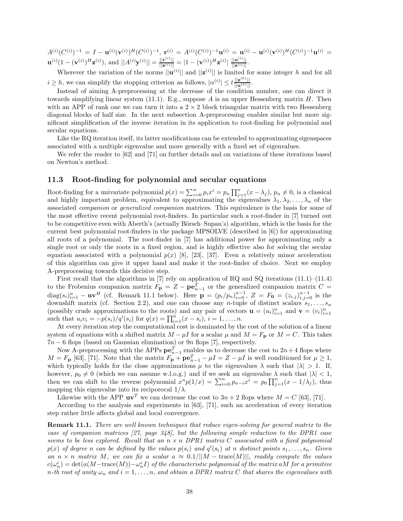$A^{(i)}(C^{(i)})^{-1} = I - \mathbf{u}^{(i)}(\mathbf{v}^{(i)})^H(C^{(i)})^{-1}, \mathbf{r}^{(i)} = A^{(i)}(C^{(i)})^{-1}\mathbf{u}^{(i)} = \mathbf{u}^{(i)} - \mathbf{u}^{(i)}(\mathbf{v}^{(i)})^H(C^{(i)})^{-1}\mathbf{u}^{(i)} =$  $\mathbf{u}^{(i)}(1-(\mathbf{v}^{(i)})^H\mathbf{z}^{(i)}),$  and  $||A^{(i)}\mathbf{y}^{(i)}|| = \frac{||\mathbf{r}^{(i)}||}{||\mathbf{z}^{(i)}||} = |1-(\mathbf{v}^{(i)})^H\mathbf{z}^{(i)}| \frac{||\mathbf{u}^{(i)}||}{||\mathbf{z}^{(i)}||}.$ 

Wherever the variation of the norms  $||\mathbf{u}^{(i)}||$  and  $||\mathbf{z}^{(i)}||$  is limited for some integer h and for all  $i \geq h$ , we can simplify the stopping criterion as follows,  $|\alpha^{(i)}| \leq t \frac{||\mathbf{z}^{(h)}||}{||\mathbf{u}^{(h)}||}$ .

Instead of aiming A-preprocessing at the decrease of the condition number, one can direct it towards simplifying linear system (11.1). E.g., suppose A is an upper Hessenberg matrix H. Then with an APP of rank one we can turn it into a  $2 \times 2$  block triangular matrix with two Hessenberg diagonal blocks of half size. In the next subsection A-preprocessing enables similar but more significant simplification of the inverse iteration in its application to root-finding for polynomial and secular equations.

Like the RQ iteration itself, its latter modifications can be extended to approximating eigenspaces associated with a multiple eigenvalue and more generally with a fixed set of eigenvalues.

We refer the reader to [62] and [71] on further details and on variations of these iterations based on Newton's method.

# **11.3 Root-finding for polynomial and secular equations**

Root-finding for a univariate polynomial  $p(x) = \sum_{i=0}^{n} p_i x^i = p_n \prod_{j=1}^{n} (x - \lambda_j)$ ,  $p_n \neq 0$ , is a classical and highly important problem, equivalent to approximating the eigenvalues  $\lambda_1, \lambda_2, \ldots, \lambda_n$  of the associated *companion* or *generalized companion* matrices. This equivalence is the basis for some of the most effective recent polynomial root-finders. In particular such a root-finder in [7] turned out to be competitive even with Aberth's (actually Börsch–Supan's) algorithm, which is the basis for the current best polynomial root-finders in the package MPSOLVE (described in [6]) for approximating all roots of a polynomial. The root-finder in [7] has additional power for approximating only a single root or only the roots in a fixed region, and is highly effective also for solving the secular equation associated with a polynomial  $p(x)$  [8], [23], [37]. Even a relatively minor acceleration of this algorithm can give it upper hand and make it the root-finder of choice. Next we employ A-preprocessing towards this decisive step.

First recall that the algorithms in [7] rely on application of RQ and SQ iterations  $(11.1)$ – $(11.4)$ to the Frobenius companion matrix  $F_{\mathbf{p}} = Z - \mathbf{p} \mathbf{e}_{n-1}^T$  or the generalized companion matrix  $C =$  $diag(s_i)_{i=1}^n - uv^H$  (cf. Remark 11.1 below). Here  $\mathbf{p} = (p_i/p_n)_{i=0}^{n-1}$ ,  $Z = F_0 = (z_{i,j})_{i,j=0}^{n-1}$  is the downshift matrix (cf. Section 2.2), and one can choose any n-tuple of distinct scalars  $s_1, \ldots, s_n$ (possibly crude approximations to the roots) and any pair of vectors  $\mathbf{u} = (u_i)_{i=1}^n$  and  $\mathbf{v} = (v_i)_{i=1}^n$ such that  $u_i v_i = -p(s_i)/q'(s_i)$  for  $q(x) = \prod_{i=1}^n (x - s_i), i = 1, ..., n$ .

At every iteration step the computational cost is dominated by the cost of the solution of a linear system of equations with a shifted matrix  $M - \mu I$  for a scalar  $\mu$  and  $M = F_p$  or  $M = C$ . This takes  $7n - 6$  flops (based on Gaussian elimination) or  $9n$  flops [7], respectively.

Now A-preprocessing with the APPs  $\mathbf{p}\mathbf{e}_{n-1}^T$  enables us to decrease the cost to  $2n+4$  flops where  $M = F_P$  [63], [71]. Note that the matrix  $F_P + \mathbf{p} \mathbf{e}_{n-1}^T - \mu I = Z - \mu I$  is well conditioned for  $\mu \ge 1$ , which typically holds for the close approximations  $\mu$  to the eigenvalues  $\lambda$  such that  $|\lambda| > 1$ . If, however,  $p_0 \neq 0$  (which we can assume w.l.o.g.) and if we seek an eigenvalue  $\lambda$  such that  $|\lambda| < 1$ , then we can shift to the reverse polynomial  $x^n p(1/x) = \sum_{i=0}^n p_{n-i} x^i = p_0 \prod_{j=1}^n (x - 1/\lambda_j)$ , thus mapping this eigenvalue into its reciporocal  $1/\lambda$ .

Likewise with the APP  $uv^T$  we can decrease the cost to  $3n + 2$  flops where  $M = C$  [63], [71].

According to the analysis and experiments in [63], [71], such an acceleration of every iteration step rather little affects global and local convergence.

**Remark 11.1.** *There are well known techniques that reduce eigen-solving for general matrix to the case of companion matrices [27, page 348], but the following simple reduction to the DPR1 case seems to be less explored. Recall that an*  $n \times n$  *DPR1 matrix C associated with a fixed polynomial*  $p(x)$  *of degree* n *can be defined by the values*  $p(s_i)$  *and*  $q'(s_i)$  *at* n *distinct points*  $s_1, \ldots, s_n$ *. Given an*  $n \times n$  *matrix* M, we can fix a scalar  $a \approx 0.1/||M - \text{trace}(M)||$ , readily compute the values  $c(\omega_n^i)=\det(a(M-\mathrm{trace}(M))-\omega_n^iI)$  of the characteristic polynomial of the matrix a $M$  for a primitive  $n$ -th root of unity  $\omega_n$  and  $i = 1, \ldots, n$ , and obtain a DPR1 matrix C that shares the eigenvalues with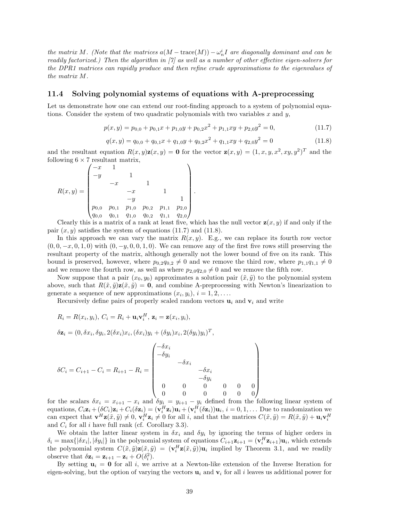*the matrix* M. (Note that the matrices  $a(M - \text{trace}(M)) - \omega_n^i I$  are diagonally dominant and can be *readily factorized.) Then the algorithm in [7] as well as a number of other effective eigen-solvers for the DPR1 matrices can rapidly produce and then refine crude approximations to the eigenvalues of the matrix* M*.*

### **11.4 Solving polynomial systems of equations with A-preprocessing**

Let us demonstrate how one can extend our root-finding approach to a system of polynomial equations. Consider the system of two quadratic polynomials with two variables x and y,

$$
p(x,y) = p_{0,0} + p_{0,1}x + p_{1,0}y + p_{0,2}x^2 + p_{1,1}xy + p_{2,0}y^2 = 0,
$$
\n(11.7)

$$
q(x,y) = q_{0,0} + q_{0,1}x + q_{1,0}y + q_{0,2}x^2 + q_{1,1}xy + q_{2,0}y^2 = 0
$$
\n(11.8)

and the resultant equation  $R(x, y)z(x, y) = 0$  for the vector  $z(x, y) = (1, x, y, x^2, xy, y^2)^T$  and the following  $6 \times 7$  resultant matrix,

.

$$
R(x,y) = \begin{pmatrix} -x & 1 & & & & \\ -y & & 1 & & & \\ & -x & & 1 & & \\ & & -x & & 1 & \\ & & -y & & & 1 \\ p_{0,0} & p_{0,1} & p_{1,0} & p_{0,2} & p_{1,1} & p_{2,0} \\ q_{0,0} & q_{0,1} & q_{1,0} & q_{0,2} & q_{1,1} & q_{2,0} \end{pmatrix}
$$

Clearly this is a matrix of a rank at least five, which has the null vector  $z(x, y)$  if and only if the pair  $(x, y)$  satisfies the system of equations (11.7) and (11.8).

In this approach we can vary the matrix  $R(x, y)$ . E.g., we can replace its fourth row vector  $(0, 0, -x, 0, 1, 0)$  with  $(0, -y, 0, 0, 1, 0)$ . We can remove any of the first five rows still preserving the resultant property of the matrix, although generally not the lower bound of five on its rank. This bound is preserved, however, where  $p_{0,2}q_{0,2}\neq 0$  and we remove the third row, where  $p_{1,1}q_{1,1}\neq 0$ and we remove the fourth row, as well as where  $p_{2,0}q_{2,0} \neq 0$  and we remove the fifth row.

Now suppose that a pair  $(x_0, y_0)$  approximates a solution pair  $(\tilde{x}, \tilde{y})$  to the polynomial system above, such that  $R(\tilde{x}, \tilde{y})\mathbf{z}(\tilde{x}, \tilde{y}) = \mathbf{0}$ , and combine A-preprocessing with Newton's linearization to generate a sequence of new approximations  $(x_i, y_i), i = 1, 2, \ldots$ 

Recursively define pairs of properly scaled random vectors  $\mathbf{u}_i$  and  $\mathbf{v}_i$  and write

$$
R_i = R(x_i, y_i), C_i = R_i + \mathbf{u}_i \mathbf{v}_i^H, \mathbf{z}_i = \mathbf{z}(x_i, y_i),
$$

$$
\delta \mathbf{z}_i = (0, \delta x_i, \delta y_i, 2(\delta x_i)x_i, (\delta x_i)y_i + (\delta y_i)x_i, 2(\delta y_i)y_i)^T,
$$

$$
\delta C_i = C_{i+1} - C_i = R_{i+1} - R_i = \begin{pmatrix} -\delta x_i & & & & & \\ -\delta y_i & & & & & \\ & -\delta x_i & & & & \\ & & -\delta x_i & & \\ & & & -\delta y_i & & \\ & & 0 & 0 & 0 & 0 & 0 \\ 0 & 0 & 0 & 0 & 0 & 0 \end{pmatrix}
$$

for the scalars  $\delta x_i = x_{i+1} - x_i$  and  $\delta y_i = y_{i+1} - y_i$  defined from the following linear system of equations,  $C_i \mathbf{z}_i + (\delta C_i) \mathbf{z}_i + C_i (\delta \mathbf{z}_i) = (\mathbf{v}_i^H \mathbf{z}_i) \mathbf{u}_i + (\mathbf{v}_i^H (\delta \mathbf{z}_i)) \mathbf{u}_i, i = 0, 1, \dots$  Due to randomization we can expect that  $\mathbf{v}^H \mathbf{z}(\tilde{x}, \tilde{y}) \neq 0$ ,  $\mathbf{v}_i^H \mathbf{z}_i \neq 0$  for all i, and that the matrices  $C(\tilde{x}, \tilde{y}) = R(\tilde{x}, \tilde{y}) + \mathbf{u}_i \mathbf{v}_i^H$ and  $C_i$  for all i have full rank (cf. Corollary 3.3).

We obtain the latter linear system in  $\delta x_i$  and  $\delta y_i$  by ignoring the terms of higher orders in  $\delta_i = \max\{|\delta x_i|, |\delta y_i|\}$  in the polynomial system of equations  $C_{i+1}z_{i+1} = (\mathbf{v}_i^H \mathbf{z}_{i+1})\mathbf{u}_i$ , which extends the polynomial system  $C(\tilde{x}, \tilde{y})\mathbf{z}(\tilde{x}, \tilde{y}) = (\mathbf{v}_i^H \mathbf{z}(\tilde{x}, \tilde{y}))\mathbf{u}_i$  implied by Theorem 3.1, and we readily observe that  $\delta \mathbf{z}_i = \mathbf{z}_{i+1} - \mathbf{z}_i + O(\delta_i^2)$ .

By setting  $\mathbf{u}_i = \mathbf{0}$  for all i, we arrive at a Newton-like extension of the Inverse Iteration for eigen-solving, but the option of varying the vectors  $\mathbf{u}_i$  and  $\mathbf{v}_i$  for all i leaves us additional power for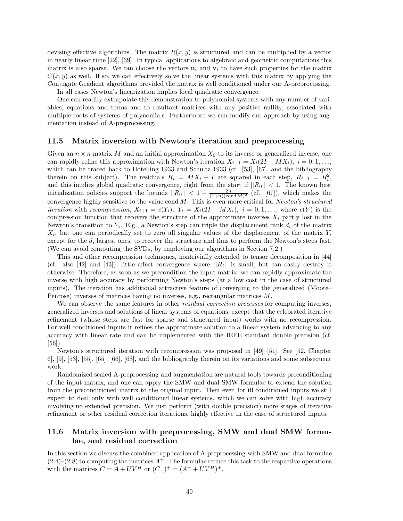devising effective algorithms. The matrix  $R(x, y)$  is structured and can be multiplied by a vector in nearly linear time [22], [39]. In typical applications to algebraic and geometric computations this matrix is also sparse. We can choose the vectors  $\mathbf{u}_i$  and  $\mathbf{v}_i$  to have such properties for the matrix  $C(x, y)$  as well. If so, we can effectively solve the linear systems with this matrix by applying the Conjugate Gradient algorithms provided the matrix is well conditioned under our A-preprocessing. In all cases Newton's linearization implies local quadratic convergence.

One can readily extrapolate this demonstration to polynomial systems with any number of variables, equations and terms and to resultant matrices with any positive nullity, associated with multiple roots of systems of polynomials. Furthermore we can modify our approach by using augmentation instead of A-preprocessing.

### **11.5 Matrix inversion with Newton's iteration and preprocessing**

Given an  $n \times n$  matrix M and an initial approximation  $X_0$  to its inverse or generalized inverse, one can rapidly refine this approximation with Newton's iteration  $X_{i+1} = X_i(2I - MX_i), i = 0,1,\ldots$ which can be traced back to Hotelling 1933 and Schultz 1933 (cf. [53], [67], and the bibliography therein on this subject). The residuals  $R_i = MX_i - I$  are squared in each step,  $R_{i+1} = R_i^2$ , and this implies global quadratic convergence, right from the start if  $||R_0|| < 1$ . The known best initialization policies support the bounds  $||R_0|| < 1 - \frac{2n}{(1+n)(\text{cond }M)^2}$  (cf. [67]), which makes the convergence highly sensitive to the value cond M. This is even more critical for *Newton's structured iteration* with *recompression*,  $X_{i+1} = c(Y_i)$ ,  $Y_i = X_i(2I - MX_i)$ ,  $i = 0,1,...$ , where  $c(Y)$  is the compression function that recovers the structure of the approximate inverses  $X_i$  partly lost in the Newton's transition to  $Y_i$ . E.g., a Newton's step can triple the displacement rank  $d_i$  of the matrix  $X_i$ , but one can periodically set to zero all singular values of the displacement of the matrix  $Y_i$ except for the  $d_i$  largest ones, to recover the structure and thus to perform the Newton's steps fast. (We can avoid computing the SVDs, by employing our algorithms in Section 7.2.)

This and other recompression techniques, nontrivially extended to tensor decomposition in [44] (cf. also [42] and [43]), little affect convergence where  $||R_i||$  is small, but can easily destroy it otherwise. Therefore, as soon as we precondition the input matrix, we can rapidly approximate the inverse with high accuracy by performing Newton's steps (at a low cost in the case of structured inputs). The iteration has additional attractive feature of converging to the generalized (Moore– Penrose) inverses of matrices having no inverses, e.g., rectangular matrices M.

We can observe the same features in other *residual correction processes* for computing inverses, generalized inverses and solutions of linear systems of equations, except that the celebrated iterative refinement (whose steps are fast for sparse and structured input) works with no recompression. For well conditioned inputs it refines the approximate solution to a linear system advancing to any accuracy with linear rate and can be implemented with the IEEE standard double precision (cf. [56]).

Newton's structured iteration with recompression was proposed in [49]–[51]. See [52, Chapter 6, [9], [53], [55], [65], [66], [68], and the bibliography therein on its variations and some subsequent work.

Randomized scaled A-preprocessing and augmentation are natural tools towards preconditioning of the input matrix, and one can apply the SMW and dual SMW formulae to extend the solution from the preconditioned matrix to the original input. Then even for ill conditioned inputs we still expect to deal only with well conditioned linear systems, which we can solve with high accuracy involving no extended precision. We just perform (with double precision) more stages of iterative refinement or other residual correction iterations, highly effective in the case of structured inputs.

# **11.6 Matrix inversion with preprocessing, SMW and dual SMW formulae, and residual correction**

In this section we discuss the combined application of A-preprocessing with SMW and dual formulae  $(2.4)$ – $(2.8)$  to computing the matrices  $A^+$ . The formulae reduce this task to the respective operations with the matrices  $C = A + UV^H$  or  $(C_{-})^{+} = (A^{+} + UV^H)^{+}$ .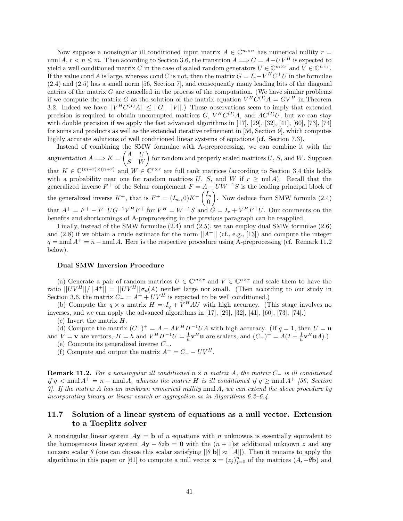Now suppose a nonsingular ill conditioned input matrix  $A \in \mathbb{C}^{m \times n}$  has numerical nullity  $r =$ nnul A,  $r < n \le m$ . Then according to Section 3.6, the transition  $A \Longrightarrow C = A + UV^H$  is expected to yield a well conditioned matrix C in the case of scaled random generators  $U \in \mathbb{C}^{m \times r}$  and  $V \in \mathbb{C}^{n \times r}$ . If the value cond A is large, whereas cond C is not, then the matrix  $G = I_r - V^H C^+ U$  in the formulae (2.4) and (2.5) has a small norm [56, Section 7], and consequently many leading bits of the diagonal entries of the matrix  $G$  are cancelled in the process of the computation. (We have similar problems if we compute the matrix G as the solution of the matrix equation  $V^H C^{(I)} A = G V^H$  in Theorem 3.2. Indeed we have  $||V^H C^{(I)}A|| \leq ||G|| ||V||$ .) These observations seem to imply that extended precision is required to obtain uncorrupted matrices G,  $V^H C^{(I)} A$ , and  $AC^{(I)} U$ , but we can stay with double precision if we apply the fast advanced algorithms in [17], [29], [32], [41], [60], [73], [74] for sums and products as well as the extended iterative refinement in [56, Section 9], which computes highly accurate solutions of well conditioned linear systems of equations (cf. Section 7.3).

Instead of combining the SMW formulae with A-preprocessing, we can combine it with the augmentation  $A \Longrightarrow K = \begin{pmatrix} A & U \ S & W \end{pmatrix}$  for random and properly scaled matrices U, S, and W. Suppose that  $K \in \mathbb{C}^{(m+r)\times(n+r)}$  and  $W \in \mathbb{C}^{r\times r}$  are full rank matrices (according to Section 3.4 this holds with a probability near one for random matrices U, S, and W if  $r \geq \text{null } A$ ). Recall that the generalized inverse  $F^+$  of the Schur complement  $F = A - UW^{-1}S$  is the leading principal block of the generalized inverse  $K^+$ , that is  $F^+ = (I_m, 0)K^+\begin{pmatrix} I_m \\ 0 \end{pmatrix}$ 0 - . Now deduce from SMW formula (2.4) that  $A^+ = F^+ - F^+ U G^{-1} V^H F^+$  for  $V^H = W^{-1} S$  and  $G = I_r + V^H F^+ U$ . Our comments on the benefits and shortcomings of A-preprocessing in the previous paragraph can be reapplied.

Finally, instead of the SMW formulae (2.4) and (2.5), we can employ dual SMW formulae (2.6) and (2.8) if we obtain a crude estimate for the norm  $||A^+||$  (cf., e.g., [13]) and compute the integer  $q = \text{null } A^+ = n - \text{null } A$ . Here is the respective procedure using A-preprocessing (cf. Remark 11.2) below).

#### **Dual SMW Inversion Procedure**

(a) Generate a pair of random matrices  $U \in \mathbb{C}^{m \times r}$  and  $V \in \mathbb{C}^{n \times r}$  and scale them to have the ratio  $||UV^H||/||A^+|| = ||UV^H||\sigma_n(A)$  neither large nor small. (Then according to our study in Section 3.6, the matrix  $C = A^+ + UV^H$  is expected to be well conditioned.)

(b) Compute the  $q \times q$  matrix  $H = I_q + V^H A U$  with high accuracy. (This stage involves no inverses, and we can apply the advanced algorithms in [17], [29], [32], [41], [60], [73], [74].)

(c) Invert the matrix  $H$ .

(d) Compute the matrix  $(C_{-})^{+} = A - AV^{H}H^{-1}UA$  with high accuracy. (If  $q = 1$ , then  $U = u$ and  $V = \mathbf{v}$  are vectors,  $H = h$  and  $V^H H^{-1} U = \frac{1}{h} \mathbf{v}^H \mathbf{u}$  are scalars, and  $(C_-)^+ = A(I - \frac{1}{h} \mathbf{v}^H \mathbf{u} A)$ .) (e) Compute its generalized inverse C−.

(f) Compute and output the matrix  $A^+ = C_- - UV^H$ .

**Remark 11.2.** *For a nonsingular ill conditioned* n × n *matrix* A*, the matrix* C<sup>−</sup> *is ill conditioned if*  $q \leq \text{nnul } A^+ = n - \text{nnul } A$ , whereas the matrix H is ill conditioned if  $q \geq \text{nnul } A^+$  [56, Section] *7]. If the matrix* A *has an unnkown numerical nullity* nnul A*, we can extend the above procedure by incorporating binary or linear search or aggregation as in Algorithms 6.2–6.4.*

# **11.7 Solution of a linear system of equations as a null vector. Extension to a Toeplitz solver**

A nonsingular linear system  $Ay = b$  of n equations with n unknowns is essentially equivalent to the homogeneous linear system  $Ay - \theta zb = 0$  with the  $(n + 1)$ st additional unknown z and any nonzero scalar  $\theta$  (one can choose this scalar satisfying  $||\theta \mathbf{b}|| \approx ||A||$ ). Then it remains to apply the algorithms in this paper or [61] to compute a null vector  $\mathbf{z} = (z_j)_{j=0}^n$  of the matrices  $(A, -\theta \mathbf{b})$  and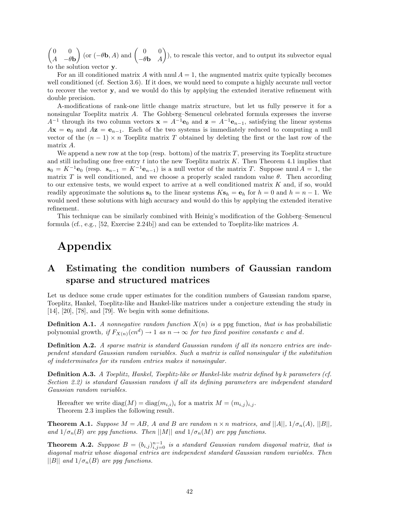$\begin{pmatrix} 0 & 0 \\ 0 & 0 \end{pmatrix}$  $A - \theta$ **b**  $\left(\begin{matrix} \n\text{or } (-\theta \mathbf{b}, A) \text{ and } \begin{pmatrix} 0 & 0 \\ -\theta \mathbf{b} & A \end{pmatrix}\right)$ - ), to rescale this vector, and to output its subvector equal to the solution vector **y**.

For an ill conditioned matrix A with nnul  $A = 1$ , the augmented matrix quite typically becomes well conditioned (cf. Section 3.6). If it does, we would need to compute a highly accurate null vector to recover the vector **y**, and we would do this by applying the extended iterative refinement with double precision.

A-modifications of rank-one little change matrix structure, but let us fully preserve it for a nonsingular Toeplitz matrix A. The Gohberg–Semencul celebrated formula expresses the inverse  $A^{-1}$  through its two column vectors  $\mathbf{x} = A^{-1}\mathbf{e}_0$  and  $\mathbf{z} = A^{-1}\mathbf{e}_{n-1}$ , satisfying the linear systems  $A$ **x** = **e**<sub>0</sub> and  $A$ **z** = **e**<sub>n−1</sub>. Each of the two systems is immediately reduced to computing a null vector of the  $(n - 1) \times n$  Toeplitz matrix T obtained by deleting the first or the last row of the matrix A.

We append a new row at the top (resp. bottom) of the matrix  $T$ , preserving its Toeplitz structure and still including one free entry t into the new Toeplitz matrix  $K$ . Then Theorem 4.1 implies that  $\mathbf{s}_0 = K^{-1} \mathbf{e}_0$  (resp.  $\mathbf{s}_{n-1} = K^{-1} \mathbf{e}_{n-1}$ ) is a null vector of the matrix T. Suppose nnul  $A = 1$ , the matrix T is well conditioned, and we choose a properly scaled random value  $\theta$ . Then according to our extensive tests, we would expect to arrive at a well conditioned matrix K and, if so, would readily approximate the solutions  $\mathbf{s}_h$  to the linear systems  $K\mathbf{s}_h = \mathbf{e}_h$  for  $h = 0$  and  $h = n - 1$ . We would need these solutions with high accuracy and would do this by applying the extended iterative refinement.

This technique can be similarly combined with Heinig's modification of the Gohberg–Semencul formula (cf., e.g., [52, Exercise 2.24b]) and can be extended to Toeplitz-like matrices A.

# **Appendix**

# **A Estimating the condition numbers of Gaussian random sparse and structured matrices**

Let us deduce some crude upper estimates for the condition numbers of Gaussian random sparse, Toeplitz, Hankel, Toeplitz-like and Hankel-like matrices under a conjecture extending the study in [14], [20], [78], and [79]. We begin with some definitions.

**Definition A.1.** *A nonnegative random function*  $X(n)$  *is a* ppg function, that is has probabilistic polynomial growth, if  $F_{X(n)}(cn^d) \to 1$  *as*  $n \to \infty$  *for two fixed positive constants* c and d.

**Definition A.2.** *A sparse matrix is standard Gaussian random if all its nonzero entries are independent standard Gaussian random variables. Such a matrix is called nonsingular if the substitution of indeterminates for its random entries makes it nonsingular.*

**Definition A.3.** *A Toeplitz, Hankel, Toeplitz-like or Hankel-like matrix defined by* k *parameters (cf. Section 2.2) is standard Gaussian random if all its defining parameters are independent standard Gaussian random variables.*

Hereafter we write  $diag(M) = diag(m_{i,i})$  for a matrix  $M = (m_{i,j})_{i,j}$ . Theorem 2.3 implies the following result.

**Theorem A.1.** *Suppose*  $M = AB$ *,* A and B are random  $n \times n$  matrices, and  $||A||$ ,  $1/\sigma_n(A)$ ,  $||B||$ , *and*  $1/\sigma_n(B)$  *are ppg functions. Then* ||M|| *and*  $1/\sigma_n(M)$  *are ppg functions.* 

**Theorem A.2.** Suppose  $B = (b_{i,j})_{i,j=0}^{n-1}$  is a standard Gaussian random diagonal matrix, that is *diagonal matrix whose diagonal entries are independent standard Gaussian random variables. Then*  $||B||$  *and*  $1/\sigma_n(B)$  *are ppg functions.*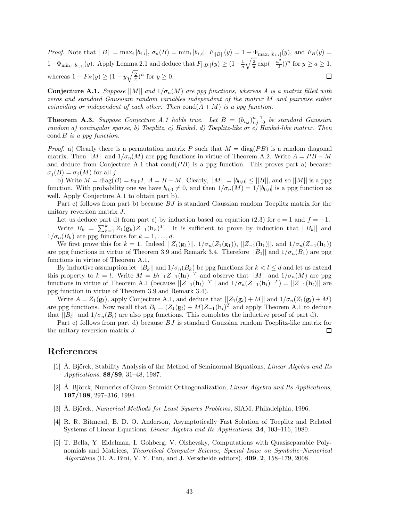*Proof.* Note that  $||B|| = \max_i |b_{i,i}|$ ,  $\sigma_n(B) = \min_i |b_{i,i}|$ ,  $F_{||B||}(y) = 1 - \Phi_{\max_i |b_{i,i}|}(y)$ , and  $F_B(y) =$  $1-\Phi_{\min_i|b_{i,i}|}(y)$ . Apply Lemma 2.1 and deduce that  $F_{||B||}(y) \geq (1-\frac{1}{a}\sqrt{\frac{2}{\pi}}\exp(-\frac{a^2}{2}))^n$  for  $y \geq a \geq 1$ , whereas  $1 - F_B(y) \ge (1 - y \sqrt{\frac{2}{\pi}})^n$  for  $y \ge 0$ .  $\Box$ 

**Conjecture A.1.** *Suppose*  $||M||$  *and*  $1/\sigma_n(M)$  *are ppg functions, whereas* A *is a matrix filled with zeros and standard Gaussiam random variables independent of the matrix* M *and pairwise either coinciding or independent of each other. Then*  $cond(A + M)$  *is a ppg function.* 

**Theorem A.3.** Suppose Conjecture A.1 holds true. Let  $B = (b_{i,j})_{i,j=0}^{n-1}$  be standard Gaussian *random a) noningular sparse, b) Toeplitz, c) Hankel, d) Toeplitz-like or e) Hankel-like matrix. Then* cond B *is a ppg function.*

*Proof.* a) Clearly there is a permutation matrix P such that  $M = \text{diag}(PB)$  is a random diagonal matrix. Then  $||M||$  and  $1/\sigma_n(M)$  are ppg functions in virtue of Theorem A.2. Write  $A = PB - M$ and deduce from Conjecture A.1 that  $cond(PB)$  is a ppg function. This proves part a) because  $\sigma_j(B) = \sigma_j(M)$  for all j.

b) Write  $M = \text{diag}(B) = b_{0,0}I$ ,  $A = B - M$ . Clearly,  $||M|| = |b_{0,0}| \le ||B||$ , and so  $||M||$  is a ppg function. With probability one we have  $b_{0,0} \neq 0$ , and then  $1/\sigma_n(M)=1/|b_{0,0}|$  is a ppg function as well. Apply Conjecture A.1 to obtain part b).

Part c) follows from part b) because  $BJ$  is standard Gaussian random Toeplitz matrix for the unitary reversion matrix J.

Let us deduce part d) from part c) by induction based on equation (2.3) for  $e = 1$  and  $f = -1$ . Write  $B_k = \sum_{h=1}^k Z_1(\mathbf{g}_h)Z_{-1}(\mathbf{h}_h)^T$ . It is sufficient to prove by induction that  $||B_k||$  and  $1/\sigma_n(B_k)$  are ppg functions for  $k = 1, \ldots, d$ .

We first prove this for  $k = 1$ . Indeed  $||Z_1(\mathbf{g}_1)||$ ,  $1/\sigma_n(Z_1(\mathbf{g}_1))$ ,  $||Z_{-1}(\mathbf{h}_1)||$ , and  $1/\sigma_n(Z_{-1}(\mathbf{h}_1))$ are ppg functions in virtue of Theorem 3.9 and Remark 3.4. Therefore  $||B_1||$  and  $1/\sigma_n(B_1)$  are ppg functions in virtue of Theorem A.1.

By inductive assumption let  $||B_k||$  and  $1/\sigma_n(B_k)$  be ppg functions for  $k < l \leq d$  and let us extend this property to  $k = l$ . Write  $M = B_{l-1}Z_{-1}(\mathbf{h}_l)^{-T}$  and observe that  $||M||$  and  $1/\sigma_n(M)$  are ppg functions in virtue of Theorem A.1 (because  $||Z_{-1}(\mathbf{h}_l)^{-T}||$  and  $1/\sigma_n(Z_{-1}(\mathbf{h}_l)^{-T}) = ||Z_{-1}(\mathbf{h}_l)||$  are ppg function in virtue of Theorem 3.9 and Remark 3.4).

Write  $A = Z_1(g_i)$ , apply Conjecture A.1, and deduce that  $||Z_1(g_i) + M||$  and  $1/\sigma_n(Z_1(g_i) + M)$ are ppg functions. Now recall that  $B_l = (Z_1(\mathbf{g}_l) + M)Z_{-1}(\mathbf{h}_l)^T$  and apply Theorem A.1 to deduce that  $||B_l||$  and  $1/\sigma_n(B_l)$  are also ppg functions. This completes the inductive proof of part d).

Part e) follows from part d) because BJ is standard Gaussian random Toeplitz-like matrix for the unitary reversion matrix J. ◻

# **References**

- [1] Å. Björck, Stability Analysis of the Method of Seminormal Equations, *Linear Algebra and Its Applications*, **88/89**, 31–48, 1987.
- [2] Å. Björck, Numerics of Gram-Schmidt Orthogonalization, *Linear Algebra and Its Applications*, **197/198**, 297–316, 1994.
- [3] Å. Björck, *Numerical Methods for Least Squares Problems*, SIAM, Philadelphia, 1996.
- [4] R. R. Bitmead, B. D. O. Anderson, Asymptotically Fast Solution of Toeplitz and Related Systems of Linear Equations, *Linear Algebra and Its Applications*, **34**, 103–116, 1980.
- [5] T. Bella, Y. Eidelman, I. Gohberg, V. Olshevsky, Computations with Quasiseparable Polynomials and Matrices, *Theoretical Computer Science*, *Special Issue on Symbolic–Numerical Algorithms* (D. A. Bini, V. Y. Pan, and J. Verschelde editors), **409**, **2**, 158–179, 2008.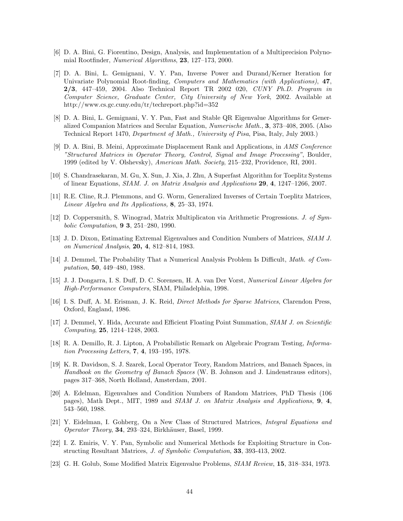- [6] D. A. Bini, G. Fiorentino, Design, Analysis, and Implementation of a Multiprecision Polynomial Rootfinder, *Numerical Algorithms*, **23**, 127–173, 2000.
- [7] D. A. Bini, L. Gemignani, V. Y. Pan, Inverse Power and Durand/Kerner Iteration for Univariate Polynomial Root-finding, *Computers and Mathematics (with Applications)*, **47**, **2/3**, 447–459, 2004. Also Technical Report TR 2002 020, *CUNY Ph.D. Program in Computer Science, Graduate Center, City University of New York*, 2002. Available at http://www.cs.gc.cuny.edu/tr/techreport.php?id=352
- [8] D. A. Bini, L. Gemignani, V. Y. Pan, Fast and Stable QR Eigenvalue Algorithms for Generalized Companion Matrices and Secular Equation, *Numerische Math.*, **3**, 373–408, 2005. (Also Technical Report 1470, *Department of Math., University of Pisa*, Pisa, Italy, July 2003.)
- [9] D. A. Bini, B. Meini, Approximate Displacement Rank and Applications, in *AMS Conference "Structured Matrices in Operator Theory, Control, Signal and Image Processing"*, Boulder, 1999 (edited by V. Olshevsky), *American Math. Society*, 215–232, Providence, RI, 2001.
- [10] S. Chandrasekaran, M. Gu, X. Sun, J. Xia, J. Zhu, A Superfast Algorithm for Toeplitz Systems of linear Equations, *SIAM. J. on Matrix Analysis and Applications* **29**, **4**, 1247–1266, 2007.
- [11] R.E. Cline, R.J. Plemmons, and G. Worm, Generalized Inverses of Certain Toeplitz Matrices, *Linear Algebra and Its Applications,* **8**, 25–33, 1974.
- [12] D. Coppersmith, S. Winograd, Matrix Multiplicaton via Arithmetic Progressions. *J. of Symbolic Computation*, **9 3**, 251–280, 1990.
- [13] J. D. Dixon, Estimating Extremal Eigenvalues and Condition Numbers of Matrices, *SIAM J. on Numerical Analysis*, **20, 4**, 812–814, 1983.
- [14] J. Demmel, The Probability That a Numerical Analysis Problem Is Difficult, *Math. of Computation*, **50**, 449–480, 1988.
- [15] J. J. Dongarra, I. S. Duff, D. C. Sorensen, H. A. van Der Vorst, *Numerical Linear Algebra for High-Performance Computers*, SIAM, Philadelphia, 1998.
- [16] I. S. Duff, A. M. Erisman, J. K. Reid, *Direct Methods for Sparse Matrices*, Clarendon Press, Oxford, England, 1986.
- [17] J. Demmel, Y. Hida, Accurate and Efficient Floating Point Summation, *SIAM J. on Scientific Computing*, **25**, 1214–1248, 2003.
- [18] R. A. Demillo, R. J. Lipton, A Probabilistic Remark on Algebraic Program Testing, *Information Processing Letters*, **7**, **4**, 193–195, 1978.
- [19] K. R. Davidson, S. J. Szarek, Local Operator Teory, Random Matrices, and Banach Spaces, in *Handbook on the Geometry of Banach Spaces* (W. B. Johnson and J. Lindenstrauss editors), pages 317–368, North Holland, Amsterdam, 2001.
- [20] A. Edelman, Eigenvalues and Condition Numbers of Random Matrices, PhD Thesis (106 pages), Math Dept., MIT, 1989 and *SIAM J. on Matrix Analysis and Applications*, **9**, **4**, 543–560, 1988.
- [21] Y. Eidelman, I. Gohberg, On a New Class of Structured Matrices, *Integral Equations and Operator Theory*, **34**, 293–324, Birkhäuser, Basel, 1999.
- [22] I. Z. Emiris, V. Y. Pan, Symbolic and Numerical Methods for Exploiting Structure in Constructing Resultant Matrices, *J. of Symbolic Computation*, **33**, 393-413, 2002.
- [23] G. H. Golub, Some Modified Matrix Eigenvalue Problems, *SIAM Review*, **15**, 318–334, 1973.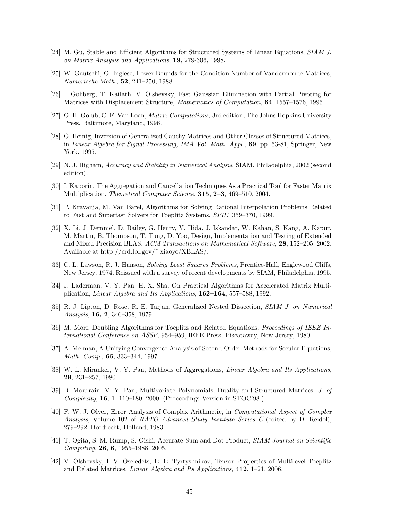- [24] M. Gu, Stable and Efficient Algorithms for Structured Systems of Linear Equations, *SIAM J. on Matrix Analysis and Applications*, **19**, 279-306, 1998.
- [25] W. Gautschi, G. Inglese, Lower Bounds for the Condition Number of Vandermonde Matrices, *Numerische Math.*, **52**, 241–250, 1988.
- [26] I. Gohberg, T. Kailath, V. Olshevsky, Fast Gaussian Elimination with Partial Pivoting for Matrices with Displacement Structure, *Mathematics of Computation*, **64**, 1557–1576, 1995.
- [27] G. H. Golub, C. F. Van Loan, *Matrix Computations*, 3rd edition, The Johns Hopkins University Press, Baltimore, Maryland, 1996.
- [28] G. Heinig, Inversion of Generalized Cauchy Matrices and Other Classes of Structured Matrices, in *Linear Algebra for Signal Processing, IMA Vol. Math. Appl.*, **69**, pp. 63-81, Springer, New York, 1995.
- [29] N. J. Higham, *Accuracy and Stability in Numerical Analysis*, SIAM, Philadelphia, 2002 (second edition).
- [30] I. Kaporin, The Aggregation and Cancellation Techniques As a Practical Tool for Faster Matrix Multiplication, *Theoretical Computer Science*, **315**, **2–3**, 469–510, 2004.
- [31] P. Kravanja, M. Van Barel, Algorithms for Solving Rational Interpolation Problems Related to Fast and Superfast Solvers for Toeplitz Systems, *SPIE*, 359–370, 1999.
- [32] X. Li, J. Demmel, D. Bailey, G. Henry, Y. Hida, J. Iskandar, W. Kahan, S. Kang, A. Kapur, M. Martin, B. Thompson, T. Tung, D. Yoo, Design, Implementation and Testing of Extended and Mixed Precision BLAS, *ACM Transactions on Mathematical Software*, **28**, 152–205, 2002. Available at http //crd.lbl.gov/˜ xiaoye/XBLAS/.
- [33] C. L. Lawson, R. J. Hanson, *Solving Least Squares Problems*, Prentice-Hall, Englewood Cliffs, New Jersey, 1974. Reissued with a survey of recent developments by SIAM, Philadelphia, 1995.
- [34] J. Laderman, V. Y. Pan, H. X. Sha, On Practical Algorithms for Accelerated Matrix Multiplication, *Linear Algebra and Its Applications*, **162–164**, 557–588, 1992.
- [35] R. J. Lipton, D. Rose, R. E. Tarjan, Generalized Nested Dissection, *SIAM J. on Numerical Analysis*, **16, 2**, 346–358, 1979.
- [36] M. Morf, Doubling Algorithms for Toeplitz and Related Equations, *Proceedings of IEEE International Conference on ASSP*, 954–959, IEEE Press, Piscataway, New Jersey, 1980.
- [37] A. Melman, A Unifying Convergence Analysis of Second-Order Methods for Secular Equations, *Math. Comp.*, **66**, 333–344, 1997.
- [38] W. L. Miranker, V. Y. Pan, Methods of Aggregations, *Linear Algebra and Its Applications*, **29**, 231–257, 1980.
- [39] B. Mourrain, V. Y. Pan, Multivariate Polynomials, Duality and Structured Matrices, *J. of Complexity*, **16**, **1**, 110–180, 2000. (Proceedings Version in STOC'98.)
- [40] F. W. J. Olver, Error Analysis of Complex Arithmetic, in *Computational Aspect of Complex Analysis*, Volume 102 of *NATO Advanced Study Institute Series C* (edited by D. Reidel), 279–292. Dordrecht, Holland, 1983.
- [41] T. Ogita, S. M. Rump, S. Oishi, Accurate Sum and Dot Product, *SIAM Journal on Scientific Computing*, **26**, **6**, 1955–1988, 2005.
- [42] V. Olshevsky, I. V. Oseledets, E. E. Tyrtyshnikov, Tensor Properties of Multilevel Toeplitz and Related Matrices, *Linear Algebra and Its Applications*, **412**, 1–21, 2006.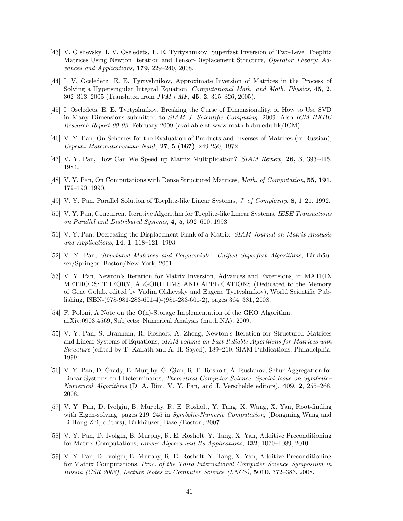- [43] V. Olshevsky, I. V. Oseledets, E. E. Tyrtyshnikov, Superfast Inversion of Two-Level Toeplitz Matrices Using Newton Iteration and Tensor-Displacement Structure, *Operator Theory: Advances and Applications*, **179**, 229–240, 2008.
- [44] I. V. Oceledetz, E. E. Tyrtyshnikov, Approximate Inversion of Matrices in the Process of Solving a Hypersingular Integral Equation, *Computational Math. and Math. Physics*, **45**, **2**, 302–313, 2005 (Translated from *JVM i MF*, **45**, **2**, 315–326, 2005).
- [45] I. Oseledets, E. E. Tyrtyshnikov, Breaking the Curse of Dimensionality, or How to Use SVD in Many Dimensions submitted to *SIAM J. Scientific Computing*, 2009. Also *ICM HKBU Research Report 09-03*, February 2009 (available at www.math.hkbu.edu.hk/ICM).
- [46] V. Y. Pan, On Schemes for the Evaluation of Products and Inverses of Matrices (in Russian), *Uspekhi Matematicheskikh Nauk*, **27**, **5 (167)**, 249-250, 1972.
- [47] V. Y. Pan, How Can We Speed up Matrix Multiplication? *SIAM Review,* **26**, **3**, 393–415, 1984.
- [48] V. Y. Pan, On Computations with Dense Structured Matrices, *Math. of Computation*, **55, 191**, 179–190, 1990.
- [49] V. Y. Pan, Parallel Solution of Toeplitz-like Linear Systems, *J. of Complexity*, **8**, 1–21, 1992.
- [50] V. Y. Pan, Concurrent Iterative Algorithm for Toeplitz-like Linear Systems, *IEEE Transactions on Parallel and Distributed Systems*, **4, 5**, 592–600, 1993.
- [51] V. Y. Pan, Decreasing the Displacement Rank of a Matrix, *SIAM Journal on Matrix Analysis and Applications*, **14**, **1**, 118–121, 1993.
- [52] V. Y. Pan, *Structured Matrices and Polynomials: Unified Superfast Algorithms*, Birkhäuser/Springer, Boston/New York, 2001.
- [53] V. Y. Pan, Newton's Iteration for Matrix Inversion, Advances and Extensions, in MATRIX METHODS: THEORY, ALGORITHMS AND APPLICATIONS (Dedicated to the Memory of Gene Golub, edited by Vadim Olshevsky and Eugene Tyrtyshnikov), World Scientific Publishing, ISBN-(978-981-283-601-4)-(981-283-601-2), pages 364–381, 2008.
- [54] F. Poloni, A Note on the O(n)-Storage Implementation of the GKO Algorithm, arXiv:0903.4569, Subjects: Numerical Analysis (math.NA), 2009.
- [55] V. Y. Pan, S. Branham, R. Rosholt, A. Zheng, Newton's Iteration for Structured Matrices and Linear Systems of Equations, *SIAM volume on Fast Reliable Algorithms for Matrices with Structure* (edited by T. Kailath and A. H. Sayed), 189–210, SIAM Publications, Philadelphia, 1999.
- [56] V. Y. Pan, D. Grady, B. Murphy, G. Qian, R. E. Rosholt, A. Ruslanov, Schur Aggregation for Linear Systems and Determinants, *Theoretical Computer Science*, *Special Issue on Symbolic– Numerical Algorithms* (D. A. Bini, V. Y. Pan, and J. Verschelde editors), **409**, **2**, 255–268, 2008.
- [57] V. Y. Pan, D. Ivolgin, B. Murphy, R. E. Rosholt, Y. Tang, X. Wang, X. Yan, Root-finding with Eigen-solving, pages 219–245 in *Symbolic-Numeric Computation*, (Dongming Wang and Li-Hong Zhi, editors), Birkhäuser, Basel/Boston, 2007.
- [58] V. Y. Pan, D. Ivolgin, B. Murphy, R. E. Rosholt, Y. Tang, X. Yan, Additive Preconditioning for Matrix Computations, *Linear Algebra and Its Applications*, **432**, 1070–1089, 2010.
- [59] V. Y. Pan, D. Ivolgin, B. Murphy, R. E. Rosholt, Y. Tang, X. Yan, Additive Preconditioning for Matrix Computations, *Proc. of the Third International Computer Science Symposium in Russia (CSR 2008)*, *Lecture Notes in Computer Science (LNCS)*, **5010**, 372–383, 2008.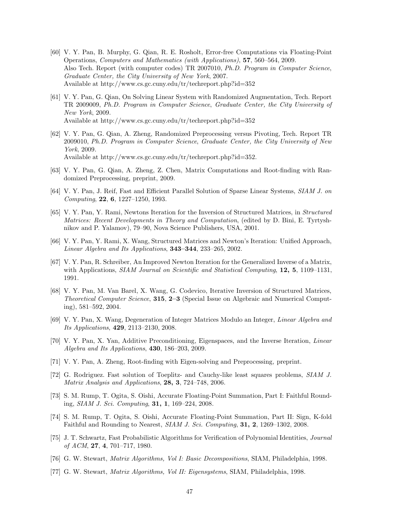- [60] V. Y. Pan, B. Murphy, G. Qian, R. E. Rosholt, Error-free Computations via Floating-Point Operations, *Computers and Mathematics (with Applications)*, **57**, 560–564, 2009. Also Tech. Report (with computer codes) TR 2007010, *Ph.D. Program in Computer Science*, *Graduate Center, the City University of New York*, 2007. Available at http://www.cs.gc.cuny.edu/tr/techreport.php?id=352
- [61] V. Y. Pan, G. Qian, On Solving Linear System with Randomized Augmentation, Tech. Report TR 2009009, *Ph.D. Program in Computer Science*, *Graduate Center, the City University of New York*, 2009. Available at http://www.cs.gc.cuny.edu/tr/techreport.php?id=352
- [62] V. Y. Pan, G. Qian, A. Zheng, Randomized Preprocessing versus Pivoting, Tech. Report TR 2009010, *Ph.D. Program in Computer Science*, *Graduate Center, the City University of New York*, 2009. Available at http://www.cs.gc.cuny.edu/tr/techreport.php?id=352.
- [63] V. Y. Pan, G. Qian, A. Zheng, Z. Chen, Matrix Computations and Root-finding with Randomized Preprocessing, preprint, 2009.
- [64] V. Y. Pan, J. Reif, Fast and Efficient Parallel Solution of Sparse Linear Systems, *SIAM J. on Computing*, **22**, **6**, 1227–1250, 1993.
- [65] V. Y. Pan, Y. Rami, Newtons Iteration for the Inversion of Structured Matrices, in *Structured Matrices: Recent Developments in Theory and Computation*, (edited by D. Bini, E. Tyrtyshnikov and P. Yalamov), 79–90, Nova Science Publishers, USA, 2001.
- [66] V. Y. Pan, Y. Rami, X. Wang, Structured Matrices and Newton's Iteration: Unified Approach, *Linear Algebra and Its Applications*, **343–344**, 233–265, 2002.
- [67] V. Y. Pan, R. Schreiber, An Improved Newton Iteration for the Generalized Inverse of a Matrix, with Applications, *SIAM Journal on Scientific and Statistical Computing*, **12, 5**, 1109–1131, 1991.
- [68] V. Y. Pan, M. Van Barel, X. Wang, G. Codevico, Iterative Inversion of Structured Matrices, *Theoretical Computer Science*, **315**, **2–3** (Special Issue on Algebraic and Numerical Computing), 581–592, 2004.
- [69] V. Y. Pan, X. Wang, Degeneration of Integer Matrices Modulo an Integer, *Linear Algebra and Its Applications*, **429**, 2113–2130, 2008.
- [70] V. Y. Pan, X. Yan, Additive Preconditioning, Eigenspaces, and the Inverse Iteration, *Linear Algebra and Its Applications*, **430**, 186–203, 2009.
- [71] V. Y. Pan, A. Zheng, Root-finding with Eigen-solving and Preprocessing, preprint.
- [72] G. Rodriguez. Fast solution of Toeplitz- and Cauchy-like least squares problems, *SIAM J. Matrix Analysis and Applications*, **28, 3**, 724–748, 2006.
- [73] S. M. Rump, T. Ogita, S. Oishi, Accurate Floating-Point Summation, Part I: Faithful Rounding, *SIAM J. Sci. Computing*, **31, 1**, 169–224, 2008.
- [74] S. M. Rump, T. Ogita, S. Oishi, Accurate Floating-Point Summation, Part II: Sign, K-fold Faithful and Rounding to Nearest, *SIAM J. Sci. Computing*, **31, 2**, 1269–1302, 2008.
- [75] J. T. Schwartz, Fast Probabilistic Algorithms for Verification of Polynomial Identities, *Journal of ACM*, **27**, **4**, 701–717, 1980.
- [76] G. W. Stewart, *Matrix Algorithms, Vol I: Basic Decompositions*, SIAM, Philadelphia, 1998.
- [77] G. W. Stewart, *Matrix Algorithms, Vol II: Eigensystems*, SIAM, Philadelphia, 1998.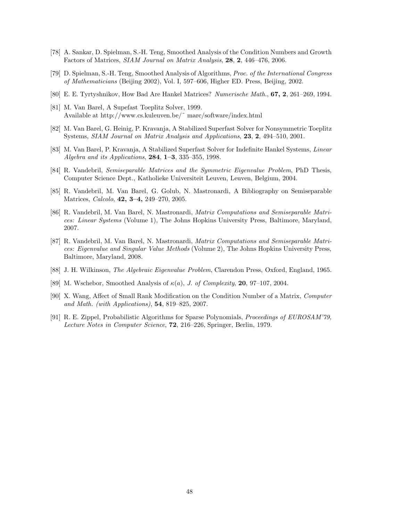- [78] A. Sankar, D. Spielman, S.-H. Teng, Smoothed Analysis of the Condition Numbers and Growth Factors of Matrices, *SIAM Journal on Matrix Analysis*, **28**, **2**, 446–476, 2006.
- [79] D. Spielman, S.-H. Teng, Smoothed Analysis of Algorithms, *Proc. of the International Congress of Mathematicians* (Beijing 2002), Vol. I, 597–606, Higher ED. Press, Beijing, 2002.
- [80] E. E. Tyrtyshnikov, How Bad Are Hankel Matrices? *Numerische Math.*, **67, 2**, 261–269, 1994.
- [81] M. Van Barel, A Supefast Toeplitz Solver, 1999. Available at http://www.cs.kuleuven.be/˜ marc/software/index.html
- [82] M. Van Barel, G. Heinig, P. Kravanja, A Stabilized Superfast Solver for Nonsymmetric Toeplitz Systems, *SIAM Journal on Matrix Analysis and Applications*, **23**, **2**, 494–510, 2001.
- [83] M. Van Barel, P. Kravanja, A Stabilized Superfast Solver for Indefinite Hankel Systems, *Linear Algebra and its Applications*, **284**, **1–3**, 335–355, 1998.
- [84] R. Vandebril, *Semiseparable Matrices and the Symmetric Eigenvalue Problem*, PhD Thesis, Computer Science Dept., Katholieke Universiteit Leuven, Leuven, Belgium, 2004.
- [85] R. Vandebril, M. Van Barel, G. Golub, N. Mastronardi, A Bibliography on Semiseparable Matrices, *Calcolo*, **42, 3–4,** 249–270, 2005.
- [86] R. Vandebril, M. Van Barel, N. Mastronardi, *Matrix Computations and Semiseparable Matrices: Linear Systems* (Volume 1), The Johns Hopkins University Press, Baltimore, Maryland, 2007.
- [87] R. Vandebril, M. Van Barel, N. Mastronardi, *Matrix Computations and Semiseparable Matrices: Eigenvalue and Singular Value Methods* (Volume 2), The Johns Hopkins University Press, Baltimore, Maryland, 2008.
- [88] J. H. Wilkinson, *The Algebraic Eigenvalue Problem*, Clarendon Press, Oxford, England, 1965.
- [89] M. Wschebor, Smoothed Analysis of κ(a), *J. of Complexity*, **20**, 97–107, 2004.
- [90] X. Wang, Affect of Small Rank Modification on the Condition Number of a Matrix, *Computer and Math. (with Applications)*, **54**, 819–825, 2007.
- [91] R. E. Zippel, Probabilistic Algorithms for Sparse Polynomials, *Proceedings of EUROSAM'79, Lecture Notes in Computer Science*, **72**, 216–226, Springer, Berlin, 1979.